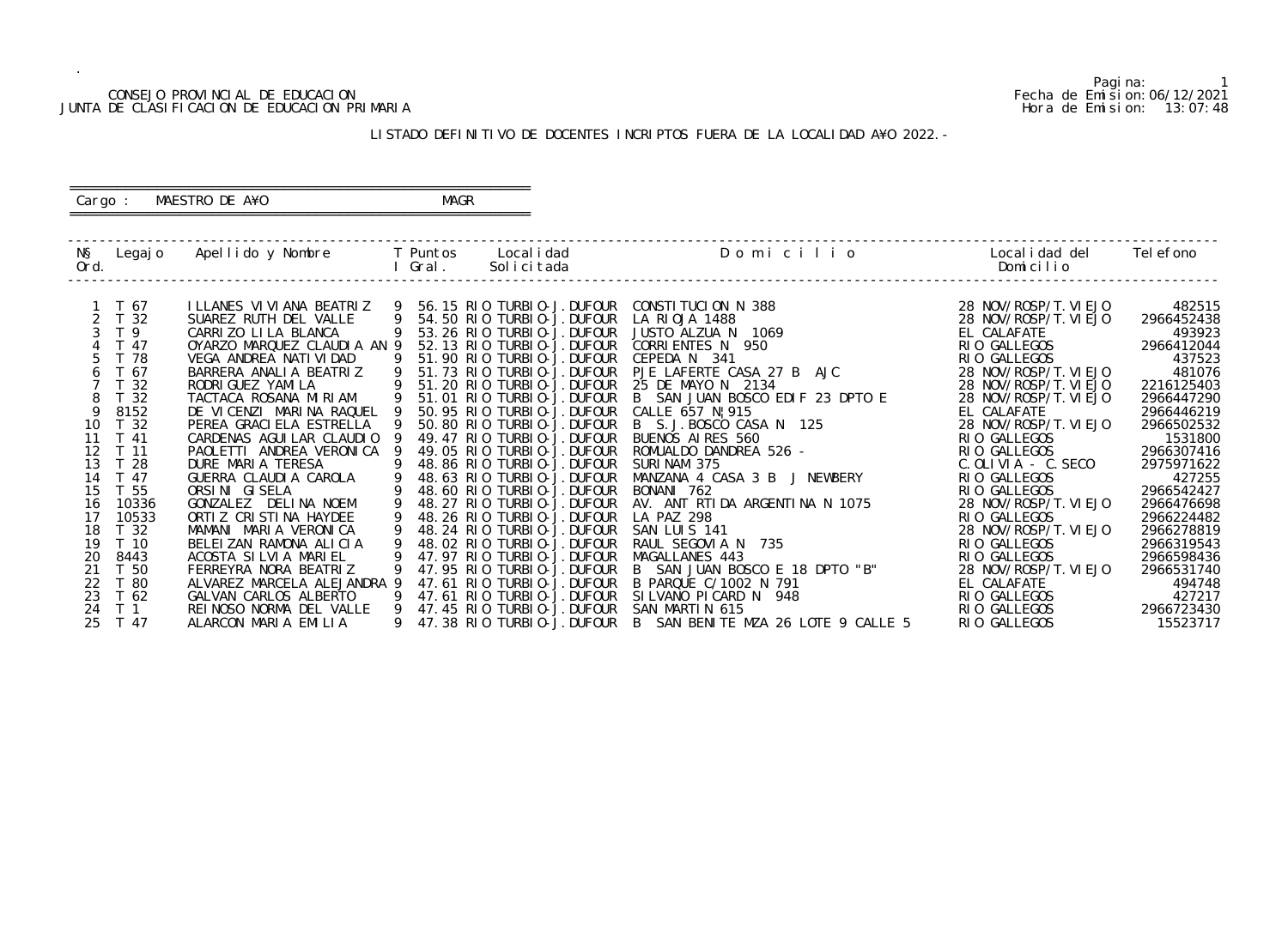## CONSEJO PROVINCIAL DE EDUCACION Fecha de Emision:06/12/2021 JUNTA DE CLASIFICACION DE EDUCACION PRIMARIA Hora de Emision: 13:07:48

# ========================================================== Cargo : MAESTRO DE A¥O **MAGR**

# LISTADO DEFINITIVO DE DOCENTES INCRIPTOS FUERA DE LA LOCALIDAD A¥O 2022.-

==========================================================

| NŞ<br>Ord. | Legaj o         | Apellido y Nombre           |   | T Puntos<br>Gral .         | Local i dad<br>Solicitada | Domicilio                          | Local i dad del<br>Domicilio | Tel efono  |
|------------|-----------------|-----------------------------|---|----------------------------|---------------------------|------------------------------------|------------------------------|------------|
|            |                 |                             |   |                            |                           |                                    |                              |            |
|            | T 67            | I LLANES VI VI ANA BEATRIZ  |   | 56.15 RIO TURBIO-J. DUFOUR |                           | CONSTITUCION N 388                 | 28 NOV/ROSP/T. VI EJO        | 482515     |
|            | T 32            | SUAREZ RUTH DEL VALLE       | 9 | 54.50 RIO TURBIO-J.DUFOUR  |                           | LA RIOJA 1488                      | 28 NOV/ROSP/T. VI EJO        | 2966452438 |
|            | T 9             | CARRIZO LILA BLANCA         |   | 53.26 RIO TURBIO-J. DUFOUR |                           | JUSTO ALZUA N<br>1069              | EL CALAFATE                  | 493923     |
|            | T 47            | OYARZO MARQUEZ CLAUDIA AN 9 |   | 52.13 RIO TURBIO-J. DUFOUR |                           | CORRIENTES N 950                   | RIO GALLEGOS                 | 2966412044 |
| 5          | T 78            | VEGA ANDREA NATI VI DAD     |   | 51.90 RIO TURBIO-J. DUFOUR |                           | CEPEDA N 341                       | RIO GALLEGOS                 | 437523     |
|            | T 67            | BARRERA ANALIA BEATRIZ      |   | 51.73 RIO TURBIO-J. DUFOUR |                           | PJE LAFERTE CASA 27 B AJC          | 28 NOV/ROSP/T. VI EJO        | 481076     |
|            | 32              | RODRI GUEZ YAMI LA          |   | 51.20 RIO TURBIO-J.DUFOUR  |                           | 25 DE MAYO N 2134                  | 28 NOV/ROSP/T. VI EJO        | 2216125403 |
|            | T 32            | TACTACA ROSANA MIRIAM       |   | 51.01 RIO TURBIO-J.DUFOUR  |                           | B SAN JUAN BOSCO EDIF 23 DPTO E    | 28 NOV/ROSP/T. VI EJO        | 2966447290 |
| 9          | 8152            | DE VICENZI MARINA RAQUEL    |   | 50.95 RIO TURBIO-J. DUFOUR |                           | CALLE 657 N! 915                   | EL CALAFATE                  | 2966446219 |
| 10         | T 32            | PEREA GRACI ELA ESTRELLA    |   | 50.80 RIO TURBIO-J. DUFOUR |                           | B S. J. BOSCO CASA N 125           | 28 NOV/ROSP/T. VI EJO        | 2966502532 |
| 11         | $T$ 41          | CARDENAS AGUILAR CLAUDIO    |   | 49.47 RIO TURBIO-J. DUFOUR |                           | BUENOS AIRES 560                   | RIO GALLEGOS                 | 1531800    |
| 12         | T <sub>11</sub> | PAOLETTI ANDREA VERONICA    |   | 49.05 RIO TURBIO-J. DUFOUR |                           | ROMUALDO DANDREA 526 -             | RIO GALLEGOS                 | 2966307416 |
| 13         | T 28            | DURE MARIA TERESA           |   | 48.86 RIO TURBIO-J.DUFOUR  |                           | SURINAM 375                        | $C.$ OLIVIA - $C.$ SECO      | 2975971622 |
| 14         | T 47            | GUERRA CLAUDIA CAROLA       |   | 48.63 RIO TURBIO-J. DUFOUR |                           | MANZANA 4 CASA 3 B J NEWBERY       | RIO GALLEGOS                 | 427255     |
| 15         | T 55            | ORSINI GISELA               |   | 48.60 RIO TURBIO-J.DUFOUR  |                           | BONANI 762                         | RIO GALLEGOS                 | 2966542427 |
| 16         | 10336           | GONZALEZ DELINA NOEM        |   | 48.27 RIO TURBIO-J. DUFOUR |                           | AV. ANT RTIDA ARGENTINA N 1075     | 28 NOV/ROSP/T. VI EJO        | 2966476698 |
| 17         | 10533           | ORTIZ CRISTINA HAYDEE       |   | 48.26 RIO TURBIO-J. DUFOUR |                           | LA PAZ 298                         | RIO GALLEGOS                 | 2966224482 |
| 18         | T <sub>32</sub> | MAMANI MARIA VERONICA       |   | 48.24 RIO TURBIO-J. DUFOUR |                           | SAN LUIS 141                       | 28 NOV/ROSP/T. VI EJO        | 2966278819 |
| 19         | T 10            | BELEIZAN RAMONA ALICIA      |   | 48.02 RIO TURBIO-J.DUFOUR  |                           | 735<br>RAUL SEGOVIA N              | RIO GALLEGOS                 | 2966319543 |
| 20         | 8443            | ACOSTA SILVIA MARIEL        |   | 47.97 RIO TURBIO-J. DUFOUR |                           | MAGALLANES 443                     | RIO GALLEGOS                 | 2966598436 |
| 21         | T 50            | FERREYRA NORA BEATRIZ       |   | 47.95 RIO TURBIO-J.DUFOUR  |                           | B SAN JUAN BOSCO E 18 DPTO "B"     | 28 NOV/ROSP/T. VI EJO        | 2966531740 |
| 22         | T 80            | ALVAREZ MARCELA ALEJANDRA 9 |   | 47.61 RIO TURBIO-J. DUFOUR |                           | B PARQUE C/1002 N 791              | EL CALAFATE                  | 494748     |
| 23         | T 62            | GALVAN CARLOS ALBERTO       |   | 47.61 RIO TURBIO-J. DUFOUR |                           | SILVANO PICARD N 948               | RIO GALLEGOS                 | 427217     |
| 24         | T <sub>1</sub>  | REINOSO NORMA DEL VALLE     | 9 | 47.45 RIO TURBIO-J. DUFOUR |                           | SAN MARTIN 615                     | RIO GALLEGOS                 | 2966723430 |
| 25         | T 47            | ALARCON MARIA EMILIA        | 9 | 47.38 RIO TURBIO-J. DUFOUR |                           | B SAN BENITE MZA 26 LOTE 9 CALLE 5 | RIO GALLEGOS                 | 15523717   |

Pagina: 1<br>Fecha de Emision: 06/12/2021<br>Hora de Emision: 13: 07: 48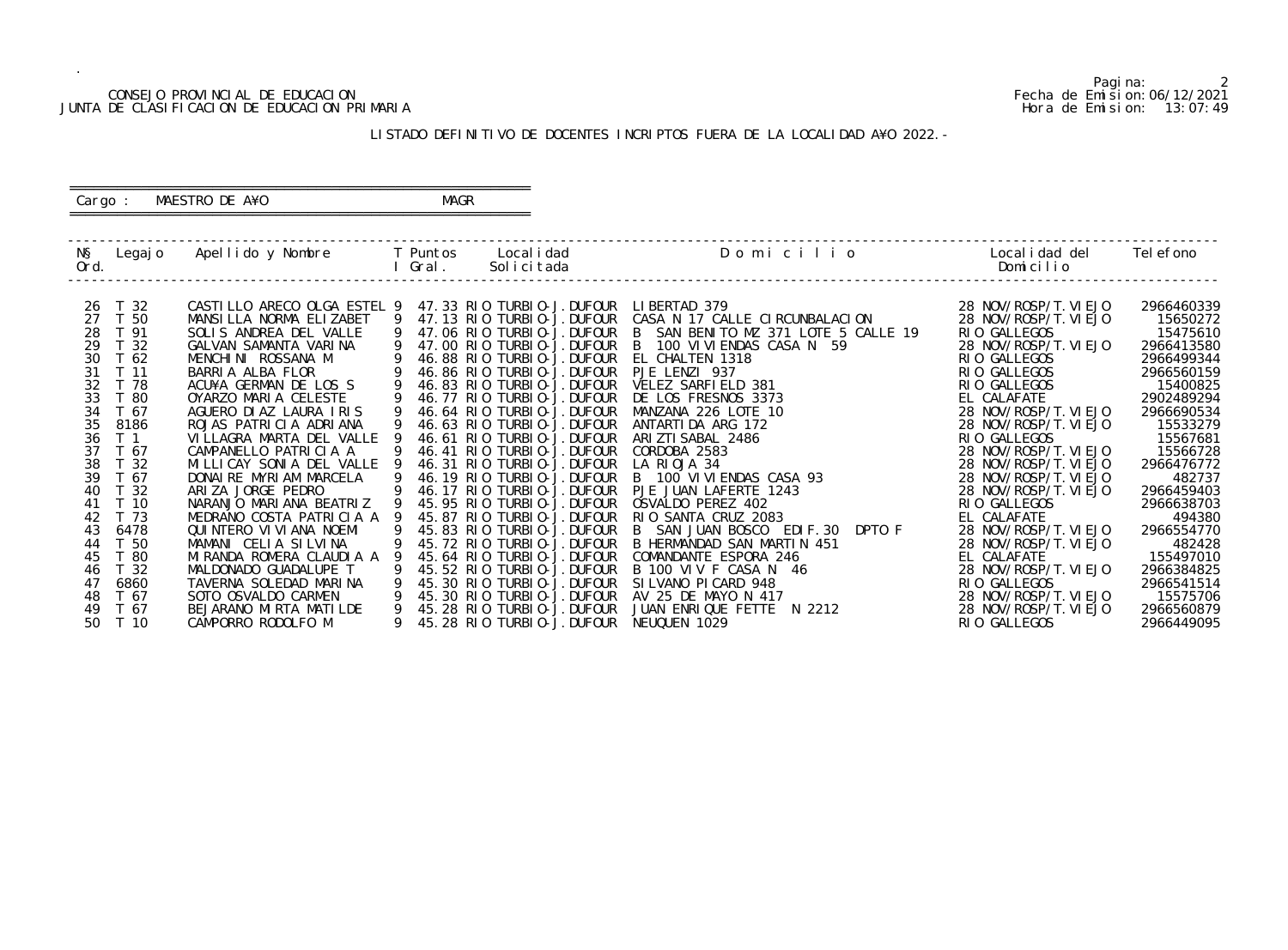## CONSEJO PROVINCIAL DE EDUCACION Fecha de Emision:06/12/2021 JUNTA DE CLASIFICACION DE EDUCACION PRIMARIA Hora de Emision: 13:07:49

# ========================================================== Cargo : MAESTRO DE A¥O **MAGR**

# LISTADO DEFINITIVO DE DOCENTES INCRIPTOS FUERA DE LA LOCALIDAD A¥O 2022.-

==========================================================

| NŞ<br>Ord. | Legaj o         | Apellido y Nombre       T Puntos |    | Local i dad<br>I Gral.<br>Solicitada | Domicilio                           | Local i dad del<br>Domicilio | Tel efono  |
|------------|-----------------|----------------------------------|----|--------------------------------------|-------------------------------------|------------------------------|------------|
|            |                 |                                  |    |                                      |                                     |                              |            |
| -26        | T <sub>32</sub> | CASTILLO ARECO OLGA ESTEL 9      |    | 47.33 RIO TURBIO-J.DUFOUR            | LIBERTAD 379                        | 28 NOV/ROSP/T. VI EJO        | 2966460339 |
| 27         | T 50            | MANSILLA NORMA ELIZABET          | -9 | 47.13 RIO TURBIO-J. DUFOUR           | CASA N 17 CALLE CIRCUNBALACION      | 28 NOV/ROSP/T. VI EJO        | 15650272   |
| 28         | T 91            | SOLIS ANDREA DEL VALLE           | 9  | 47.06 RIO TURBIO-J. DUFOUR           | B SAN BENITO MZ 371 LOTE 5 CALLE 19 | RIO GALLEGOS                 | 15475610   |
| 29         | T 32            | GALVAN SAMANTA VARINA            |    | 47.00 RIO TURBIO-J.DUFOUR            | B 100 VI VI ENDAS CASA N 59         | 28 NOV/ROSP/T. VI EJO        | 2966413580 |
| 30         | T 62            | MENCHINI ROSSANA M               |    | 46.88 RIO TURBIO-J. DUFOUR           | EL CHALTEN 1318                     | RIO GALLEGOS                 | 2966499344 |
| 31         | T <sub>11</sub> | BARRIA ALBA FLOR                 |    | 46.86 RIO TURBIO-J. DUFOUR           | PJE LENZI 937                       | RIO GALLEGOS                 | 2966560159 |
| 32         | T 78            | ACU¥A GERMAN DE LOS S            |    | 46.83 RIO TURBIO-J.DUFOUR            | VELEZ SARFIELD 381                  | RIO GALLEGOS                 | 15400825   |
| 33         | T 80            | OYARZO MARIA CELESTE             |    | 46.77 RIO TURBIO-J. DUFOUR           | DE LOS FRESNOS 3373                 | EL CALAFATE                  | 2902489294 |
| 34         | T 67            | AGUERO DI AZ LAURA I RIS         |    | 46.64 RIO TURBIO-J. DUFOUR           | MANZANA 226 LOTE 10                 | 28 NOV/ROSP/T. VI EJO        | 2966690534 |
| 35         | 8186            | ROJAS PATRICIA ADRIANA           |    | 46.63 RIO TURBIO-J. DUFOUR           | ANTARTIDA ARG 172                   | 28 NOV/ROSP/T. VI EJO        | 15533279   |
| 36         | T <sub>1</sub>  | VILLAGRA MARTA DEL VALLE         |    | 46.61 RIO TURBIO-J. DUFOUR           | ARIZTI SABAL 2486                   | RIO GALLEGOS                 | 15567681   |
| 37         | T 67            | CAMPANELLO PATRICIA A            |    | 46.41 RIO TURBIO-J. DUFOUR           | CORDOBA 2583                        | 28 NOV/ROSP/T. VI EJO        | 15566728   |
| 38         | T 32            | MILLICAY SONIA DEL VALLE         |    | 46.31 RIO TURBIO-J. DUFOUR           | LA RIOJA 34                         | 28 NOV/ROSP/T. VI EJO        | 2966476772 |
| 39         | T 67            | DONAIRE MYRIAM MARCELA           | 9  | 46.19 RIO TURBIO-J. DUFOUR           | B 100 VI VI ENDAS CASA 93           | 28 NOV/ROSP/T. VI EJO        | 482737     |
| 40         | T 32            | ARIZA JORGE PEDRO                | 9  | 46.17 RIO TURBIO-J. DUFOUR           | PJE JUAN LAFERTE 1243               | 28 NOV/ROSP/T. VI EJO        | 2966459403 |
| 41         | T 10            | NARANJO MARIANA BEATRIZ          |    | 45.95 RIO TURBIO-J. DUFOUR           | OSVALDO PEREZ 402                   | RIO GALLEGOS                 | 2966638703 |
| 42         | T 73            | MEDRANO COSTA PATRICIA A 9       |    | 45.87 RIO TURBIO-J. DUFOUR           | RIO SANTA CRUZ 2083                 | EL CALAFATE                  | 494380     |
| 43         | 6478            | QUINTERO VI VI ANA NOEMI         | 9  | 45.83 RIO TURBIO-J. DUFOUR           | B SAN JUAN BOSCO EDIF. 30 DPTO F    | 28 NOV/ROSP/T. VI EJO        | 2966554770 |
| 44         | T 50            | MAMANI CELIA SILVINA             |    | 45.72 RIO TURBIO-J. DUFOUR           | B HERMANDAD SAN MARTIN 451          | 28 NOV/ROSP/T. VI EJO        | 482428     |
| 45         | T 80            | MIRANDA ROMERA CLAUDIA A         |    | 45.64 RIO TURBIO-J. DUFOUR           | COMANDANTE ESPORA 246               | EL CALAFATE                  | 155497010  |
| 46         | T <sub>32</sub> | MALDONADO GUADALUPE T            |    | 45.52 RIO TURBIO-J. DUFOUR           | B 100 VIV F CASA N<br>46            | 28 NOV/ROSP/T. VI EJO        | 2966384825 |
| 47         | 6860            | TAVERNA SOLEDAD MARINA           | 9  | 45.30 RIO TURBIO-J.DUFOUR            | SILVANO PICARD 948                  | RIO GALLEGOS                 | 2966541514 |
| 48         | T 67            | SOTO OSVALDO CARMEN              |    | 45.30 RIO TURBIO-J. DUFOUR           | AV 25 DE MAYO N 417                 | 28 NOV/ROSP/T. VI EJO        | 15575706   |
| 49         | T 67            | BEJARANO MIRTA MATILDE           |    | 45.28 RIO TURBIO-J.DUFOUR            | JUAN ENRIQUE FETTE N 2212           | 28 NOV/ROSP/T. VI EJO        | 2966560879 |
| 50         | T 10            | CAMPORRO RODOLFO M               | 9  | 45.28 RIO TURBIO-J. DUFOUR           | NEUQUEN 1029                        | RIO GALLEGOS                 | 2966449095 |

Pagina: 2<br>Fecha de Emision: 06/12/2021<br>Hora de Emision: 13: 07: 49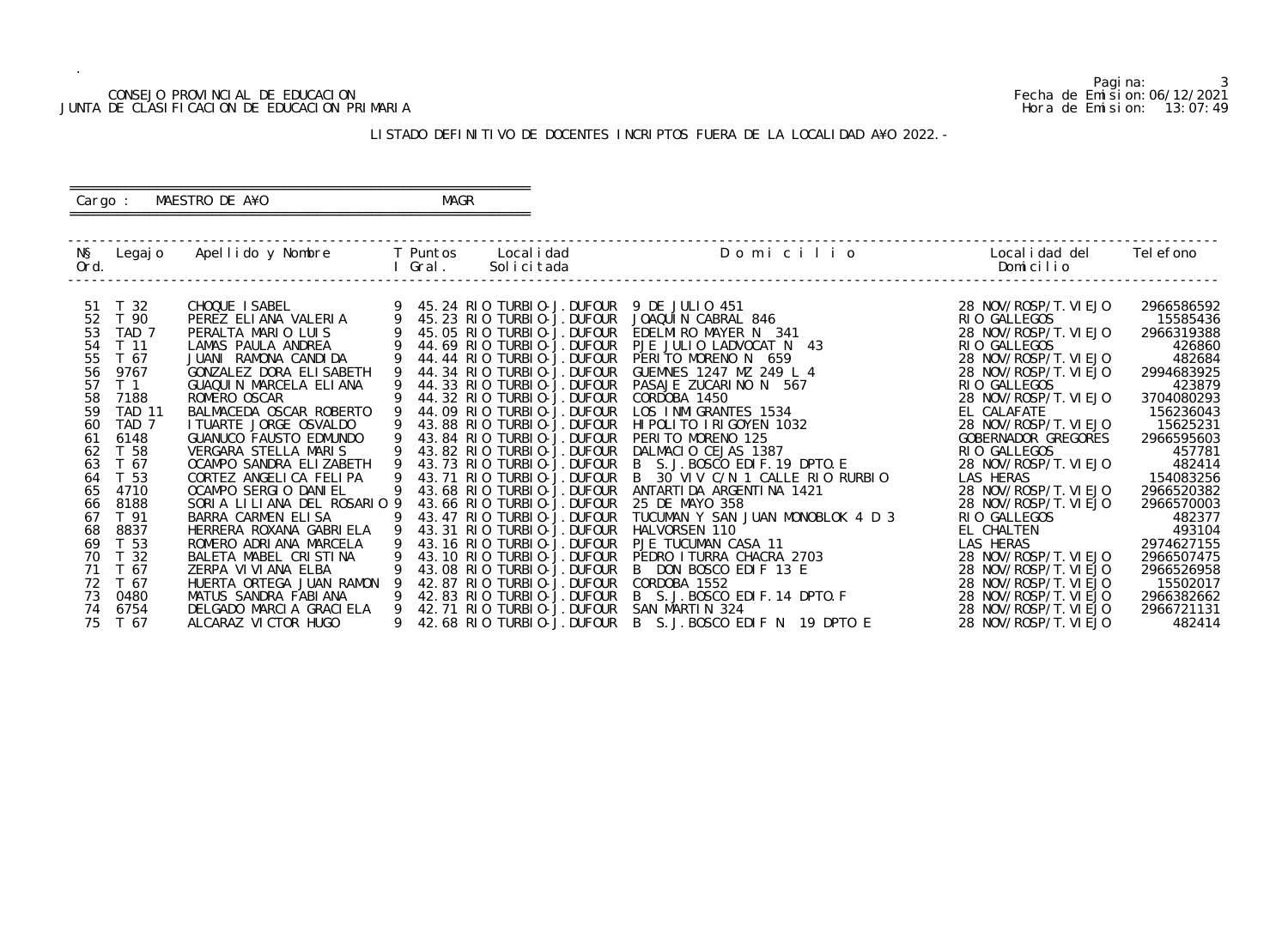## CONSEJO PROVINCIAL DE EDUCACION Fecha de Emision:06/12/2021 JUNTA DE CLASIFICACION DE EDUCACION PRIMARIA Hora de Emision: 13:07:49

 ========================================================== Cargo : MAESTRO DE A¥O **MAGR** 

# LISTADO DEFINITIVO DE DOCENTES INCRIPTOS FUERA DE LA LOCALIDAD A¥O 2022.-

==========================================================

| NŞ<br>Ord. | Legaj o          | Apellido y Nombre           |    | T Puntos<br>I Gral. | Local i dad<br>Solicitada                               | Domicilio                            | Local i dad del<br>Domicilio          | Tel efono  |
|------------|------------------|-----------------------------|----|---------------------|---------------------------------------------------------|--------------------------------------|---------------------------------------|------------|
|            | T 32             | CHOQUE ISABEL               |    |                     |                                                         |                                      |                                       | 2966586592 |
| -51<br>52  | T 90             | PEREZ ELIANA VALERIA        | 9  |                     | 45.24 RIO TURBIO-J.DUFOUR<br>45.23 RIO TURBIO-J. DUFOUR | 9 DE JULIO 451<br>JOAQUIN CABRAL 846 | 28 NOV/ROSP/T. VI EJO<br>RIO GALLEGOS | 15585436   |
|            |                  |                             |    |                     |                                                         |                                      |                                       |            |
| 53         | TAD <sub>7</sub> | PERALTA MARIO LUIS          |    |                     | 45.05 RIO TURBIO-J. DUFOUR                              | EDELMIRO MAYER N 341                 | 28 NOV/ROSP/T. VI EJO                 | 2966319388 |
| 54         | T <sub>11</sub>  | LAMAS PAULA ANDREA          |    |                     | 44.69 RIO TURBIO-J. DUFOUR                              | PJE JULIO LADVOCAT N 43              | RIO GALLEGOS                          | 426860     |
| 55         | T 67             | JUANI RAMONA CANDIDA        |    |                     | 44.44 RIO TURBIO-J. DUFOUR                              | PERITO MORENO N 659                  | 28 NOV/ROSP/T. VI EJO                 | 482684     |
| 56         | 9767             | GONZALEZ DORA ELI SABETH    |    |                     | 44.34 RIO TURBIO-J. DUFOUR                              | GUEMNES 1247 MZ 249 L 4              | 28 NOV/ROSP/T. VI EJO                 | 2994683925 |
| 57         | T <sub>1</sub>   | GUAQUIN MARCELA ELIANA      |    |                     | 44.33 RIO TURBIO-J. DUFOUR                              | PASAJE ZUCARINO N 567                | RIO GALLEGOS                          | 423879     |
| 58         | 7188             | ROMERO OSCAR                |    |                     | 44.32 RIO TURBIO-J. DUFOUR                              | CORDOBA 1450                         | 28 NOV/ROSP/T. VI EJO                 | 3704080293 |
| 59         | <b>TAD 11</b>    | BALMACEDA OSCAR ROBERTO     |    |                     | 44.09 RIO TURBIO-J.DUFOUR                               | LOS INMIGRANTES 1534                 | EL CALAFATE                           | 156236043  |
| 60         | TAD <sub>7</sub> | I TUARTE JORGE OSVALDO      |    |                     | 43.88 RIO TURBIO-J.DUFOUR                               | HI POLITO I RI GOYEN 1032            | 28 NOV/ROSP/T. VI EJO                 | 15625231   |
| 61         | 6148             | GUANUCO FAUSTO EDMUNDO      |    |                     | 43.84 RIO TURBIO-J.DUFOUR                               | PERITO MORENO 125                    | GOBERNADOR GREGORES                   | 2966595603 |
| 62         | T 58             | VERGARA STELLA MARIS        |    |                     | 43.82 RIO TURBIO-J.DUFOUR                               | DALMACIO CEJAS 1387                  | RIO GALLEGOS                          | 457781     |
| 63         | T 67             | OCAMPO SANDRA ELIZABETH     |    |                     | 43.73 RIO TURBIO-J. DUFOUR                              | B S. J. BOSCO EDI F. 19 DPTO. E      | 28 NOV/ROSP/T. VI EJO                 | 482414     |
| 64         | T 53             | CORTEZ ANGELICA FELIPA      | 9  |                     | 43.71 RIO TURBIO-J. DUFOUR                              | B<br>30 VIV C/N 1 CALLE RIO RURBIO   | LAS HERAS                             | 154083256  |
| 65         | 4710             | OCAMPO SERGIO DANIEL        |    |                     | 43.68 RIO TURBIO-J. DUFOUR                              | ANTARTI DA ARGENTI NA 1421           | 28 NOV/ROSP/T. VI EJO                 | 2966520382 |
| 66         | 8188             | SORIA LILIANA DEL ROSARIO 9 |    |                     | 43.66 RIO TURBIO-J. DUFOUR                              | 25 DE MAYO 358                       | 28 NOV/ROSP/T. VI EJO                 | 2966570003 |
| 67         | T 91             | BARRA CARMEN ELISA          | 9  |                     | 43.47 RIO TURBIO-J.DUFOUR                               | TUCUMAN Y SAN JUAN MONOBLOK 4 D 3    | RIO GALLEGOS                          | 482377     |
| 68         | 8837             | HERRERA ROXANA GABRIELA     | -9 |                     | 43.31 RIO TURBIO-J. DUFOUR                              | HALVORSEN 110                        | EL CHALTEN                            | 493104     |
| 69         | T 53             | ROMERO ADRIANA MARCELA      | 9  |                     | 43.16 RIO TURBIO-J. DUFOUR                              | PJE TUCUMAN CASA 11                  | LAS HERAS                             | 2974627155 |
| 70         | T 32             | BALETA MABEL CRISTINA       |    |                     | 43.10 RIO TURBIO-J. DUFOUR                              | PEDRO I TURRA CHACRA 2703            | 28 NOV/ROSP/T. VI EJO                 | 2966507475 |
| 71         | T 67             | ZERPA VI VI ANA ELBA        |    |                     | 43.08 RIO TURBIO-J.DUFOUR                               | B DON BOSCO EDIF 13 E                | 28 NOV/ROSP/T. VI EJO                 | 2966526958 |
| 72         | T 67             | HUERTA ORTEGA JUAN RAMON    |    |                     | 42.87 RIO TURBIO-J. DUFOUR                              | CORDOBA 1552                         | 28 NOV/ROSP/T. VI EJO                 | 15502017   |
| 73         | 0480             | MATUS SANDRA FABIANA        | 9  |                     | 42.83 RIO TURBIO-J. DUFOUR                              | B S. J. BOSCO EDI F. 14 DPTO. F      | 28 NOV/ROSP/T. VI EJO                 | 2966382662 |
| 74         | 6754             | DELGADO MARCIA GRACIELA     | 9  |                     | 42.71 RIO TURBIO-J. DUFOUR                              | SAN MARTIN 324                       | 28 NOV/ROSP/T. VI EJO                 | 2966721131 |
| 75         | T 67             | ALCARAZ VICTOR HUGO         | 9  |                     | 42.68 RIO TURBIO-J. DUFOUR                              | B S. J. BOSCO EDIF N 19 DPTO E       | 28 NOV/ROSP/T. VI EJO                 | 482414     |

Pagina: 3<br>Fecha de Emision: 06/12/2021<br>Hora de Emision: 13: 07: 49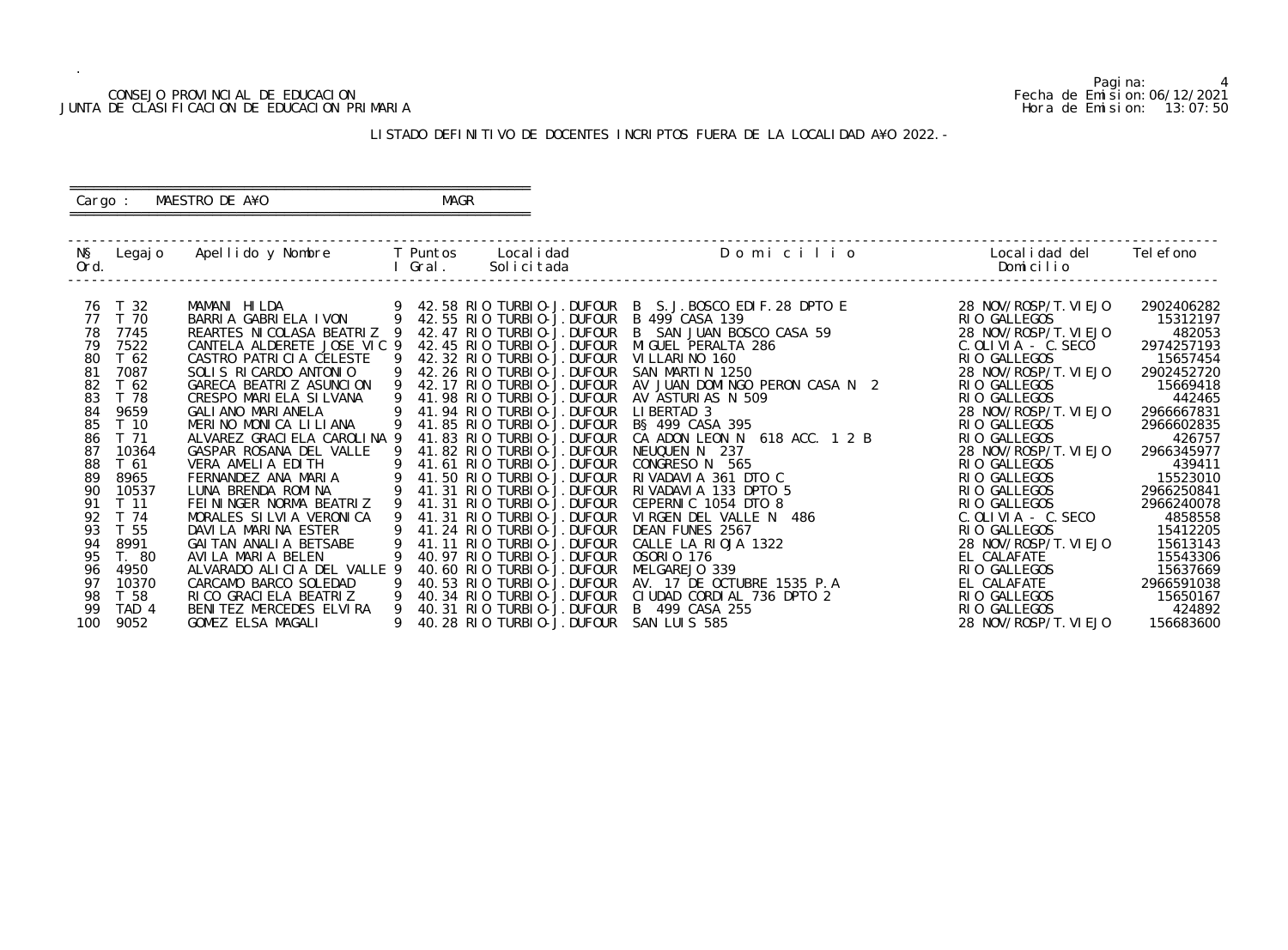## CONSEJO PROVINCIAL DE EDUCACION Fecha de Emision:06/12/2021 JUNTA DE CLASIFICACION DE EDUCACION PRIMARIA Hora de Emision: 13:07:50

 ========================================================== Cargo : MAESTRO DE A¥O **MAGR** 

# LISTADO DEFINITIVO DE DOCENTES INCRIPTOS FUERA DE LA LOCALIDAD A¥O 2022.-

==========================================================

| NŞ   | Legaj o          | Apellido y Nombre            | T Puntos<br>Local i dad    | Domicilio                      | Local i dad del         | Tel efono  |
|------|------------------|------------------------------|----------------------------|--------------------------------|-------------------------|------------|
| Ord. |                  |                              | Solicitada<br>Gral.        |                                | Domicilio               |            |
|      |                  |                              |                            |                                |                         |            |
| 76   | T 32             | MAMANI HILDA                 | 42.58 RIO TURBIO-J.DUFOUR  | B S. J. BOSCO EDIF. 28 DPTO E  | 28 NOV/ROSP/T. VI EJO   | 2902406282 |
| 77   | T 70             | BARRIA GABRIELA IVON         | 42.55 RIO TURBIO-J. DUFOUR | B 499 CASA 139                 | RIO GALLEGOS            | 15312197   |
| 78   | 7745             | REARTES NI COLASA BEATRIZ 9  | 42.47 RIO TURBIO-J. DUFOUR | B SAN JUAN BOSCO CASA 59       | 28 NOV/ROSP/T. VI EJO   | 482053     |
| 79   | 7522             | CANTELA ALDERETE JOSE VIC 9  | 42.45 RIO TURBIO-J. DUFOUR | MIGUEL PERALTA 286             | $C.$ OLIVIA - $C.$ SECO | 2974257193 |
| 80   | T 62             | CASTRO PATRICIA CELESTE      | 42.32 RIO TURBIO-J.DUFOUR  | VI LLARI NO 160                | RIO GALLEGOS            | 15657454   |
| -81  | 7087             | SOLIS RICARDO ANTONIO        | 42.26 RIO TURBIO-J. DUFOUR | SAN MARTIN 1250                | 28 NOV/ROSP/T. VI EJO   | 2902452720 |
| 82   | T 62             | GARECA BEATRIZ ASUNCION      | 42.17 RIO TURBIO-J. DUFOUR | AV JUAN DOMINGO PERON CASA N 2 | RIO GALLEGOS            | 15669418   |
| 83   | T 78             | CRESPO MARIELA SILVANA       | 41.98 RIO TURBIO-J. DUFOUR | AV ASTURIAS N 509              | RIO GALLEGOS            | 442465     |
| 84   | 9659             | GALI ANO MARI ANELA          | 41.94 RIO TURBIO-J. DUFOUR | LIBERTAD 3                     | 28 NOV/ROSP/T. VI EJO   | 2966667831 |
| 85   | T 10             | MERINO MONICA LILIANA        | 41.85 RIO TURBIO-J.DUFOUR  | B§ 499 CASA 395                | RIO GALLEGOS            | 2966602835 |
| 86   | T <sub>71</sub>  | ALVAREZ GRACI ELA CAROLINA 9 | 41.83 RIO TURBIO-J. DUFOUR | CA ADON LEON N 618 ACC. 1 2 B  | RIO GALLEGOS            | 426757     |
| 87   | 10364            | GASPAR ROSANA DEL VALLE      | 41.82 RIO TURBIO-J. DUFOUR | NEUQUEN N 237                  | 28 NOV/ROSP/T. VI EJO   | 2966345977 |
| 88   | T 61             | VERA AMELIA EDITH            | 41.61 RIO TURBIO-J. DUFOUR | CONGRESO N 565                 | RIO GALLEGOS            | 439411     |
| 89   | 8965             | FERNANDEZ ANA MARIA          | 41.50 RIO TURBIO-J. DUFOUR | RIVADAVIA 361 DTO C            | RIO GALLEGOS            | 15523010   |
| 90   | 10537            | LUNA BRENDA ROMINA           | 41.31 RIO TURBIO-J. DUFOUR | RIVADAVIA 133 DPTO 5           | RIO GALLEGOS            | 2966250841 |
| 91   | T 11             | FEININGER NORMA BEATRIZ      | 41.31 RIO TURBIO-J. DUFOUR | CEPERNIC 1054 DTO 8            | RIO GALLEGOS            | 2966240078 |
| 92   | T 74             | MORALES SILVIA VERONICA      | 41.31 RIO TURBIO-J. DUFOUR | VIRGEN DEL VALLE N 486         | $C.$ OLIVIA - $C.$ SECO | 4858558    |
| 93   | T 55             | DAVILA MARINA ESTER          | 41.24 RIO TURBIO-J. DUFOUR | DEAN FUNES 2567                | RIO GALLEGOS            | 15412205   |
| 94   | 8991             | GAI TAN ANALI A BETSABE      | 41.11 RIO TURBIO-J. DUFOUR | CALLE LA RIOJA 1322            | 28 NOV/ROSP/T. VI EJO   | 15613143   |
| 95   | T. 80            | AVILA MARIA BELEN            | 40.97 RIO TURBIO-J. DUFOUR | 0S0RI0 176                     | EL CALAFATE             | 15543306   |
| 96   | 4950             | ALVARADO ALICIA DEL VALLE 9  | 40.60 RIO TURBIO-J. DUFOUR | MELGAREJO 339                  | RIO GALLEGOS            | 15637669   |
| 97   | 10370            | CARCAMO BARCO SOLEDAD        | 40.53 RIO TURBIO-J. DUFOUR | AV. 17 DE OCTUBRE 1535 P.A.    | EL CALAFATE             | 2966591038 |
| 98   | T 58             | RI CO GRACI ELA BEATRIZ      | 40.34 RIO TURBIO-J. DUFOUR | CIUDAD CORDIAL 736 DPTO 2      | RIO GALLEGOS            | 15650167   |
| 99   | TAD <sub>4</sub> | BENITEZ MERCEDES ELVIRA      | 40.31 RIO TURBIO-J. DUFOUR | B 499 CASA 255                 | RIO GALLEGOS            | 424892     |
| 100  | 9052             | GOMEZ ELSA MAGALI            | 40.28 RIO TURBIO-J. DUFOUR | SAN LUIS 585                   | 28 NOV/ROSP/T. VI EJO   | 156683600  |

Pagina: 4<br>Fecha de Emision: 06/12/2021<br>Hora de Emision: 13: 07: 50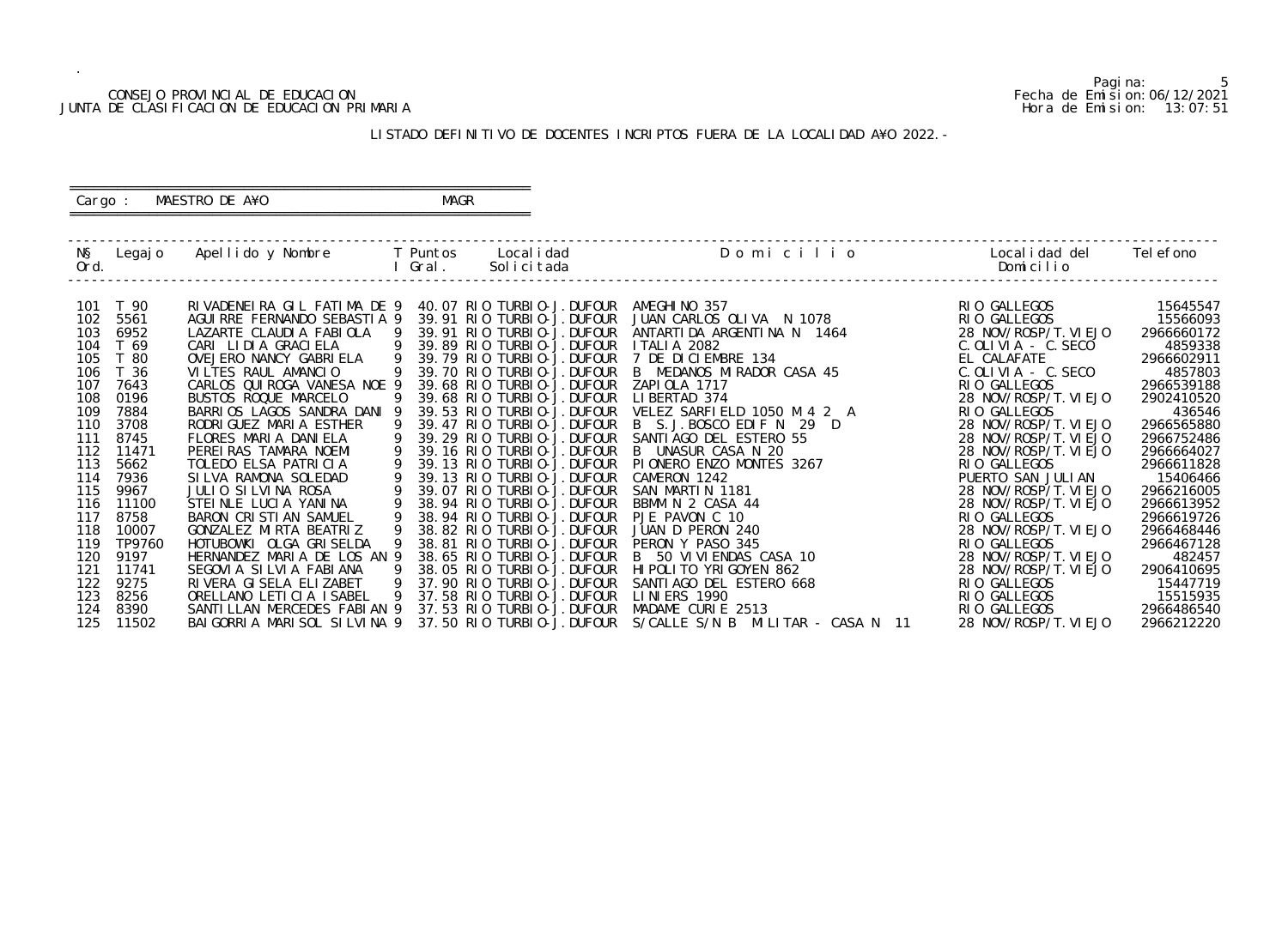## CONSEJO PROVINCIAL DE EDUCACION Fecha de Emision:06/12/2021 JUNTA DE CLASIFICACION DE EDUCACION PRIMARIA Hora de Emision: 13:07:51

# ========================================================== Cargo : MAESTRO DE A¥O **MAGR**

# LISTADO DEFINITIVO DE DOCENTES INCRIPTOS FUERA DE LA LOCALIDAD A¥O 2022.-

==========================================================

| Apellido y Nombre<br>T Puntos<br>Local i dad<br>Tel efono<br>Domicilio<br>Local i dad del<br>NŞ<br>Legaj o<br>Ord.<br>Domicilio<br>Gral.<br>Solicitada<br>T 90<br>RIVADENEIRA GIL FATIMA DE 9<br>40.07 RIO TURBIO-J. DUFOUR<br>AMEGHINO 357<br>RIO GALLEGOS<br>15645547<br>101<br>JUAN CARLOS OLIVA N 1078<br>5561<br>AGUIRRE FERNANDO SEBASTIA 9<br>39.91 RIO TURBIO-J. DUFOUR<br>RIO GALLEGOS<br>15566093<br>102<br>103<br>6952<br>LAZARTE CLAUDIA FABIOLA<br>39.91 RIO TURBIO-J. DUFOUR<br>ANTARTIDA ARGENTINA N 1464<br>28 NOV/ROSP/T. VI EJO<br>2966660172<br>$\overline{9}$<br>104<br>T 69<br>CARI LIDIA GRACIELA<br>39.89 RIO TURBIO-J. DUFOUR<br><b>ITALIA 2082</b><br>$C.$ OLIVIA - $C.$ SECO<br>4859338<br>105<br>T 80<br>9<br>39.79 RIO TURBIO-J. DUFOUR<br>7 DE DICIEMBRE 134<br>EL CALAFATE<br>2966602911<br>OVEJERO NANCY GABRI ELA<br>MEDANOS MIRADOR CASA 45<br>$C.$ OLIVIA - $C.$ SECO<br>106<br>T 36<br>VILTES RAUL AMANCIO<br>39.70 RIO TURBIO-J. DUFOUR<br>4857803<br>B —<br>CARLOS QUI ROGA VANESA NOE 9<br>ZAPI OLA 1717<br>RIO GALLEGOS<br>2966539188<br>107<br>7643<br>39.68 RIO TURBIO-J. DUFOUR<br>0196<br>BUSTOS ROQUE MARCELO<br>39.68 RIO TURBIO-J. DUFOUR<br>LIBERTAD 374<br>108<br>28 NOV/ROSP/T. VI EJO<br>2902410520<br>VELEZ SARFIELD 1050 M 4 2 A<br>7884<br>BARRIOS LAGOS SANDRA DANI 9<br>39.53 RIO TURBIO-J. DUFOUR<br>RIO GALLEGOS<br>436546<br>109<br>3708<br>RODRI GUEZ MARI A ESTHER<br>B S. J. BOSCO EDIF N 29 D<br>110<br>39.47 RIO TURBIO-J. DUFOUR<br>28 NOV/ROSP/T. VI EJO<br>2966565880<br>8745<br>SANTI AGO DEL ESTERO 55<br>111<br>FLORES MARIA DANIELA<br>39.29 RIO TURBIO-J. DUFOUR<br>28 NOV/ROSP/T. VI EJO<br>2966752486<br>PEREIRAS TAMARA NOEMI<br>39.16 RIO TURBIO-J. DUFOUR<br>B UNASUR CASA N 20<br>112<br>11471<br>28 NOV/ROSP/T. VI EJO<br>2966664027<br>5662<br>TOLEDO ELSA PATRICIA<br>PIONERO ENZO MONTES 3267<br>113<br>39.13 RIO TURBIO-J. DUFOUR<br>RIO GALLEGOS<br>2966611828<br>7936<br>PUERTO SAN JULIAN<br>114<br>SILVA RAMONA SOLEDAD<br>39.13 RIO TURBIO-J. DUFOUR<br>CAMERON 1242<br>15406466<br>115<br>9967<br><b>JULIO SILVINA ROSA</b><br>39.07 RIO TURBIO-J. DUFOUR<br>SAN MARTIN 1181<br>28 NOV/ROSP/T. VI EJO<br>2966216005<br>11100<br>STEINLE LUCIA YANINA<br>116<br>38.94 RIO TURBIO-J. DUFOUR<br>BBMM N 2 CASA 44<br>28 NOV/ROSP/T. VI EJO<br>2966613952<br>8758<br>BARON CRISTIAN SAMUEL<br>117<br>38.94 RIO TURBIO-J. DUFOUR<br>PJE PAVON C 10<br>RIO GALLEGOS<br>2966619726<br>10007<br>GONZALEZ MIRTA BEATRIZ<br>38.82 RIO TURBIO-J. DUFOUR<br>JUAN D PERON 240<br>28 NOV/ROSP/T. VIEJO<br>118<br>2966468446<br>119<br>TP9760<br>HOTUBOWKI OLGA GRISELDA<br>38.81 RIO TURBIO-J. DUFOUR<br>PERON Y PASO 345<br>RIO GALLEGOS<br>2966467128<br>120<br>9197<br>HERNANDEZ MARIA DE LOS AN 9<br>38.65 RIO TURBIO-J. DUFOUR<br>B 50 VIVIENDAS CASA 10<br>28 NOV/ROSP/T. VI EJO<br>482457 |  |  |  |  |
|---------------------------------------------------------------------------------------------------------------------------------------------------------------------------------------------------------------------------------------------------------------------------------------------------------------------------------------------------------------------------------------------------------------------------------------------------------------------------------------------------------------------------------------------------------------------------------------------------------------------------------------------------------------------------------------------------------------------------------------------------------------------------------------------------------------------------------------------------------------------------------------------------------------------------------------------------------------------------------------------------------------------------------------------------------------------------------------------------------------------------------------------------------------------------------------------------------------------------------------------------------------------------------------------------------------------------------------------------------------------------------------------------------------------------------------------------------------------------------------------------------------------------------------------------------------------------------------------------------------------------------------------------------------------------------------------------------------------------------------------------------------------------------------------------------------------------------------------------------------------------------------------------------------------------------------------------------------------------------------------------------------------------------------------------------------------------------------------------------------------------------------------------------------------------------------------------------------------------------------------------------------------------------------------------------------------------------------------------------------------------------------------------------------------------------------------------------------------------------------------------------------------------------------------------------------------------------------------------------------------------------------------------------------------------------------------------------------------------------------------------------------------------------------------------------------------------------------------------------------------------|--|--|--|--|
|                                                                                                                                                                                                                                                                                                                                                                                                                                                                                                                                                                                                                                                                                                                                                                                                                                                                                                                                                                                                                                                                                                                                                                                                                                                                                                                                                                                                                                                                                                                                                                                                                                                                                                                                                                                                                                                                                                                                                                                                                                                                                                                                                                                                                                                                                                                                                                                                                                                                                                                                                                                                                                                                                                                                                                                                                                                                           |  |  |  |  |
|                                                                                                                                                                                                                                                                                                                                                                                                                                                                                                                                                                                                                                                                                                                                                                                                                                                                                                                                                                                                                                                                                                                                                                                                                                                                                                                                                                                                                                                                                                                                                                                                                                                                                                                                                                                                                                                                                                                                                                                                                                                                                                                                                                                                                                                                                                                                                                                                                                                                                                                                                                                                                                                                                                                                                                                                                                                                           |  |  |  |  |
|                                                                                                                                                                                                                                                                                                                                                                                                                                                                                                                                                                                                                                                                                                                                                                                                                                                                                                                                                                                                                                                                                                                                                                                                                                                                                                                                                                                                                                                                                                                                                                                                                                                                                                                                                                                                                                                                                                                                                                                                                                                                                                                                                                                                                                                                                                                                                                                                                                                                                                                                                                                                                                                                                                                                                                                                                                                                           |  |  |  |  |
|                                                                                                                                                                                                                                                                                                                                                                                                                                                                                                                                                                                                                                                                                                                                                                                                                                                                                                                                                                                                                                                                                                                                                                                                                                                                                                                                                                                                                                                                                                                                                                                                                                                                                                                                                                                                                                                                                                                                                                                                                                                                                                                                                                                                                                                                                                                                                                                                                                                                                                                                                                                                                                                                                                                                                                                                                                                                           |  |  |  |  |
|                                                                                                                                                                                                                                                                                                                                                                                                                                                                                                                                                                                                                                                                                                                                                                                                                                                                                                                                                                                                                                                                                                                                                                                                                                                                                                                                                                                                                                                                                                                                                                                                                                                                                                                                                                                                                                                                                                                                                                                                                                                                                                                                                                                                                                                                                                                                                                                                                                                                                                                                                                                                                                                                                                                                                                                                                                                                           |  |  |  |  |
|                                                                                                                                                                                                                                                                                                                                                                                                                                                                                                                                                                                                                                                                                                                                                                                                                                                                                                                                                                                                                                                                                                                                                                                                                                                                                                                                                                                                                                                                                                                                                                                                                                                                                                                                                                                                                                                                                                                                                                                                                                                                                                                                                                                                                                                                                                                                                                                                                                                                                                                                                                                                                                                                                                                                                                                                                                                                           |  |  |  |  |
|                                                                                                                                                                                                                                                                                                                                                                                                                                                                                                                                                                                                                                                                                                                                                                                                                                                                                                                                                                                                                                                                                                                                                                                                                                                                                                                                                                                                                                                                                                                                                                                                                                                                                                                                                                                                                                                                                                                                                                                                                                                                                                                                                                                                                                                                                                                                                                                                                                                                                                                                                                                                                                                                                                                                                                                                                                                                           |  |  |  |  |
|                                                                                                                                                                                                                                                                                                                                                                                                                                                                                                                                                                                                                                                                                                                                                                                                                                                                                                                                                                                                                                                                                                                                                                                                                                                                                                                                                                                                                                                                                                                                                                                                                                                                                                                                                                                                                                                                                                                                                                                                                                                                                                                                                                                                                                                                                                                                                                                                                                                                                                                                                                                                                                                                                                                                                                                                                                                                           |  |  |  |  |
|                                                                                                                                                                                                                                                                                                                                                                                                                                                                                                                                                                                                                                                                                                                                                                                                                                                                                                                                                                                                                                                                                                                                                                                                                                                                                                                                                                                                                                                                                                                                                                                                                                                                                                                                                                                                                                                                                                                                                                                                                                                                                                                                                                                                                                                                                                                                                                                                                                                                                                                                                                                                                                                                                                                                                                                                                                                                           |  |  |  |  |
|                                                                                                                                                                                                                                                                                                                                                                                                                                                                                                                                                                                                                                                                                                                                                                                                                                                                                                                                                                                                                                                                                                                                                                                                                                                                                                                                                                                                                                                                                                                                                                                                                                                                                                                                                                                                                                                                                                                                                                                                                                                                                                                                                                                                                                                                                                                                                                                                                                                                                                                                                                                                                                                                                                                                                                                                                                                                           |  |  |  |  |
|                                                                                                                                                                                                                                                                                                                                                                                                                                                                                                                                                                                                                                                                                                                                                                                                                                                                                                                                                                                                                                                                                                                                                                                                                                                                                                                                                                                                                                                                                                                                                                                                                                                                                                                                                                                                                                                                                                                                                                                                                                                                                                                                                                                                                                                                                                                                                                                                                                                                                                                                                                                                                                                                                                                                                                                                                                                                           |  |  |  |  |
|                                                                                                                                                                                                                                                                                                                                                                                                                                                                                                                                                                                                                                                                                                                                                                                                                                                                                                                                                                                                                                                                                                                                                                                                                                                                                                                                                                                                                                                                                                                                                                                                                                                                                                                                                                                                                                                                                                                                                                                                                                                                                                                                                                                                                                                                                                                                                                                                                                                                                                                                                                                                                                                                                                                                                                                                                                                                           |  |  |  |  |
|                                                                                                                                                                                                                                                                                                                                                                                                                                                                                                                                                                                                                                                                                                                                                                                                                                                                                                                                                                                                                                                                                                                                                                                                                                                                                                                                                                                                                                                                                                                                                                                                                                                                                                                                                                                                                                                                                                                                                                                                                                                                                                                                                                                                                                                                                                                                                                                                                                                                                                                                                                                                                                                                                                                                                                                                                                                                           |  |  |  |  |
|                                                                                                                                                                                                                                                                                                                                                                                                                                                                                                                                                                                                                                                                                                                                                                                                                                                                                                                                                                                                                                                                                                                                                                                                                                                                                                                                                                                                                                                                                                                                                                                                                                                                                                                                                                                                                                                                                                                                                                                                                                                                                                                                                                                                                                                                                                                                                                                                                                                                                                                                                                                                                                                                                                                                                                                                                                                                           |  |  |  |  |
|                                                                                                                                                                                                                                                                                                                                                                                                                                                                                                                                                                                                                                                                                                                                                                                                                                                                                                                                                                                                                                                                                                                                                                                                                                                                                                                                                                                                                                                                                                                                                                                                                                                                                                                                                                                                                                                                                                                                                                                                                                                                                                                                                                                                                                                                                                                                                                                                                                                                                                                                                                                                                                                                                                                                                                                                                                                                           |  |  |  |  |
|                                                                                                                                                                                                                                                                                                                                                                                                                                                                                                                                                                                                                                                                                                                                                                                                                                                                                                                                                                                                                                                                                                                                                                                                                                                                                                                                                                                                                                                                                                                                                                                                                                                                                                                                                                                                                                                                                                                                                                                                                                                                                                                                                                                                                                                                                                                                                                                                                                                                                                                                                                                                                                                                                                                                                                                                                                                                           |  |  |  |  |
|                                                                                                                                                                                                                                                                                                                                                                                                                                                                                                                                                                                                                                                                                                                                                                                                                                                                                                                                                                                                                                                                                                                                                                                                                                                                                                                                                                                                                                                                                                                                                                                                                                                                                                                                                                                                                                                                                                                                                                                                                                                                                                                                                                                                                                                                                                                                                                                                                                                                                                                                                                                                                                                                                                                                                                                                                                                                           |  |  |  |  |
|                                                                                                                                                                                                                                                                                                                                                                                                                                                                                                                                                                                                                                                                                                                                                                                                                                                                                                                                                                                                                                                                                                                                                                                                                                                                                                                                                                                                                                                                                                                                                                                                                                                                                                                                                                                                                                                                                                                                                                                                                                                                                                                                                                                                                                                                                                                                                                                                                                                                                                                                                                                                                                                                                                                                                                                                                                                                           |  |  |  |  |
|                                                                                                                                                                                                                                                                                                                                                                                                                                                                                                                                                                                                                                                                                                                                                                                                                                                                                                                                                                                                                                                                                                                                                                                                                                                                                                                                                                                                                                                                                                                                                                                                                                                                                                                                                                                                                                                                                                                                                                                                                                                                                                                                                                                                                                                                                                                                                                                                                                                                                                                                                                                                                                                                                                                                                                                                                                                                           |  |  |  |  |
|                                                                                                                                                                                                                                                                                                                                                                                                                                                                                                                                                                                                                                                                                                                                                                                                                                                                                                                                                                                                                                                                                                                                                                                                                                                                                                                                                                                                                                                                                                                                                                                                                                                                                                                                                                                                                                                                                                                                                                                                                                                                                                                                                                                                                                                                                                                                                                                                                                                                                                                                                                                                                                                                                                                                                                                                                                                                           |  |  |  |  |
|                                                                                                                                                                                                                                                                                                                                                                                                                                                                                                                                                                                                                                                                                                                                                                                                                                                                                                                                                                                                                                                                                                                                                                                                                                                                                                                                                                                                                                                                                                                                                                                                                                                                                                                                                                                                                                                                                                                                                                                                                                                                                                                                                                                                                                                                                                                                                                                                                                                                                                                                                                                                                                                                                                                                                                                                                                                                           |  |  |  |  |
|                                                                                                                                                                                                                                                                                                                                                                                                                                                                                                                                                                                                                                                                                                                                                                                                                                                                                                                                                                                                                                                                                                                                                                                                                                                                                                                                                                                                                                                                                                                                                                                                                                                                                                                                                                                                                                                                                                                                                                                                                                                                                                                                                                                                                                                                                                                                                                                                                                                                                                                                                                                                                                                                                                                                                                                                                                                                           |  |  |  |  |
|                                                                                                                                                                                                                                                                                                                                                                                                                                                                                                                                                                                                                                                                                                                                                                                                                                                                                                                                                                                                                                                                                                                                                                                                                                                                                                                                                                                                                                                                                                                                                                                                                                                                                                                                                                                                                                                                                                                                                                                                                                                                                                                                                                                                                                                                                                                                                                                                                                                                                                                                                                                                                                                                                                                                                                                                                                                                           |  |  |  |  |
| 11741<br>SEGOVIA SILVIA FABIANA<br>HI POLI TO YRI GOYEN 862<br>121<br>38.05 RIO TURBIO-J. DUFOUR<br>28 NOV/ROSP/T. VI EJO<br>2906410695                                                                                                                                                                                                                                                                                                                                                                                                                                                                                                                                                                                                                                                                                                                                                                                                                                                                                                                                                                                                                                                                                                                                                                                                                                                                                                                                                                                                                                                                                                                                                                                                                                                                                                                                                                                                                                                                                                                                                                                                                                                                                                                                                                                                                                                                                                                                                                                                                                                                                                                                                                                                                                                                                                                                   |  |  |  |  |
| 9<br>122<br>9275<br>RIVERA GISELA ELIZABET<br>37.90 RIO TURBIO-J. DUFOUR<br>SANTI AGO DEL ESTERO 668<br>RIO GALLEGOS<br>15447719                                                                                                                                                                                                                                                                                                                                                                                                                                                                                                                                                                                                                                                                                                                                                                                                                                                                                                                                                                                                                                                                                                                                                                                                                                                                                                                                                                                                                                                                                                                                                                                                                                                                                                                                                                                                                                                                                                                                                                                                                                                                                                                                                                                                                                                                                                                                                                                                                                                                                                                                                                                                                                                                                                                                          |  |  |  |  |
| ORELLANO LETICIA ISABEL<br>37.58 RIO TURBIO-J. DUFOUR<br><b>LINIERS 1990</b><br>15515935<br>123<br>8256<br>RIO GALLEGOS                                                                                                                                                                                                                                                                                                                                                                                                                                                                                                                                                                                                                                                                                                                                                                                                                                                                                                                                                                                                                                                                                                                                                                                                                                                                                                                                                                                                                                                                                                                                                                                                                                                                                                                                                                                                                                                                                                                                                                                                                                                                                                                                                                                                                                                                                                                                                                                                                                                                                                                                                                                                                                                                                                                                                   |  |  |  |  |
| RIO GALLEGOS<br>124<br>8390<br>SANTILLAN MERCEDES FABIAN 9<br>37.53 RIO TURBIO-J. DUFOUR<br>MADAME CURIE 2513<br>2966486540                                                                                                                                                                                                                                                                                                                                                                                                                                                                                                                                                                                                                                                                                                                                                                                                                                                                                                                                                                                                                                                                                                                                                                                                                                                                                                                                                                                                                                                                                                                                                                                                                                                                                                                                                                                                                                                                                                                                                                                                                                                                                                                                                                                                                                                                                                                                                                                                                                                                                                                                                                                                                                                                                                                                               |  |  |  |  |
| 11502<br>BAI GORRI A MARI SOL SI LVI NA 9<br>37.50 RIO TURBIO-J. DUFOUR<br>S/CALLE S/N B MILITAR - CASA N 11<br>28 NOV/ROSP/T. VI EJO<br>125<br>2966212220                                                                                                                                                                                                                                                                                                                                                                                                                                                                                                                                                                                                                                                                                                                                                                                                                                                                                                                                                                                                                                                                                                                                                                                                                                                                                                                                                                                                                                                                                                                                                                                                                                                                                                                                                                                                                                                                                                                                                                                                                                                                                                                                                                                                                                                                                                                                                                                                                                                                                                                                                                                                                                                                                                                |  |  |  |  |

5<br>Fecha de Emision: 06/12/2021<br>Hora de Emision: 13: 07: 51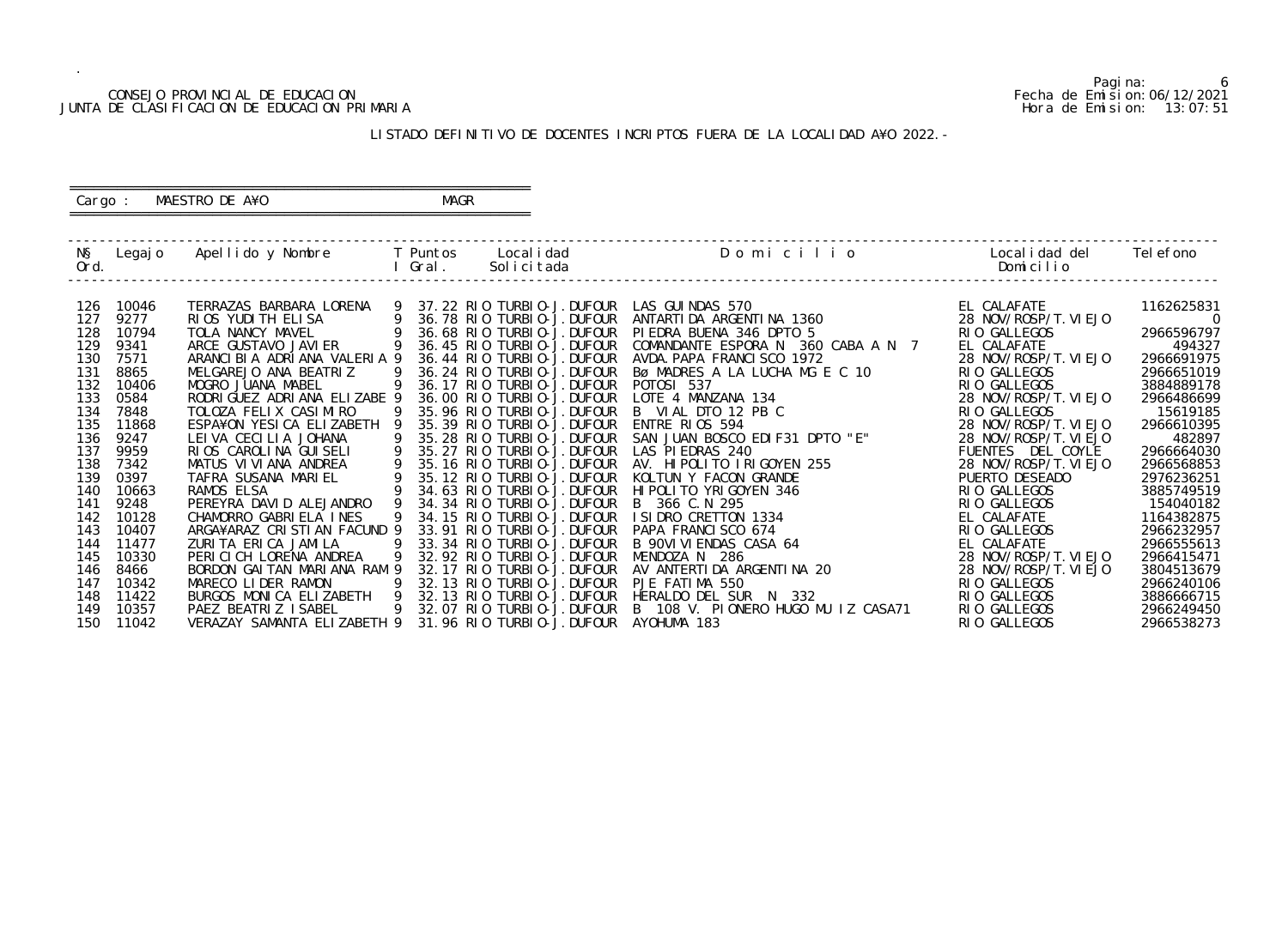## CONSEJO PROVINCIAL DE EDUCACION Fecha de Emision:06/12/2021 JUNTA DE CLASIFICACION DE EDUCACION PRIMARIA Hora de Emision: 13:07:51

# ========================================================== Cargo : MAESTRO DE A¥O **MAGR**

# LISTADO DEFINITIVO DE DOCENTES INCRIPTOS FUERA DE LA LOCALIDAD A¥O 2022.-

==========================================================

| NŞ   | Legaj o | Apellido y Nombre             |          | Local i dad<br>T Puntos    | Domicilio                          | Local i dad del       | Tel efono      |
|------|---------|-------------------------------|----------|----------------------------|------------------------------------|-----------------------|----------------|
| Ord. |         |                               |          | Gral.<br>Solicitada        |                                    | Domicilio             |                |
|      |         |                               |          |                            |                                    |                       |                |
| 126  | 10046   | TERRAZAS BARBARA LORENA       |          | 37.22 RIO TURBIO-J.DUFOUR  | LAS GUI NDAS 570                   | EL CALAFATE           | 1162625831     |
| 127  | 9277    | RIOS YUDITH ELISA             | 9        | 36.78 RIO TURBIO-J. DUFOUR | ANTARTI DA ARGENTI NA 1360         | 28 NOV/ROSP/T. VIEJO  | $\overline{0}$ |
| 128  | 10794   | TOLA NANCY MAVEL              |          | 36.68 RIO TURBIO-J. DUFOUR | PIEDRA BUENA 346 DPTO 5            | RIO GALLEGOS          | 2966596797     |
| 129  | 9341    | ARCE GUSTAVO JAVI ER          |          | 36.45 RIO TURBIO-J. DUFOUR | COMANDANTE ESPORA N 360 CABA A N 7 | EL CALAFATE           | 494327         |
| 130  | 7571    | ARANCIBIA ADRIANA VALERIA 9   |          | 36.44 RIO TURBIO-J. DUFOUR | AVDA. PAPA FRANCISCO 1972          | 28 NOV/ROSP/T. VI EJO | 2966691975     |
| 131  | 8865    | MELGAREJO ANA BEATRIZ         | <b>Q</b> | 36.24 RIO TURBIO-J. DUFOUR | BØ MADRES A LA LUCHA MG E C 10     | RIO GALLEGOS          | 2966651019     |
| 132  | 10406   | MOGRO JUANA MABEL             | 9        | 36.17 RIO TURBIO-J. DUFOUR | POTOSI 537                         | RIO GALLEGOS          | 3884889178     |
| 133  | 0584    | RODRI GUEZ ADRI ANA ELIZABE 9 |          | 36.00 RIO TURBIO-J. DUFOUR | LOTE 4 MANZANA 134                 | 28 NOV/ROSP/T. VI EJO | 2966486699     |
| 134  | 7848    | TOLOZA FELIX CASIMIRO         |          | 35.96 RIO TURBIO-J. DUFOUR | B VIAL DTO 12 PB C                 | RIO GALLEGOS          | 15619185       |
| 135  | 11868   | ESPA¥ON YESICA ELIZABETH      |          | 35.39 RIO TURBIO-J. DUFOUR | ENTRE RIOS 594                     | 28 NOV/ROSP/T. VIEJO  | 2966610395     |
| 136  | 9247    | LEIVA CECILIA JOHANA          |          | 35.28 RIO TURBIO-J. DUFOUR | SAN JUAN BOSCO EDIF31 DPTO "E"     | 28 NOV/ROSP/T. VI EJO | 482897         |
| 137  | 9959    | RIOS CAROLINA GUISELI         |          | 35.27 RIO TURBIO-J. DUFOUR | LAS PIEDRAS 240                    | FUENTES DEL COYLE     | 2966664030     |
| 138  | 7342    | MATUS VI VI ANA ANDREA        |          | 35.16 RIO TURBIO-J. DUFOUR | AV. HIPOLITO IRIGOYEN 255          | 28 NOV/ROSP/T. VI EJO | 2966568853     |
| 139  | 0397    | TAFRA SUSANA MARIEL           |          | 35.12 RIO TURBIO-J. DUFOUR | KOLTUN Y FACON GRANDE              | PUERTO DESEADO        | 2976236251     |
| 140  | 10663   | RAMOS ELSA                    | 9        | 34.63 RIO TURBIO-J. DUFOUR | HI POLI TO YRI GOYEN 346           | RIO GALLEGOS          | 3885749519     |
| 141  | 9248    | PEREYRA DAVID ALEJANDRO       |          | 34.34 RIO TURBIO-J. DUFOUR | B 366 C.N 295                      | RIO GALLEGOS          | 154040182      |
| 142  | 10128   | CHAMORRO GABRIELA INES        |          | 34.15 RIO TURBIO-J. DUFOUR | I SI DRO CRETTON 1334              | EL CALAFATE           | 1164382875     |
| 143  | 10407   | ARGA¥ARAZ CRISTIAN FACUND 9   |          | 33.91 RIO TURBIO-J. DUFOUR | PAPA FRANCISCO 674                 | RIO GALLEGOS          | 2966232957     |
| 144  | 11477   | ZURITA ERICA JAMILA           |          | 33.34 RIO TURBIO-J. DUFOUR | B 90VI VI ENDAS CASA 64            | EL CALAFATE           | 2966555613     |
| 145  | 10330   | PERICICH LORENA ANDREA        | 9        | 32.92 RIO TURBIO-J. DUFOUR | MENDOZA N 286                      | 28 NOV/ROSP/T. VI EJO | 2966415471     |
| 146  | 8466    | BORDON GAI TAN MARI ANA RAM 9 |          | 32.17 RIO TURBIO-J. DUFOUR | AV ANTERTIDA ARGENTINA 20          | 28 NOV/ROSP/T. VI EJO | 3804513679     |
| 147  | 10342   | MARECO LIDER RAMON            | 9        | 32.13 RIO TURBIO-J. DUFOUR | PJE FATIMA 550                     | RIO GALLEGOS          | 2966240106     |
| 148  | 11422   | BURGOS MONICA ELIZABETH       | -9       | 32.13 RIO TURBIO-J. DUFOUR | HERALDO DEL SUR N 332              | RIO GALLEGOS          | 3886666715     |
| 149  | 10357   | PAEZ BEATRIZ ISABEL           | 9        | 32.07 RIO TURBIO-J. DUFOUR | B 108 V. PIONERO HUGO MU IZ CASA71 | RIO GALLEGOS          | 2966249450     |
| 150  | 11042   | VERAZAY SAMANTA ELIZABETH 9   |          | 31.96 RIO TURBIO-J. DUFOUR | AYOHUMA 183                        | RIO GALLEGOS          | 2966538273     |

6<br>Fecha de Emision: 06/12/2021<br>Hora de Emision: 13: 07: 51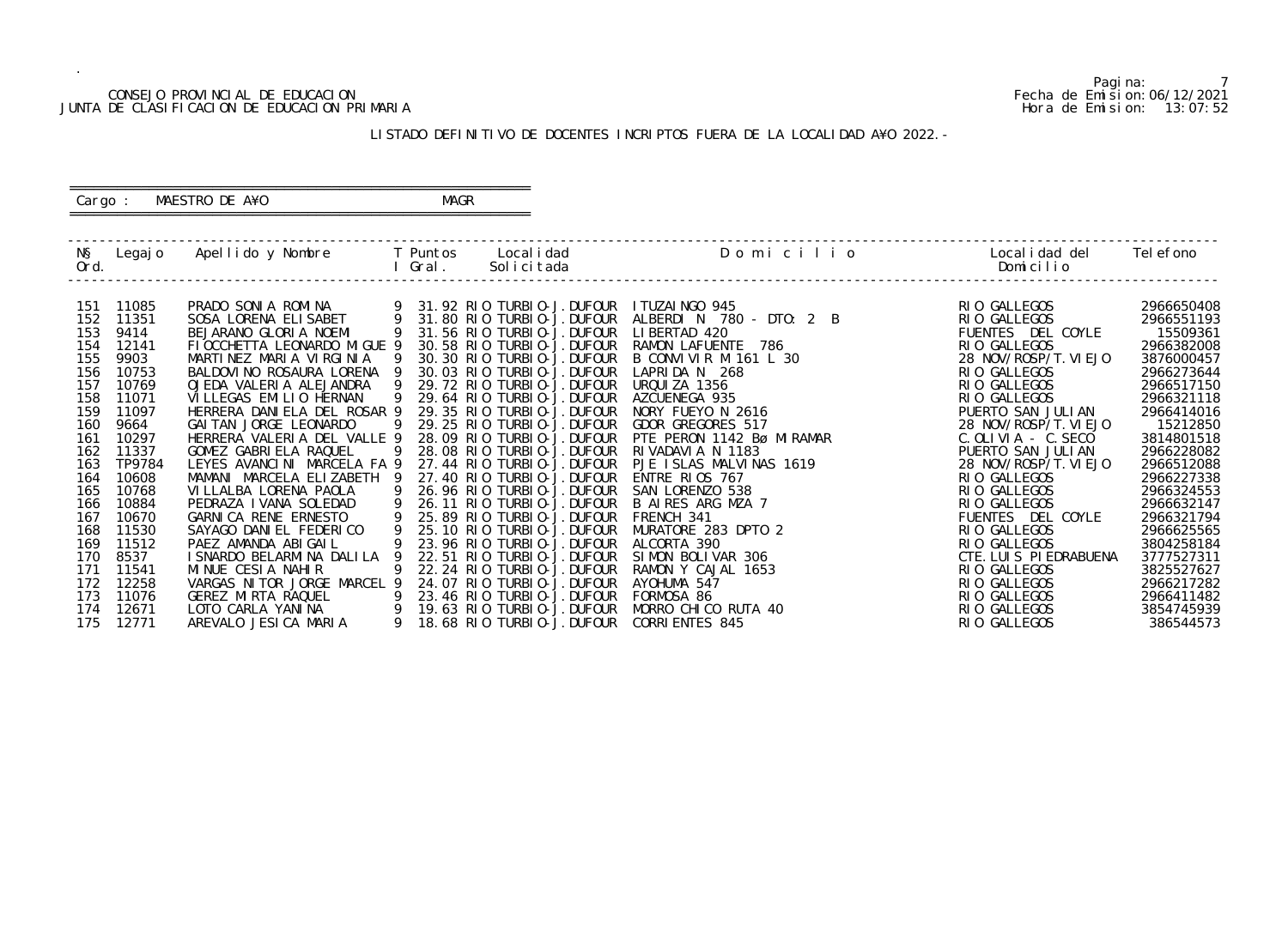## CONSEJO PROVINCIAL DE EDUCACION Fecha de Emision:06/12/2021 JUNTA DE CLASIFICACION DE EDUCACION PRIMARIA Hora de Emision: 13:07:52

 ========================================================== Cargo : MAESTRO DE A¥O **MAGR** 

# LISTADO DEFINITIVO DE DOCENTES INCRIPTOS FUERA DE LA LOCALIDAD A¥O 2022.-

==========================================================

| NŞ<br>Ord. | Legaj o         | Apellido y Nombre                                       |    | T Puntos<br>I Gral. | Local i dad<br>Solicitada                                | Domicilio                                  | Local i dad del<br>Domicilio          | Tel efono                |
|------------|-----------------|---------------------------------------------------------|----|---------------------|----------------------------------------------------------|--------------------------------------------|---------------------------------------|--------------------------|
|            |                 |                                                         |    |                     |                                                          |                                            |                                       |                          |
| 151        | 11085           | PRADO SONIA ROMINA                                      |    |                     | 31.92 RIO TURBIO-J. DUFOUR                               | I TUZAI NGO 945                            | RIO GALLEGOS                          | 2966650408               |
| 152        | 11351           | SOSA LORENA ELISABET                                    | 9  |                     | 31.80 RIO TURBIO-J. DUFOUR                               | ALBERDI N 780 - DTO: 2 B                   | RIO GALLEGOS                          | 2966551193               |
| 153        | 9414            | BEJARANO GLORIA NOEMI                                   | 9  |                     | 31.56 RIO TURBIO-J. DUFOUR                               | LI BERTAD 420                              | FUENTES DEL COYLE                     | 15509361                 |
| 154        | 12141           | FI OCCHETTA LEONARDO MI GUE 9                           |    |                     | 30.58 RIO TURBIO-J. DUFOUR                               | RAMON LAFUENTE 786                         | RIO GALLEGOS                          | 2966382008               |
| 155        | 9903            | MARTINEZ MARIA VIRGINIA                                 |    |                     | 30.30 RIO TURBIO-J. DUFOUR                               | B CONVIVIR M 161 L 30                      | 28 NOV/ROSP/T. VI EJO                 | 3876000457               |
| 156        | 10753           | BALDOVI NO ROSAURA LORENA                               |    |                     | 30.03 RIO TURBIO-J. DUFOUR                               | LAPRIDA N 268                              | RIO GALLEGOS                          | 2966273644               |
| 157        | 10769           | OJEDA VALERIA ALEJANDRA                                 |    |                     | 29.72 RIO TURBIO-J. DUFOUR                               | URQUIZA 1356                               | RIO GALLEGOS                          | 2966517150               |
| 158        | 11071           | VI LLEGAS EMILIO HERNAN                                 | 9  |                     | 29.64 RIO TURBIO-J. DUFOUR                               | AZCUENEGA 935                              | RIO GALLEGOS                          | 2966321118               |
| 159        | 11097           | HERRERA DANIELA DEL ROSAR 9                             |    |                     | 29.35 RIO TURBIO-J. DUFOUR                               | NORY FUEYO N 2616                          | PUERTO SAN JULIAN                     | 2966414016               |
| 160        | 9664            | GAI TAN JORGE LEONARDO                                  |    |                     | 29.25 RIO TURBIO-J. DUFOUR                               | GDOR GREGORES 517                          | 28 NOV/ROSP/T. VI EJO                 | 15212850                 |
| 161        | 10297           | HERRERA VALERIA DEL VALLE 9                             |    |                     | 28.09 RIO TURBIO-J. DUFOUR                               | PTE PERON 1142 BØ MIRAMAR                  | $C.$ OLIVIA - $C.$ SECO               | 3814801518               |
| 162        | 11337           | GOMEZ GABRIELA RAQUEL                                   |    |                     | 28.08 RIO TURBIO-J. DUFOUR                               | RIVADAVIA N 1183                           | PUERTO SAN JULIAN                     | 2966228082               |
| 163<br>164 | TP9784<br>10608 | LEYES AVANCINI MARCELA FA 9<br>MAMANI MARCELA ELIZABETH | -9 |                     | 27.44 RIO TURBIO-J. DUFOUR<br>27.40 RIO TURBIO-J. DUFOUR | PJE I SLAS MALVINAS 1619<br>ENTRE RIOS 767 | 28 NOV/ROSP/T. VI EJO<br>RIO GALLEGOS | 2966512088<br>2966227338 |
| 165        | 10768           | VI LLALBA LORENA PAOLA                                  | 9  |                     | 26.96 RIO TURBIO-J. DUFOUR                               | SAN LORENZO 538                            | RIO GALLEGOS                          | 2966324553               |
| 166        | 10884           | PEDRAZA I VANA SOLEDAD                                  | 9  |                     | 26.11 RIO TURBIO-J. DUFOUR                               | B AIRES ARG MZA 7                          | RIO GALLEGOS                          | 2966632147               |
| 167        | 10670           | GARNICA RENE ERNESTO                                    |    |                     | 25.89 RIO TURBIO-J. DUFOUR                               | FRENCH 341                                 | FUENTES DEL COYLE                     | 2966321794               |
| 168        | 11530           | SAYAGO DANIEL FEDERICO                                  | 9  |                     | 25.10 RIO TURBIO-J. DUFOUR                               | MURATORE 283 DPTO 2                        | RIO GALLEGOS                          | 2966625565               |
| 169        | 11512           | PAEZ AMANDA ABIGAIL                                     |    |                     | 23.96 RIO TURBIO-J. DUFOUR                               | ALCORTA 390                                | RIO GALLEGOS                          | 3804258184               |
| 170        | 8537            | I SNARDO BELARMINA DALILA                               |    |                     | 22.51 RIO TURBIO-J. DUFOUR                               | SIMON BOLIVAR 306                          | CTE. LUIS PIEDRABUENA                 | 3777527311               |
| 171        | 11541           | MINUE CESIA NAHIR                                       |    |                     | 22.24 RIO TURBIO-J. DUFOUR                               | RAMON Y CAJAL 1653                         | RIO GALLEGOS                          | 3825527627               |
| 172        | 12258           | VARGAS NITOR JORGE MARCEL 9                             |    |                     | 24.07 RIO TURBIO-J. DUFOUR                               | AYOHUMA 547                                | RIO GALLEGOS                          | 2966217282               |
| 173        | 11076           | GEREZ MIRTA RAQUEL                                      | 9  |                     | 23.46 RIO TURBIO-J. DUFOUR                               | FORMOSA 86                                 | RIO GALLEGOS                          | 2966411482               |
| 174        | 12671           | LOTO CARLA YANINA                                       | 9  |                     | 19.63 RIO TURBIO-J. DUFOUR                               | MORRO CHICO RUTA 40                        | RIO GALLEGOS                          | 3854745939               |
| 175        | 12771           | AREVALO JESICA MARIA                                    | 9  |                     | 18.68 RIO TURBIO-J. DUFOUR                               | <b>CORRI ENTES 845</b>                     | RIO GALLEGOS                          | 386544573                |
|            |                 |                                                         |    |                     |                                                          |                                            |                                       |                          |

Pagina: 7<br>Fecha de Emision: 06/12/2021<br>Hora de Emision: 13: 07: 52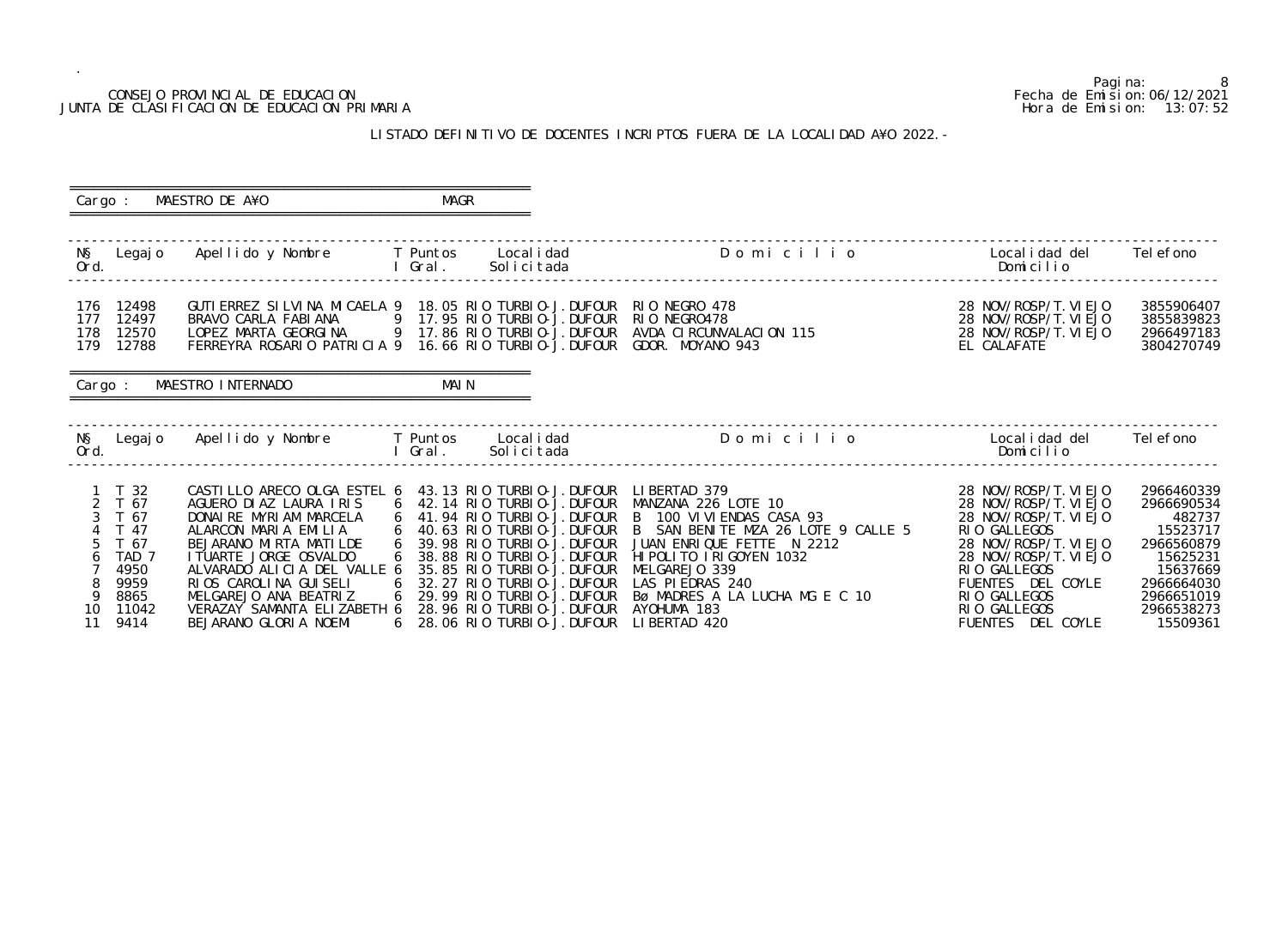|                          | CONSEJO PROVINCIAL DE EDUCACION<br>JUNTA DE CLASIFICACION DE EDUCACION PRIMARIA         |                                                                                                                                                                                                                                                                                                      |                       |             |                                                                                                                                                                                                         |                                                                                                                                                                                                                                                                                                                                                              |  |                                                                                                                                                                                                                                     | Pagi na:<br>Fecha de Emi si on: 06/12/2021<br>Hora de Emision: 13:07:52                                                                    |  |  |
|--------------------------|-----------------------------------------------------------------------------------------|------------------------------------------------------------------------------------------------------------------------------------------------------------------------------------------------------------------------------------------------------------------------------------------------------|-----------------------|-------------|---------------------------------------------------------------------------------------------------------------------------------------------------------------------------------------------------------|--------------------------------------------------------------------------------------------------------------------------------------------------------------------------------------------------------------------------------------------------------------------------------------------------------------------------------------------------------------|--|-------------------------------------------------------------------------------------------------------------------------------------------------------------------------------------------------------------------------------------|--------------------------------------------------------------------------------------------------------------------------------------------|--|--|
|                          |                                                                                         |                                                                                                                                                                                                                                                                                                      |                       |             |                                                                                                                                                                                                         | LISTADO DEFINITIVO DE DOCENTES INCRIPTOS FUERA DE LA LOCALIDAD A¥O 2022. -                                                                                                                                                                                                                                                                                   |  |                                                                                                                                                                                                                                     |                                                                                                                                            |  |  |
| Cargo :                  |                                                                                         | MAESTRO DE A¥O                                                                                                                                                                                                                                                                                       |                       | <b>MAGR</b> |                                                                                                                                                                                                         |                                                                                                                                                                                                                                                                                                                                                              |  |                                                                                                                                                                                                                                     |                                                                                                                                            |  |  |
| N§<br>Ord.               | Legaj o                                                                                 | Apellido y Nombre                                                                                                                                                                                                                                                                                    | T Puntos              | Gral.       | Local i dad<br>Solicitada                                                                                                                                                                               | Domicilio                                                                                                                                                                                                                                                                                                                                                    |  | Local i dad del<br>Domicilio                                                                                                                                                                                                        | Tel efono                                                                                                                                  |  |  |
| 176<br>177<br>178<br>179 | 12498<br>12497<br>12570<br>12788                                                        | GUTI ERREZ SI LVI NA MI CAELA 9<br>BRAVO CARLA FABIANA<br>LOPEZ MARTA GEORGINA<br>FERREYRA ROSARIO PATRICIA 9                                                                                                                                                                                        |                       |             | 18.05 RIO TURBIO-J. DUFOUR<br>17.95 RIO TURBIO-J. DUFOUR<br>17.86 RIO TURBIO-J.DUFOUR<br>16.66 RIO TURBIO-J. DUFOUR                                                                                     | RIO NEGRO 478<br>RIO NEGRO478<br>AVDA CIRCUNVALACION 115<br>GDOR. MOYANO 943                                                                                                                                                                                                                                                                                 |  | 28 NOV/ROSP/T. VI EJO<br>28 NOV/ROSP/T. VI EJO<br>28 NOV/ROSP/T. VI EJO<br>EL CALAFATE                                                                                                                                              | 3855906407<br>3855839823<br>2966497183<br>3804270749                                                                                       |  |  |
| Cargo                    |                                                                                         | MAESTRO INTERNADO                                                                                                                                                                                                                                                                                    |                       | <b>MAIN</b> |                                                                                                                                                                                                         |                                                                                                                                                                                                                                                                                                                                                              |  |                                                                                                                                                                                                                                     |                                                                                                                                            |  |  |
| ΝŞ<br>Ord.               | Legaj o                                                                                 | Apellido y Nombre                                                                                                                                                                                                                                                                                    | T Puntos<br>Gral.     |             | Local i dad<br>Solicitada                                                                                                                                                                               | Domicilio                                                                                                                                                                                                                                                                                                                                                    |  | Local i dad del<br>Domicilio                                                                                                                                                                                                        | Tel efono                                                                                                                                  |  |  |
| 3<br>9<br>10<br>11       | 32<br>67<br>67<br>47<br>67<br>TAD <sub>7</sub><br>4950<br>9959<br>8865<br>11042<br>9414 | CASTILLO ARECO OLGA ESTEL 6<br>AGUERO DIAZ LAURA IRIS<br>DONAIRE MYRIAM MARCELA<br>ALARCON MARIA EMILIA<br>BEJARANO MIRTA MATILDE<br>I TUARTE JORGE OSVALDO<br>ALVARADO ALICIA DEL VALLE 6<br>RIOS CAROLINA GUISELI<br>MELGAREJO ANA BEATRIZ<br>VERAZAY SAMANTA ELIZABETH 6<br>BEJARANO GLORIA NOEMI | 6<br>6<br>6<br>6<br>6 |             | 43.13 RIO TURBIO-J.DUFOUR<br>35.85 RIO TURBIO-J.DUFOUR MELGAREJO 339<br>32.27 RIO TURBIO-J.DUFOUR LAS PIEDRAS 240<br>28.96 RIO TURBIO-J.DUFOUR AYOHUMA 183<br>6 28.06 RIO TURBIO-J. DUFOUR LIBERTAD 420 | LI BERTAD 379<br>6 42.14 RIO TURBIO-J.DUFOUR MANZANA 226 LOTE 10<br>41.94 RIO TURBIO-J.DUFOUR B 100 VIVIENDAS CASA 93<br>40.63 RIO TURBIO-J.DUFOUR B SAN BENITE MZA 26 LOTE 9 CALLE 5<br>39.98 RIO TURBIO-J. DUFOUR JUAN ENRIQUE FETTE N 2212<br>38.88 RIO TURBIO-J.DUFOUR HIPOLITO IRIGOYEN 1032<br>29.99 RIO TURBIO-J.DUFOUR BØMADRES A LA LUCHA MG E C 10 |  | 28 NOV/ROSP/T. VI EJO<br>28 NOV/ROSP/T. VI EJO<br>28 NOV/ROSP/T. VI EJO<br>RIO GALLEGOS<br>28 NOV/ROSP/T. VI EJO<br>28 NOV/ROSP/T. VI EJO<br>RIO GALLEGOS<br>FUENTES DEL COYLE<br>RIO GALLEGOS<br>RIO GALLEGOS<br>FUENTES DEL COYLE | 2966460339<br>2966690534<br>482737<br>15523717<br>2966560879<br>15625231<br>15637669<br>2966664030<br>2966651019<br>2966538273<br>15509361 |  |  |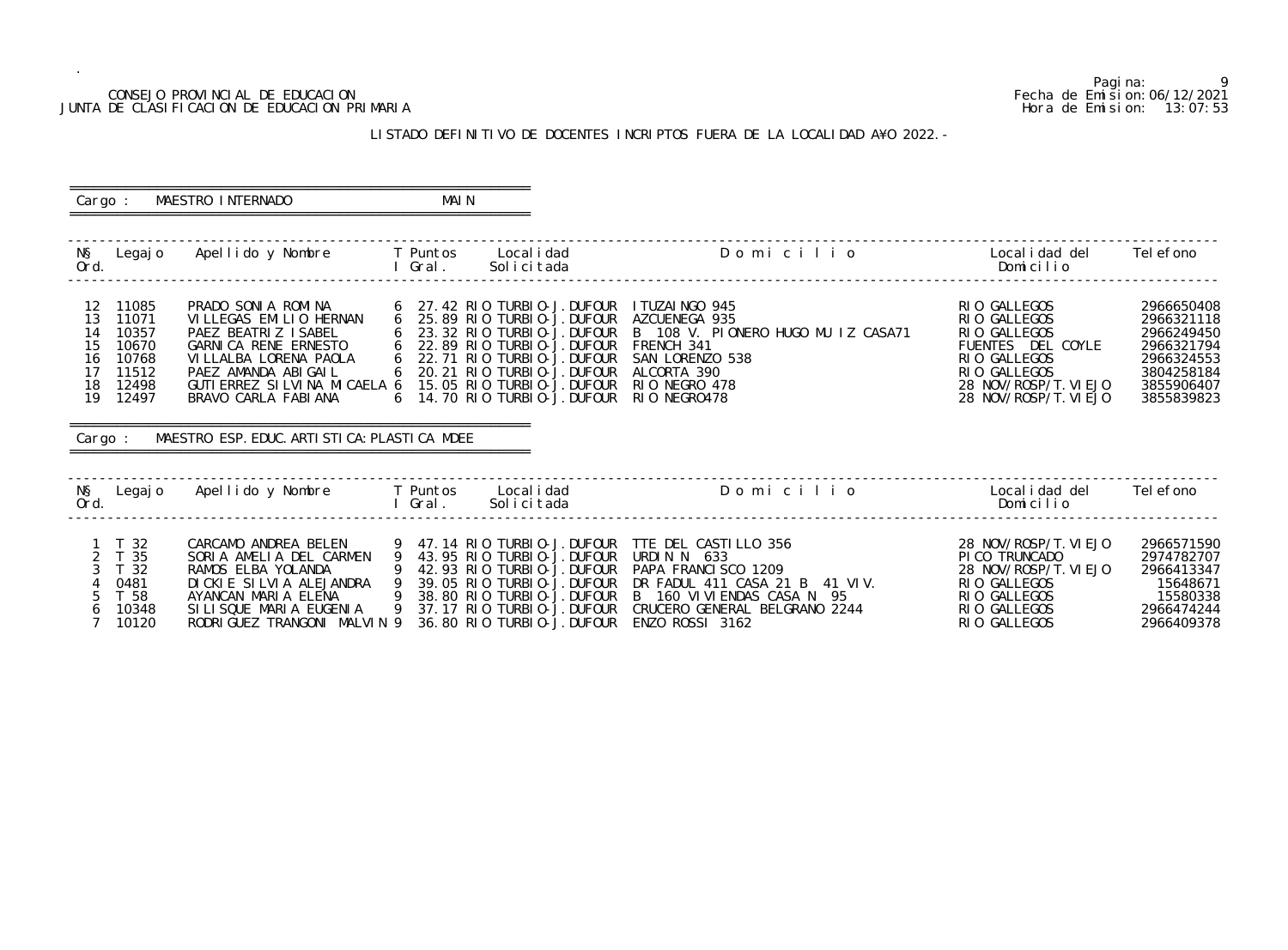Pagina: 9 CONSEJO PROVINCIAL DE EDUCACION Fecha de Emision:06/12/2021 JUNTA DE CLASIFICACION DE EDUCACION PRIMARIA **Hora de Emision:** 13:07:53 o Localidad del Telefono<br>Domicilio ------------------------------------------------------------------------------------------------------------------------------------------------- 16 10 6222268 106<br>
15 10 6221260 1068<br>
16 10 6221118<br>
16 2966249450<br>
16 2966321794<br>
17 2966321794<br>
18 2966324553 28 NOV/ROSP/T. VI EJO 3855906407<br>28 NOV/ROSP/T. VI EJO 3855839823 28 NOV/ROSP/T. VIEJO ------------------------------------------------------------------------------------------------------------------------------------------------- 28 NOV/ROSP/T. VI EJO 2966571590<br>PICO TRUNCADO 2974782707 28 NOV/ROSP/T. VIEJO 2966413347<br>2966413347 RIO GALLEGOS 15648671

# LISTADO DEFINITIVO DE DOCENTES INCRIPTOS FUERA DE LA LOCALIDAD A¥O 2022.-

| Cargo :                                           |                                                                         | MAESTRO INTERNADO                                                                                                                                                                                                                                        | MAI N   |                                                                                                                                                                                                                                                                          |                                                                                                                                                                                                                    |                                                                                                                                                     |                                                                                                              |
|---------------------------------------------------|-------------------------------------------------------------------------|----------------------------------------------------------------------------------------------------------------------------------------------------------------------------------------------------------------------------------------------------------|---------|--------------------------------------------------------------------------------------------------------------------------------------------------------------------------------------------------------------------------------------------------------------------------|--------------------------------------------------------------------------------------------------------------------------------------------------------------------------------------------------------------------|-----------------------------------------------------------------------------------------------------------------------------------------------------|--------------------------------------------------------------------------------------------------------------|
| Ord.                                              |                                                                         | N§ Legajo Apellido y Nombre T Puntos                                                                                                                                                                                                                     | I Gral. | Local i dad<br>Solicitada                                                                                                                                                                                                                                                | Domicilio                                                                                                                                                                                                          | Local i dad del<br>Domicilio                                                                                                                        | Tel efono                                                                                                    |
| 13<br>14<br>15<br>16<br>17<br>18<br>19<br>Cargo : | 12 11085<br>11071<br>10357<br>10670<br>10768<br>11512<br>12498<br>12497 | PRADO SONIA ROMINA<br>VILLEGAS EMILIO HERNAN<br>PAEZ BEATRIZ ISABEL<br>GARNICA RENE ERNESTO<br>VI LLALBA LORENA PAOLA<br>PAEZ AMANDA ABIGAIL<br>GUTI ERREZ SI LVI NA MI CAELA 6<br>BRAVO CARLA FABIANA<br>MAESTRO ESP. EDUC. ARTI STI CA: PLASTI CA MDEE |         | 6 27.42 RIO TURBIO-J. DUFOUR ITUZAINGO 945<br>6 25.89 RIO TURBIO-J. DUFOUR<br>6 23.32 RIO TURBIO-J. DUFOUR<br>6 22.89 RIO TURBIO-J. DUFOUR<br>6 22.71 RIO TURBIO-J. DUFOUR<br>6 20.21 RIO TURBIO-J. DUFOUR<br>15.05 RIO TURBIO-J. DUFOUR<br>6 14.70 RIO TURBIO-J. DUFOUR | AZCUENEGA 935<br>B 108 V. PIONERO HUGO MU IZ CASA71<br>FRENCH 341<br>SAN LORENZO 538<br>ALCORTA 390<br>RIO NEGRO 478<br>RIO NEGRO478                                                                               | RIO GALLEGOS<br>RIO GALLEGOS<br>RIO GALLEGOS<br>FUENTES DEL COYLE<br>RIO GALLEGOS<br>RIO GALLEGOS<br>28 NOV/ROSP/T. VI EJO<br>28 NOV/ROSP/T. VI EJO | 2966650408<br>2966321118<br>2966249450<br>2966321794<br>2966324553<br>3804258184<br>3855906407<br>3855839823 |
| NŞ<br>Ord.                                        |                                                                         | Legajo Apellido y Nombre T Puntos Localidad                                                                                                                                                                                                              | l Gral. | Solicitada                                                                                                                                                                                                                                                               | Domicilio                                                                                                                                                                                                          | Local i dad del<br>Domicilio                                                                                                                        | Tel efono                                                                                                    |
| $\mathcal{S}$<br>5                                | 1 T 32<br>2 T 35<br>T 32<br>0481<br>T 58<br>10348<br>10120              | CARCAMO ANDREA BELEN<br>SORIA AMELIA DEL CARMEN<br>RAMOS ELBA YOLANDA<br>DICKIE SILVIA ALEJANDRA 9 39.05 RIO TURBIO-J. DUFOUR<br>AYANCAN MARIA ELENA<br>SI LI SQUE MARI A EUGENI A<br>RODRIGUEZ TRANGONI MALVIN 9                                        |         | 9 43.95 RIO TURBIO-J.DUFOUR<br>9 42.93 RIO TURBIO-J. DUFOUR<br>9 38.80 RIO TURBIO-J.DUFOUR<br>9 37.17 RIO TURBIO-J.DUFOUR<br>36.80 RIO TURBIO-J.DUFOUR                                                                                                                   | 9 47.14 RIO TURBIO-J.DUFOUR TTE DEL CASTILLO 356<br>URDIN N 633<br>PAPA FRANCISCO 1209<br>DR FADUL 411 CASA 21 B 41 VIV.<br>B 160 VI VI ENDAS CASA N 95<br>CRUCERO GENERAL BELGRANO 2244<br><b>ENZO ROSSI 3162</b> | 28 NOV/ROSP/T. VI EJO<br>PI CO TRUNCADO<br>28 NOV/ROSP/T. VI EJO<br>RIO GALLEGOS<br>RIO GALLEGOS<br>RIO GALLEGOS<br>RIO GALLEGOS                    | 2966571590<br>2974782707<br>2966413347<br>15648671<br>15580338<br>2966474244<br>2966409378                   |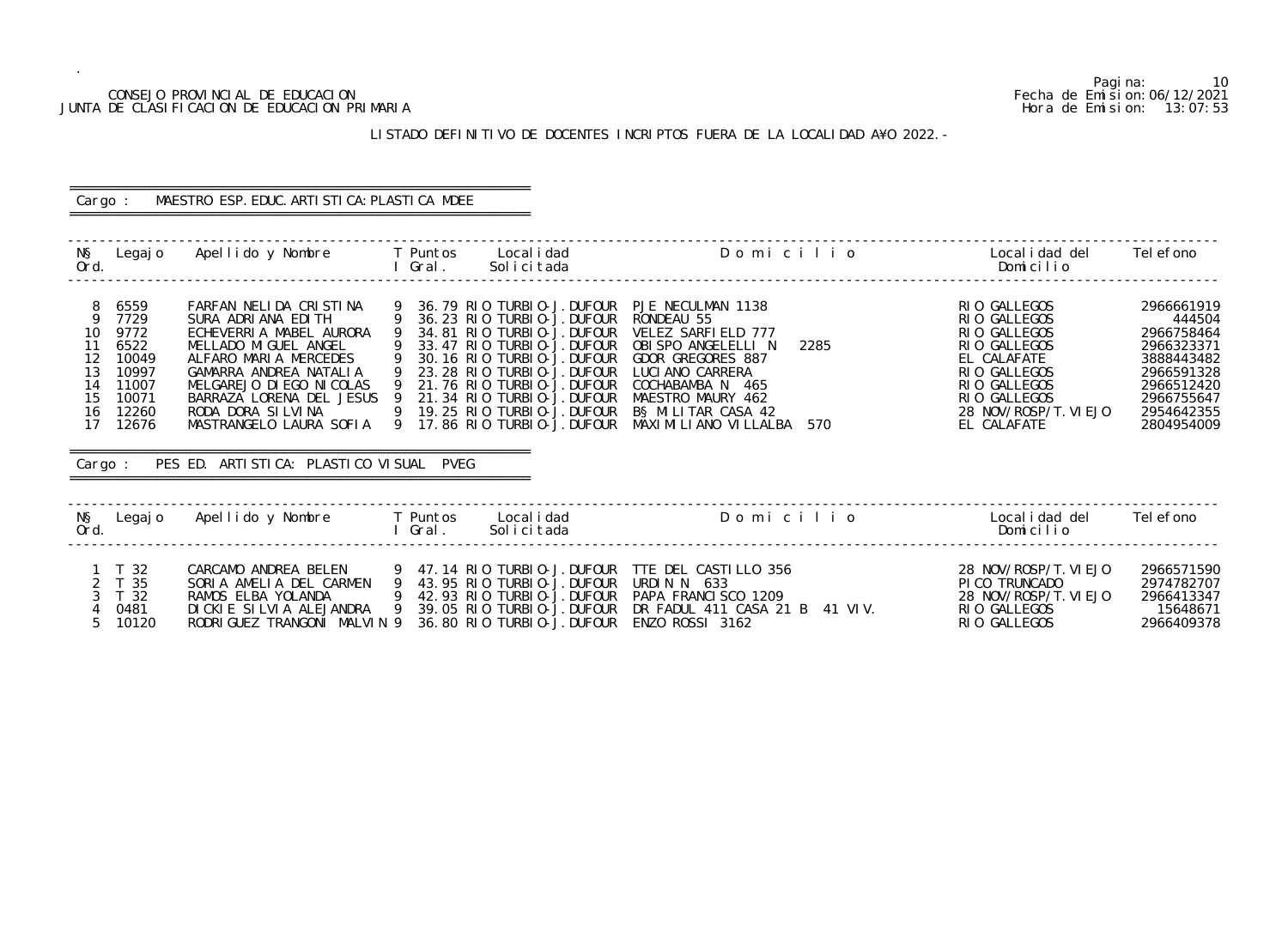## CONSEJO PROVINCIAL DE EDUCACION Fecha de Emision:06/12/2021 JUNTA DE CLASIFICACION DE EDUCACION PRIMARIA Hora de Emision: 13:07:53

# ========================================================== Cargo : MAESTRO ESP. EDUC. ARTISTICA: PLASTICA MDEE

# LISTADO DEFINITIVO DE DOCENTES INCRIPTOS FUERA DE LA LOCALIDAD A¥O 2022.-

==========================================================

| Ord.                                                   | N§ Legajo                                                                          | Apellido y Nombre         T Puntos      Localidad                                                                                                                                                                                                                                                                                          |        | l Gral. | Solicitada                                                                                                                                                                                                                                                                  | Domicilio <b>Distriction Company</b>                                                                                                                                                                                    | Localidad del<br>Domicilio                                                                                                                                          | Tel efono                                                                                                                            |
|--------------------------------------------------------|------------------------------------------------------------------------------------|--------------------------------------------------------------------------------------------------------------------------------------------------------------------------------------------------------------------------------------------------------------------------------------------------------------------------------------------|--------|---------|-----------------------------------------------------------------------------------------------------------------------------------------------------------------------------------------------------------------------------------------------------------------------------|-------------------------------------------------------------------------------------------------------------------------------------------------------------------------------------------------------------------------|---------------------------------------------------------------------------------------------------------------------------------------------------------------------|--------------------------------------------------------------------------------------------------------------------------------------|
| 8<br>9<br>10<br>11<br>12<br>13<br>14<br>15<br>16<br>17 | 6559<br>7729<br>9772<br>6522<br>10049<br>10997<br>11007<br>10071<br>12260<br>12676 | FARFAN NELIDA CRISTINA<br>SURA ADRIANA EDITH<br>ECHEVERRIA MABEL AURORA<br>MELLADO MIGUEL ANGEL<br>ALFARO MARIA MERCEDES<br>GAMARRA ANDREA NATALIA<br>MELGAREJO DI EGO NI COLAS<br>BARRAZA LORENA DEL JESUS<br>RODA DORA SILVINA<br>MASTRANGELO LAURA SOFIA 9 17.86 RIO TURBIO-J. DUFOUR<br>Cargo: PES ED. ARTISTICA: PLASTICO VISUAL PVEG | 9<br>9 |         | 9 36.79 RIO TURBIO-J. DUFOUR<br>36.23 RIO TURBIO-J. DUFOUR<br>34.81 RIO TURBIO-J. DUFOUR<br>33.47 RIO TURBIO-J. DUFOUR<br>30.16 RIO TURBIO-J. DUFOUR<br>23.28 RIO TURBIO-J. DUFOUR<br>21.76 RIO TURBIO-J. DUFOUR<br>21.34 RIO TURBIO-J.DUFOUR<br>19.25 RIO TURBIO-J. DUFOUR | PJE NECULMAN 1138<br>RONDEAU 55<br>VELEZ SARFIELD 777<br>OBI SPO ANGELELLI N<br>2285<br>GDOR GREGORES 887<br>LUCIANO CARRERA<br>COCHABAMBA N 465<br>MAESTRO MAURY 462<br>B§ MILITAR CASA 42<br>MAXIMILIANO VILLALBA 570 | RIO GALLEGOS<br>RIO GALLEGOS<br>RIO GALLEGOS<br>RIO GALLEGOS<br>EL CALAFATE<br>RIO GALLEGOS<br>RIO GALLEGOS<br>RIO GALLEGOS<br>28 NOV/ROSP/T. VI EJO<br>EL CALAFATE | 2966661919<br>444504<br>2966758464<br>2966323371<br>3888443482<br>2966591328<br>2966512420<br>2966755647<br>2954642355<br>2804954009 |
| NŞ<br>Ord.                                             |                                                                                    | Legajo Apellido y Nombre     T Puntos                                                                                                                                                                                                                                                                                                      |        | l Gral. | Local i dad<br>Solicitada                                                                                                                                                                                                                                                   | Domicilio                                                                                                                                                                                                               | Localidad del<br>Domicilio                                                                                                                                          | Tel efono                                                                                                                            |
| $\mathcal{S}$<br>5                                     | $1 \quad T \quad 32$<br>2 T 35<br>T 32<br>0481<br>10120                            | CARCAMO ANDREA BELEN<br>SORIA AMELIA DEL CARMEN<br>RAMOS ELBA YOLANDA<br>DICKIE SILVIA ALEJANDRA<br>RODRI GUEZ TRANGONI MALVIN 9                                                                                                                                                                                                           | 9      |         | 43.95 RIO TURBIO-J. DUFOUR<br>9 42.93 RIO TURBIO-J. DUFOUR<br>39.05 RIO TURBIO-J. DUFOUR<br>36.80 RIO TURBIO-J. DUFOUR                                                                                                                                                      | 9 47.14 RIO TURBIO-J.DUFOUR TTE DEL CASTILLO 356<br>URDIN N 633<br>PAPA FRANCISCO 1209<br>DR FADUL 411 CASA 21 B 41 VIV.<br>ENZO ROSSI 3162                                                                             | 28 NOV/ROSP/T. VI EJO<br>PI CO TRUNCADO<br>28 NOV/ROSP/T. VI EJO<br>RIO GALLEGOS<br>RIO GALLEGOS                                                                    | 2966571590<br>2974782707<br>2966413347<br>15648671<br>2966409378                                                                     |

Pagina: 10<br>Fecha de Emision: 06/12/2021<br>Hora de Emision: 13: 07: 53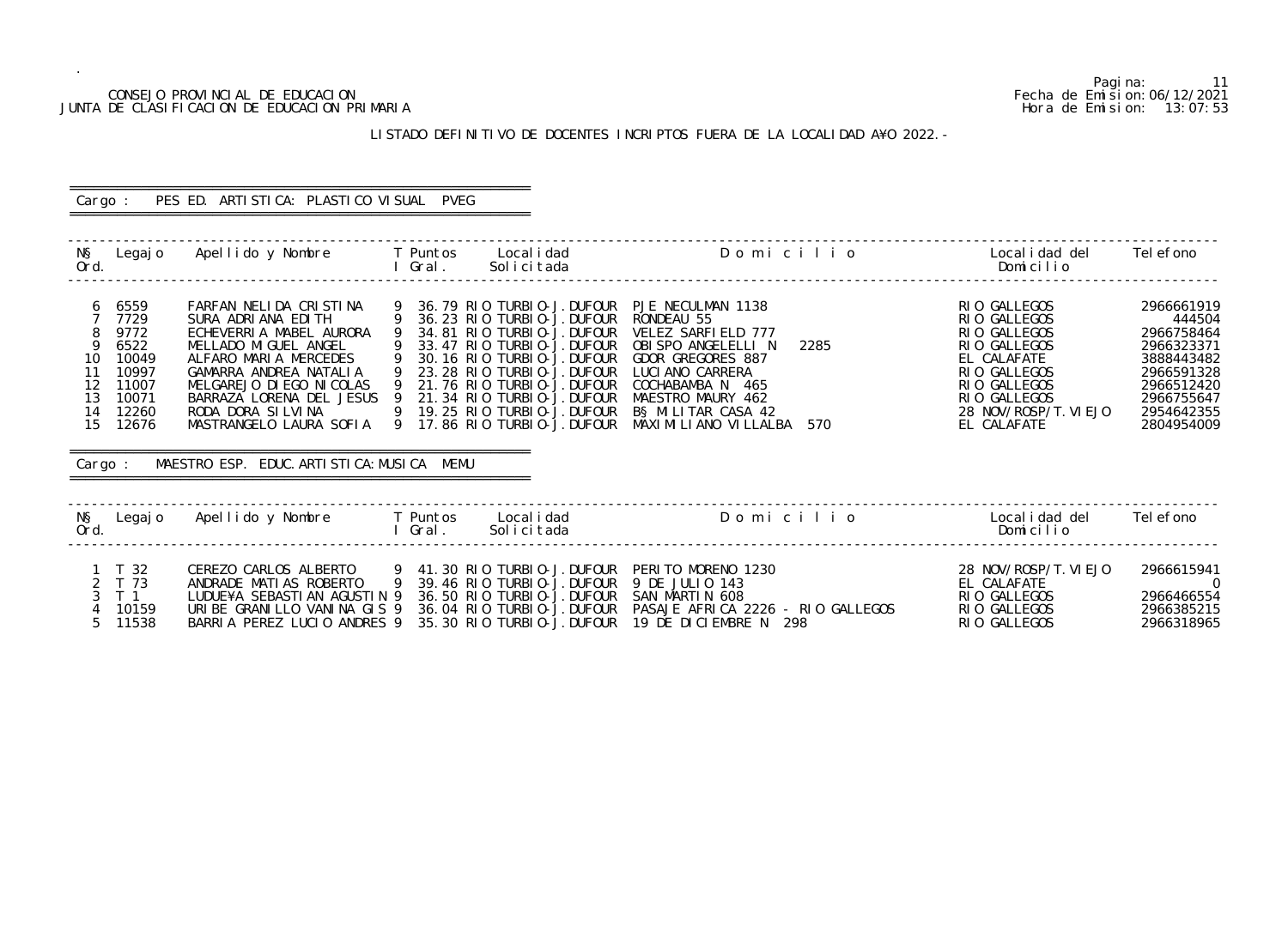## CONSEJO PROVINCIAL DE EDUCACION Fecha de Emision:06/12/2021 JUNTA DE CLASIFICACION DE EDUCACION PRIMARIA Hora de Emision: 13:07:53

# LISTADO DEFINITIVO DE DOCENTES INCRIPTOS FUERA DE LA LOCALIDAD A¥O 2022.-

# ========================================================== Cargo : PES ED. ARTISTICA: PLASTICO VISUAL PVEG

==========================================================

| NŞ<br>Ord.                            | Legaj o                                                                                       | Apellido y Nombre     T Puntos                                                                                                                                                                                                                                                                                  |   | I Gral. | Local i dad<br>Solicitada                                                                                                                                                                                                                                                                               | Domicilio                                                                                                                                                                                                                | Localidad del<br>Domicilio                                                                                                                                          | Tel efono                                                                                                                            |
|---------------------------------------|-----------------------------------------------------------------------------------------------|-----------------------------------------------------------------------------------------------------------------------------------------------------------------------------------------------------------------------------------------------------------------------------------------------------------------|---|---------|---------------------------------------------------------------------------------------------------------------------------------------------------------------------------------------------------------------------------------------------------------------------------------------------------------|--------------------------------------------------------------------------------------------------------------------------------------------------------------------------------------------------------------------------|---------------------------------------------------------------------------------------------------------------------------------------------------------------------|--------------------------------------------------------------------------------------------------------------------------------------|
| 6<br>10<br>11<br>12<br>13<br>14<br>15 | 6559<br>7729<br>9772<br>6522<br>10049<br>10997<br>11007<br>10071<br>12260<br>12676<br>Cargo : | FARFAN NELIDA CRISTINA<br>SURA ADRIANA EDITH<br>ECHEVERRIA MABEL AURORA<br>MELLADO MIGUEL ANGEL<br>ALFARO MARIA MERCEDES<br>GAMARRA ANDREA NATALIA<br>MELGAREJO DI EGO NI COLAS<br>BARRAZA LORENA DEL JESUS 9<br>RODA DORA SILVINA<br>MASTRANGELO LAURA SOFIA 9<br>MAESTRO ESP. EDUC. ARTI STI CA: MUSI CA MEMU | 9 |         | 36.79 RIO TURBIO-J. DUFOUR<br>36.23 RIO TURBIO-J. DUFOUR<br>34.81 RIO TURBIO-J. DUFOUR<br>33.47 RIO TURBIO-J. DUFOUR<br>30.16 RIO TURBIO-J. DUFOUR<br>23.28 RIO TURBIO-J. DUFOUR<br>21.76 RIO TURBIO-J. DUFOUR<br>21.34 RIO TURBIO-J. DUFOUR<br>19.25 RIO TURBIO-J. DUFOUR<br>17.86 RIO TURBIO-J.DUFOUR | PJE NECULMAN 1138<br>RONDEAU 55<br>VELEZ SARFIELD 777<br>OBI SPO ANGELELLI N<br>2285<br>GDOR GREGORES 887<br>LUCI ANO CARRERA<br>COCHABAMBA N 465<br>MAESTRO MAURY 462<br>BS MILITAR CASA 42<br>MAXIMILIANO VILLALBA 570 | RIO GALLEGOS<br>RIO GALLEGOS<br>RIO GALLEGOS<br>RIO GALLEGOS<br>EL CALAFATE<br>RIO GALLEGOS<br>RIO GALLEGOS<br>RIO GALLEGOS<br>28 NOV/ROSP/T. VI EJO<br>EL CALAFATE | 2966661919<br>444504<br>2966758464<br>2966323371<br>3888443482<br>2966591328<br>2966512420<br>2966755647<br>2954642355<br>2804954009 |
| NŞ<br>Ord.                            |                                                                                               | Legajo Apellido y Nombre     T Puntos                                                                                                                                                                                                                                                                           |   | l Gral. | Local i dad<br>Solicitada                                                                                                                                                                                                                                                                               | Domicilio                                                                                                                                                                                                                | Localidad del<br>Domicilio                                                                                                                                          | Tel efono                                                                                                                            |
| 3<br>5                                | $1 \quad T \quad 32$<br>2 T 73<br>T <sub>1</sub><br>10159<br>11538                            | CEREZO CARLOS ALBERTO<br>ANDRADE MATIAS ROBERTO<br>LUDUE¥A SEBASTIAN AGUSTIN 9<br>URIBE GRANILLO VANINA GIS 9<br>BARRIA PEREZ LUCIO ANDRES 9                                                                                                                                                                    | 9 |         | 9 41.30 RIO TURBIO-J.DUFOUR<br>39.46 RIO TURBIO-J. DUFOUR<br>36.50 RIO TURBIO-J.DUFOUR<br>36.04 RIO TURBIO-J. DUFOUR<br>35.30 RIO TURBIO-J. DUFOUR                                                                                                                                                      | PERITO MORENO 1230<br>9 DE JULIO 143<br>SAN MARTIN 608<br>PASAJE AFRICA 2226 - RIO GALLEGOS<br>19 DE DICIEMBRE N<br>298                                                                                                  | 28 NOV/ROSP/T. VI EJO<br>EL CALAFATE<br>RIO GALLEGOS<br>RIO GALLEGOS<br>RIO GALLEGOS                                                                                | 2966615941<br>$\overline{a}$<br>2966466554<br>2966385215<br>2966318965                                                               |

Pagina: 11<br>Fecha de Emision: 06/12/2021<br>Hora de Emision: 13: 07: 53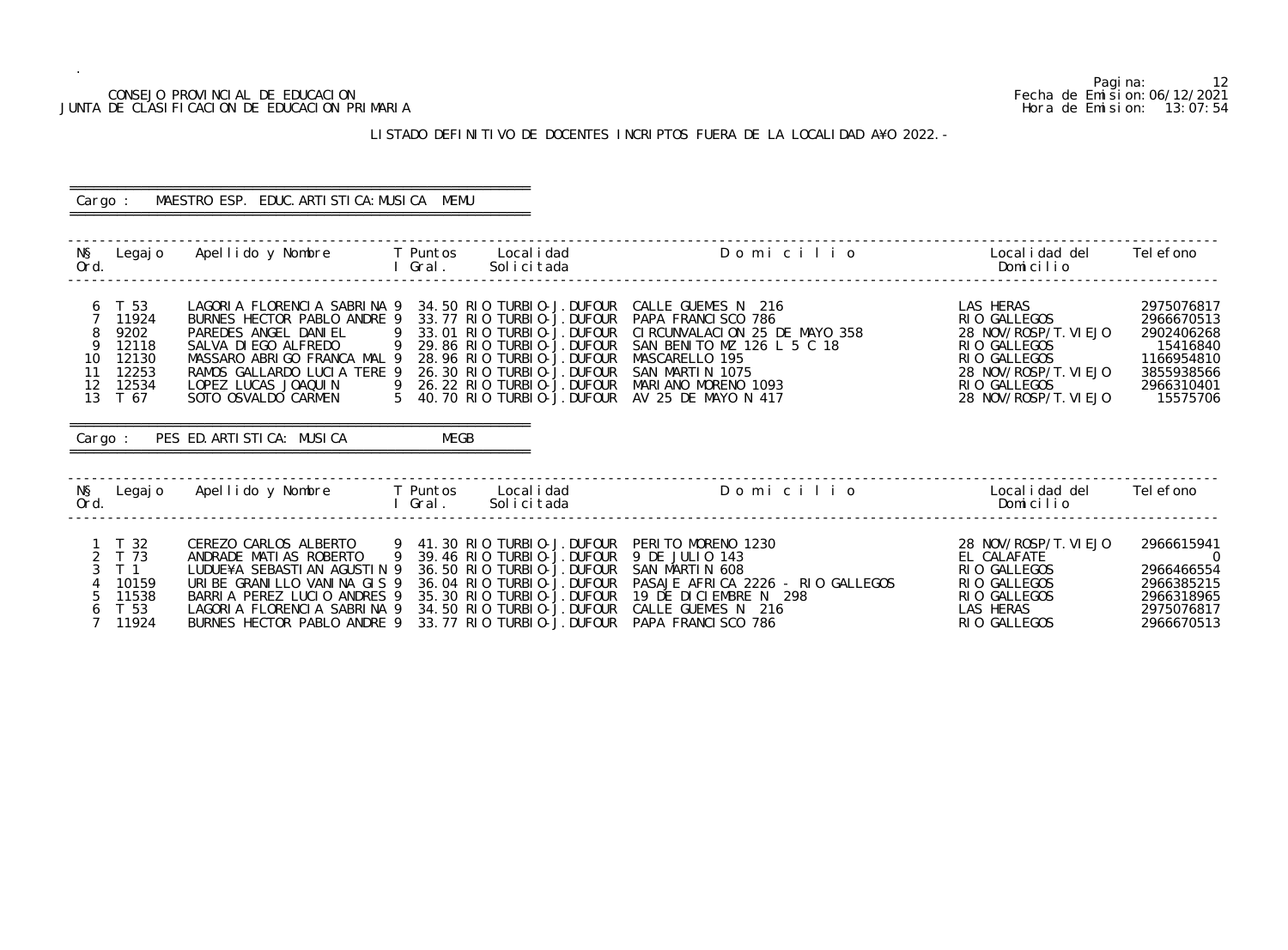## CONSEJO PROVINCIAL DE EDUCACION Fecha de Emision:06/12/2021 JUNTA DE CLASIFICACION DE EDUCACION PRIMARIA Hora de Emision: 13:07:54

# LISTADO DEFINITIVO DE DOCENTES INCRIPTOS FUERA DE LA LOCALIDAD A¥O 2022.-

| Cargo :                                                   |                                                                       | MAESTRO ESP. EDUC. ARTI STI CA: MUSI CA MEMU                                                                                                                                                                                                                                                                                                                                |         |                                                                                                                                                                                    |                                                                                                                                                                                            |                                                                                                                                                      |                                                                                                          |
|-----------------------------------------------------------|-----------------------------------------------------------------------|-----------------------------------------------------------------------------------------------------------------------------------------------------------------------------------------------------------------------------------------------------------------------------------------------------------------------------------------------------------------------------|---------|------------------------------------------------------------------------------------------------------------------------------------------------------------------------------------|--------------------------------------------------------------------------------------------------------------------------------------------------------------------------------------------|------------------------------------------------------------------------------------------------------------------------------------------------------|----------------------------------------------------------------------------------------------------------|
| Ord.                                                      |                                                                       | N§ Legajo Apellido y Nombre T Puntos                                                                                                                                                                                                                                                                                                                                        | l Gral. | Local i dad<br>Solicitada                                                                                                                                                          | Domicilio                                                                                                                                                                                  | Local i dad del<br>Domicilio                                                                                                                         | Tel efono                                                                                                |
| 6<br>8<br>9<br>10<br>11<br>12<br>13                       | T 53<br>11924<br>9202<br>12118<br>12130<br>12253<br>12534<br>T 67     | LAGORIA FLORENCIA SABRINA 9 34.50 RIO TURBIO-J. DUFOUR<br>BURNES HECTOR PABLO ANDRE 9 33.77 RIO TURBIO-J. DUFOUR<br>PAREDES ANGEL DANIEL 9 33.01 RIO TURBIO-J. DUFOUR<br>SALVA DI EGO ALFREDO<br>MASSARO ABRIGO FRANCA MAL 9 28.96 RIO TURBIO-J. DUFOUR<br>RAMOS GALLARDO LUCIA TERE 9<br>LOPEZ LUCAS JOAQUIN<br>SOTO OSVALDO CARMEN<br>Cargo: PES ED. ARTI STI CA: MUSI CA | MEGB    | 9 29.86 RIO TURBIO-J. DUFOUR<br>20.00 N U TURBI 0-J. DUFOUR<br>9 26.22 RI 0 TURBI 0-J. DUFOUR<br>5 40.70 RI 0 TURBI 0 1 PUFOUR<br>5 40.70 RIO TURBIO-J. DUFOUR                     | CALLE GUEMES N 216<br>PAPA FRANCISCO 786<br>CIRCUNVALACION 25 DE MAYO 358<br>SAN BENITO MZ 126 L 5 C 18<br>MASCARELLO 195<br>SAN MARTIN 1075<br>MARIANO MORENO 1093<br>AV 25 DE MAYO N 417 | LAS HERAS<br>RIO GALLEGOS<br>28 NOV/ROSP/T. VI EJO<br>RIO GALLEGOS<br>RIO GALLEGOS<br>28 NOV/ROSP/T. VI EJO<br>RIO GALLEGOS<br>28 NOV/ROSP/T. VI EJO | 2975076817<br>2966670513<br>2902406268<br>15416840<br>1166954810<br>3855938566<br>2966310401<br>15575706 |
|                                                           |                                                                       | N§ Legajo Apellido y Nombre T Puntos                                                                                                                                                                                                                                                                                                                                        |         | Local i dad                                                                                                                                                                        | Domicilio                                                                                                                                                                                  | Local i dad del                                                                                                                                      | Tel efono                                                                                                |
| Ord.                                                      |                                                                       |                                                                                                                                                                                                                                                                                                                                                                             | l Gral. | Solicitada                                                                                                                                                                         |                                                                                                                                                                                            | Domicilio                                                                                                                                            |                                                                                                          |
| $\mathfrak{Z}$<br>$\overline{4}$<br>5<br>6<br>$7^{\circ}$ | 1 T 32<br>2 T 73<br>T <sub>1</sub><br>10159<br>11538<br>T 53<br>11924 | CEREZO CARLOS ALBERTO 9 41.30 RIO TURBIO-J. DUFOUR PERITO MORENO 1230<br>ANDRADE MATIAS ROBERTO<br>LUDUE¥A SEBASTIAN AGUSTIN 9<br>URIBE GRANILLO VANINA GIS 9<br>BARRIA PEREZ LUCIO ANDRES 9<br>LAGORIA FLORENCIA SABRINA 9<br>BURNES HECTOR PABLO ANDRE 9                                                                                                                  |         | 9 39.46 RIO TURBIO-J. DUFOUR<br>36.50 RIO TURBIO-J. DUFOUR<br>36.04 RIO TURBIO-J. DUFOUR<br>35.30 RIO TURBIO-J. DUFOUR<br>34.50 RIO TURBIO-J. DUFOUR<br>33.77 RIO TURBIO-J. DUFOUR | 9 DE JULIO 143<br>SAN MARTIN 608<br>PASAJE AFRICA 2226 - RIO GALLEGOS<br>19 DE DICIEMBRE N 298<br>CALLE GUEMES N 216<br>PAPA FRANCISCO 786                                                 | 28 NOV/ROSP/T. VI EJO<br>EL CALAFATE<br>RIO GALLEGOS<br>RIO GALLEGOS<br>RIO GALLEGOS<br>LAS HERAS<br>RIO GALLEGOS                                    | 2966615941<br>$\overline{a}$<br>2966466554<br>2966385215<br>2966318965<br>2975076817<br>2966670513       |

Pagina: 12<br>Fecha de Emision: 06/12/2021<br>Hora de Emision: 13: 07: 54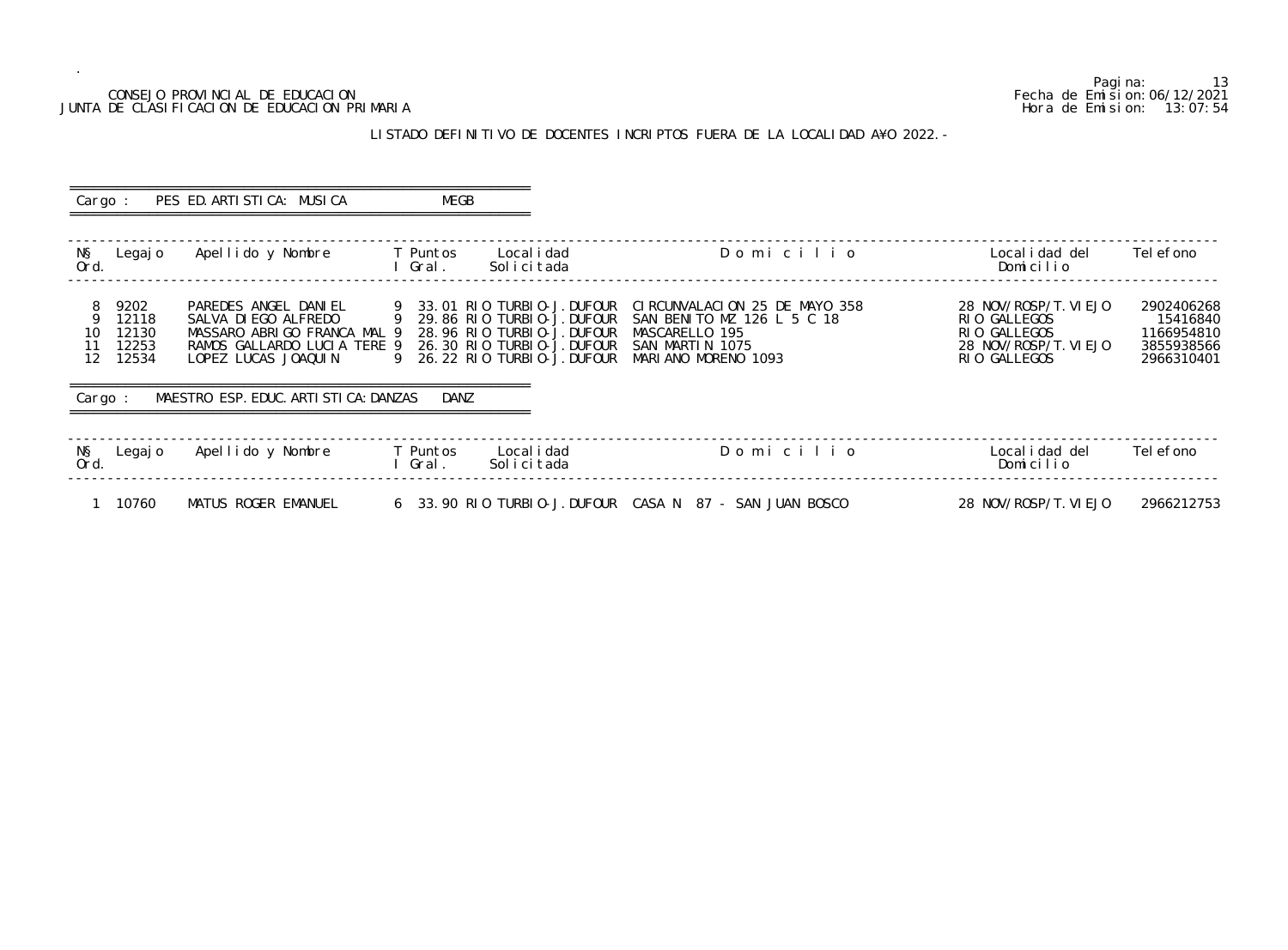# CONSEJO PROVINCIAL DE EDUCACION Fecha de Emision:06/12/2021 JUNTA DE CLASIFICACION DE EDUCACION PRIMARIA

# LISTADO DEFINITIVO DE DOCENTES INCRIPTOS FUERA DE LA LOCALIDAD A¥O 2022.-

 ========================================================== Cargo : PES ED. ARTISTICA: MUSICA ========================================================== ------------------------------------------------------------------------------------------------------------------------------------------------- N§ Legajo Apellido y Nombre T Puntos Localidad Ord.<br>Ord. Solicitada Ord. I Gral. Solicitada Domicilio ------------------------------------------------------------------------------------------------------------------------------------------------- 8 9202 PAREDES ANGEL DANIEL 9 33.01 RIO TURBIO-J.DUFOUR CIRCUNVALACION 25 DE MAYO 358 28 NOV/ROSP/T.VIEJO 2902406268 9 12118 SALVA DIEGO ALFREDO 9 29.86 RIO TURBIO-J.DUFOUR SAN BENITO MZ 126 L 5 C 18 RIO GALLEGOS 15416840 12110 MASSARO ABRIGO FRANCA MAL 9 28.96 RIO TURBIO-J. DUFOUR MASCARELLO 195<br>11 12253 RAMOS GALLARDO LUCIA TERE 9 26.30 RIO TURBIO-J. DUFOUR SAN MARTIN 107! 11 12253 RAMOS GALLARDO LUCIA TERE 9 26.30 RIO TURBIO-J.DUFOUR SAN MARTIN 1075<br>12 12534 LOPEZ LUCAS JOAQUIN 9 26.22 RIO TURBIO-J.DUFOUR MARIANO MORENO 9 26.22 RIO TURBIO-J.DUFOUR MARIANO MORENO 1093 ========================================================== Cargo : MAESTRO ESP. EDUC. ARTISTICA: DANZAS DANZ ========================================================== ------------------------------------------------------------------------------------------------------------------------------------------------- N§ Legajo Apellido y Nombre T Puntos Localidad Ord.<br>Ord. Solicitada I Gral. ------------------------------------------------------------------------------------------------------------------------------------------------- 1 10760 MATUS ROGER EMANUEL 6 33.90 RIO TURBIO-J.DUFOUR CASA N 87 - SAN JUAN BOSCO 28 NOV/ROSP/T.VIEJO 2966212753

Pagina: 13<br>Fecha de Emision: 06/12/2021

| O  | Local i dad del<br>Domicilio                                                                   | Tel efono                                                        |
|----|------------------------------------------------------------------------------------------------|------------------------------------------------------------------|
| 58 | 28 NOV/ROSP/T. VI EJO<br>RIO GALLEGOS<br>RIO GALLEGOS<br>28 NOV/ROSP/T. VI EJO<br>RIO GALLEGOS | 2902406268<br>15416840<br>1166954810<br>3855938566<br>2966310401 |
| O  | Local i dad del<br>Domicilio                                                                   | Tel efono                                                        |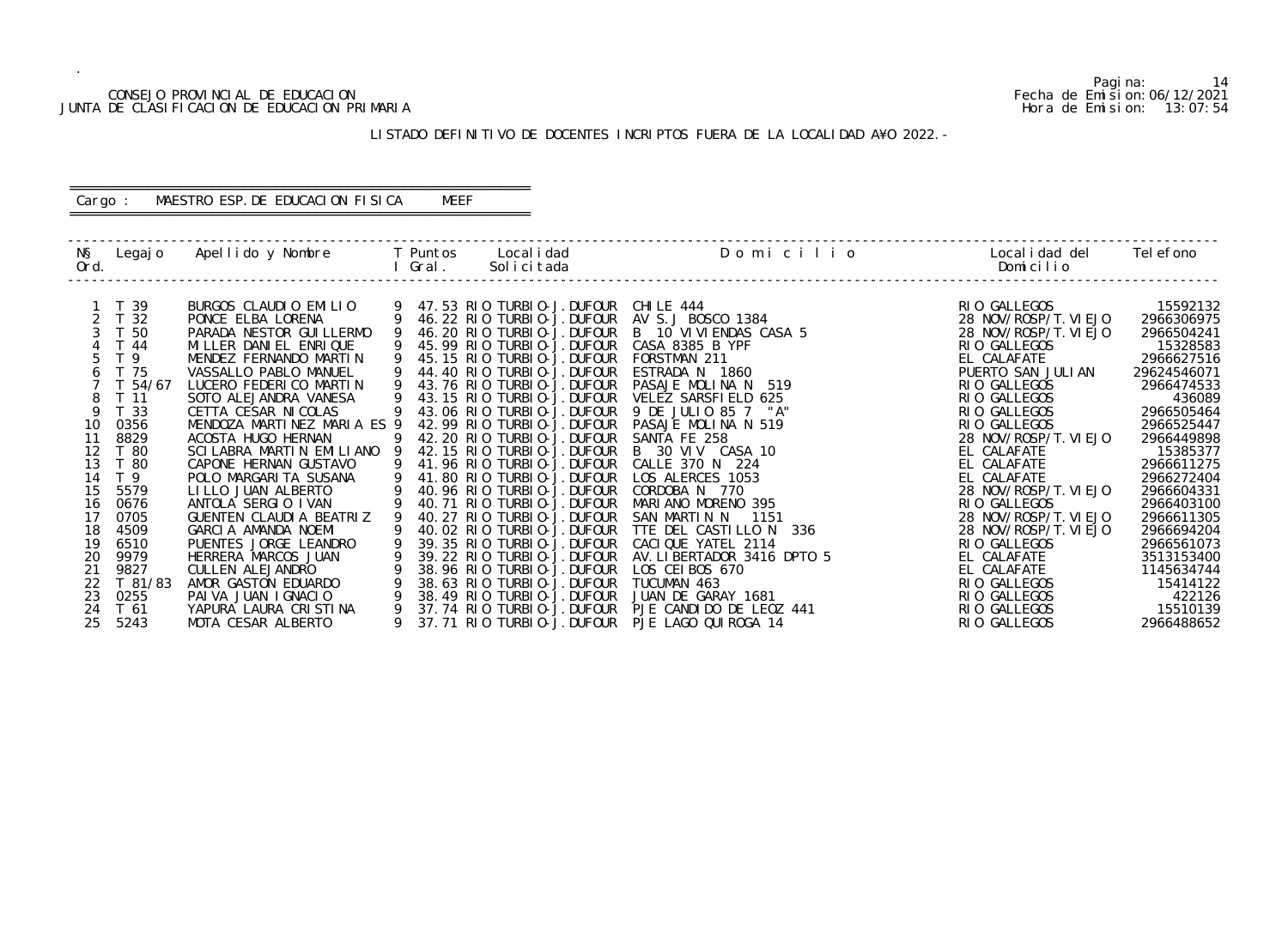# CONSEJO PROVINCIAL DE EDUCACION Fecha de Emision:06/12/2021 JUNTA DE CLASIFICACION DE EDUCACION PRIMARIA

Pagina: 14

| O | Localidad del Telefono<br>Domicilio                                                                                                                                                                                                                                                                                                                                                                                                                                                                                                       |                                                                                                                                                                                                                                                                                                                                           |
|---|-------------------------------------------------------------------------------------------------------------------------------------------------------------------------------------------------------------------------------------------------------------------------------------------------------------------------------------------------------------------------------------------------------------------------------------------------------------------------------------------------------------------------------------------|-------------------------------------------------------------------------------------------------------------------------------------------------------------------------------------------------------------------------------------------------------------------------------------------------------------------------------------------|
|   | RIO GALLEGOS<br>28 NOV/ROSP/T. VI EJO<br>28 NOV/ROSP/T. VI EJO<br>RIO GALLEGOS<br>EL CALAFATE<br>PUERTO SAN JULIAN<br>GALLEGOS<br>RI 0<br><b>GALLEGOS</b><br>RI 0<br>RI O<br>GALLEGOS<br>RIO GALLEGOS<br>28 NOV/ROSP/T. VI EJO<br>CALAFATE<br>EL<br>EL :<br>CAI AFATF<br>FI.<br>CALAFATE<br>28 NOV/ROSP/T. VI EJO<br>RIO GALLEGOS<br>28 NOV/ROSP/T. VI EJO<br>NOV/ROSP/T. VI EJO<br>28<br>RIO GALLEGOS<br>FI<br>CALAFATE<br>CALAFATE<br>RI 0<br><b>GALLEGOS</b><br>RI 0<br><b>GALLEGOS</b><br>GALLEGOS<br>RI 0<br>RI 0<br><b>GALLEGOS</b> | 15592132<br>2966306975<br>2966504241<br>15328583<br>2966627516<br>29624546071<br>2966474533<br>436089<br>2966505464<br>2966525447<br>2966449898<br>15385377<br>2966611275<br>2966272404<br>2966604331<br>2966403100<br>2966611305<br>2966694204<br>2966561073<br>3513153400<br>1145634744<br>15414122<br>422126<br>15510139<br>2966488652 |

# ========================================================== Cargo : MAESTRO ESP. DE EDUCACION FISICA MEEF

 ========================================================== ------------------------------------------------------------------------------------------------------------------------------------------------- N§ Legajo Apellido y Nombre T Puntos Localidad Domicili<br>Ord. I Gral. Solicitada Ord. I Grant Communication of the Domicilian Domicilian Domicilian Domicilian Domicilian Domicilian Domicilian ------------------------------------------------------------------------------------------------------------------------------------------------- 1 T 39 BURGOS CLAUDIO EMILIO 9 47.53 RIO TURBIO-J.DUFOUR CHILE 444<br>2 T 32 PONCE ELBA LORENA 9 46.22 RIO TURBIO-J.DUFOUR AV S.J BO! 2 T 32 PONCE ELBA LORENA 9 46.22 RIO TURBIO-J.DUFOUR AV S.J BOSCO 1384<br>3 T 50 PARADA NESTOR GUILLERMO 9 46.20 RIO TURBIO-J.DUFOUR B 10 VIVIENDAS C. 3 T 50 PARADA NESTOR GUILLERMO 9 46.20 RIO TURBIO-J.DUFOUR B 10 VIVIENDAS CASA 5<br>4 T 44 MILLER DANIEL ENRIQUE 9 45.99 RIO TURBIO-J.DUFOUR CASA 8385 B YPF 4 T 44 MILLER DANIEL ENRIQUE 9 45.99 RIO TURBIO-J.DUFOUR CASA 8385 B YPF<br>5 T 9 MENDEZ FERNANDO MARTIN 9 45.15 RIO TURBIO-J.DUFOUR FORSTMAN 211 5 T 9 MENDEZ FERNANDO MARTIN 9 45.15 RIO TURBIO-J.DUFOUR FORSTMAN 211<br>6 T 75 VASSALLO PABLO MANUEL 9 44.40 RIO TURBIO-J.DUFOUR ESTRADA N 18 6 T 75 VASSALLO PABLO MANUEL 9 44.40 RIO TURBIO-J.DUFOUR ESTRADA N 1860 PUERTO SAN JULIAN 29624546071 7 T 54/67 LUCERO FEDERICO MARTIN 9 43.76 RIO TURBIO-J.DUFOUR PASAJE MOLINA N 519 RIO GALLEGOS 2966474533 8 T 11 SOTO ALEJANDRA VANESA 9 43.15 RIO TURBIO-J.DUFOUR VELEZ SARSFIELD 625 RIO GALLEGOS 436089 9 T 33 CETTA CESAR NICOLAS 9 43.06 RIO TURBIO-J.DUFOUR 9 DE JULIO 85 7 "A" RIO GALLEGOS 2966505464 10 0356 CETTA CESAR NICOLAS 9 43.06 RIO TURBIO-J. DUFOUR 9 DE JULIO 85 7 "A"<br>10 0356 MENDOZA MARTINEZ MARIA ES 9 42.99 RIO TURBIO-J. DUFOUR PASAJE MOLINA N 519<br>11 8829 ACOSTA HUGO HERNAN 9 42.20 RIO TURBIO-J. DUFOUR SANTA 11 8829 ACOSTA HUGO HERNAN 9 42.20 RIO TURBIO-J.DUFOUR SANTA FE 258 28 NOV/ROSP/T.VIEJO 2966449898 12 T 80 SCILABRA MARTIN EMILIANO 9 42.15 RIO TURBIO-J.DUFOUR B 30 VIV CASA 10 EL CALAFATE EL CALAFATE 15385377 13 T 80 CAPONE HERNAN GUSTAVO 9 41.96 RIO TURBIO-J.DUFOUR CALLE 370 N 224<br>14 T 9 POLO MARGARITA SUSANA 9 41.80 RIO TURBIO-J.DUFOUR LOS ALERCES 1053 14 T 9 POLO MARGARITA SUSANA 9 41.80 RIO TURBIO-J.DUFOUR LOS ALERCES 105<br>15 5579 LILLO JUAN ALBERTO 9 40.96 RIO TURBIO-J.DUFOUR CORDOBA N 770 15 5579 LILLO JUAN ALBERTO 9 40.96 RIO TURBIO-J. DUFOUR<br>16 0676 ANTOLA SERGIO IVAN 9 40.71 RIO TURBIO-J. DUFOUR 16 - John 16 ANTOLA SERGIO IVAN 9 40.71 RIO TURBIO-J.DUFOUR MARIANO MORENO 395<br>151 - GUENTEN CLAUDIA BEATRIZ 9 40.27 RIO TURBIO-J.DUFOUR SAN MARTIN N 17 0705 GUENTEN CLAUDIA BEATRIZ 9 40.27 RIO TURBIO-J.DUFOUR SAN MARTIN N 1151<br>18 4509 GARCIA AMANDA NOEMI 9 40.02 RIO TURBIO-J.DUFOUR TTE DEL CASTILLO N 336 18 4509 GARCIA AMANDA NOEMI 9 40.02 RIO TURBIO-J.DUFOUR TTE DEL CASTILLO N<br>19 6510 PUENTES JORGE LEANDRO 9 39.35 RIO TURBIO-J.DUFOUR CACIQUE YATEL 2114 19 6510 PUENTES JORGE LEANDRO 9 39.35 RIO TURBIO-J.DUFOUR CACIQUE YATEL 2114<br>20 9979 HERRERA MARCOS JUAN 9 39.22 RIO TURBIO-J.DUFOUR AV.LIBERTADOR 3416<br>21 9827 CULLEN ALEJANDRO 9 38.96 RIO TURBIO-J.DUFOUR LOS CEIBOS 670 20 9979 HERRERA MARCOS JUAN 9 39.22 RIO TURBIO-J.DUFOUR AV.LIBERTADOR 3416 DPTO 5 EL CALAFATE 3513153400 21 9827 CULLEN ALEJANDRO 9 38.96 RIO TURBIO-J.DUFOUR LOS CEIBOS 670 EL CALAFATE 1145634744 22 T 81/83 AMOR GASTON EDUARDO 9 38.63 RIO TURBIO-J.DUFOUR TUCUMAN 463 RIO GALLEGOS 15414122 23 0255 PAIVA JUAN IGNACIO 9 38.49 RIO TURBIO-J.DUFOUR JUAN DE GARAY 1681 RIO GALLEGOS 422126 24 T 61 YAPURA LAURA CRISTINA 9 37.74 RIO TURBIO-J.DUFOUR PJE CANDIDO DE LEOZ 441 RIO GALLEGOS 15510139 25 5243 MOTA CESAR ALBERTO 9 37.71 RIO TURBIO-J.DUFOUR PJE LAGO QUIROGA 14 RIO GALLEGOS 2966488652

#### LISTADO DEFINITIVO DE DOCENTES INCRIPTOS FUERA DE LA LOCALIDAD A¥O 2022.-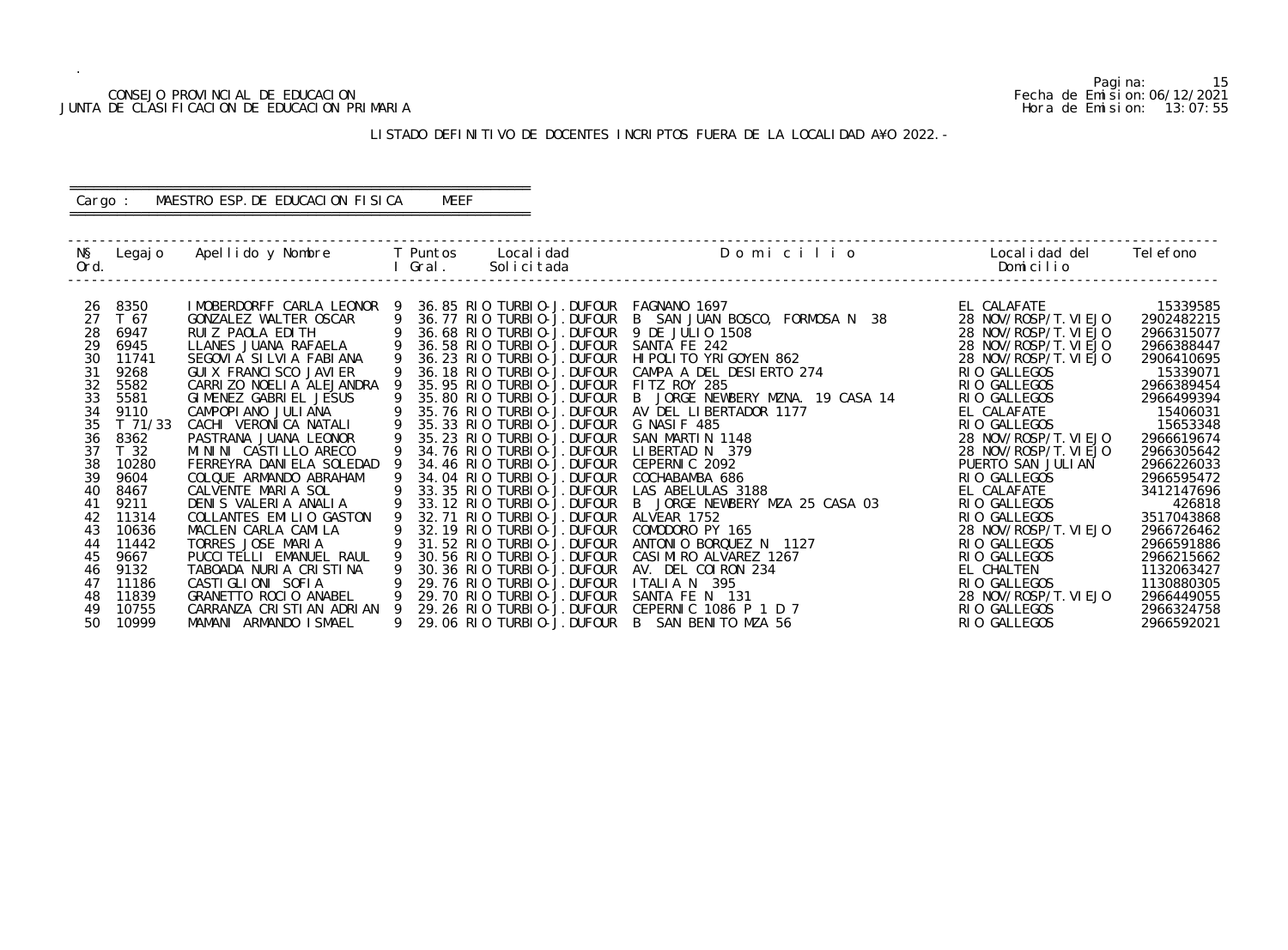## CONSEJO PROVINCIAL DE EDUCACION Fecha de Emision:06/12/2021 JUNTA DE CLASIFICACION DE EDUCACION PRIMARIA Hora de Emision: 13:07:55

# LISTADO DEFINITIVO DE DOCENTES INCRIPTOS FUERA DE LA LOCALIDAD A¥O 2022.-

#### ========================================================== Cargo : MAESTRO ESP.DE EDUCACION FISICA MEEF ==========================================================

| NŞ<br>Ord. | Legaj o         | Apellido y Nombre                          |   | Local i dad<br>T Puntos<br>Solicitada<br>Gral.           | Domicilio                                           | Local i dad del<br>Domicilio | Tel efono            |
|------------|-----------------|--------------------------------------------|---|----------------------------------------------------------|-----------------------------------------------------|------------------------------|----------------------|
| 26         | 8350            | IMOBERDORFF CARLA LEONOR                   |   | 36.85 RIO TURBIO-J. DUFOUR                               | FAGNANO 1697                                        | EL CALAFATE                  | 15339585             |
| 27         | T 67            | GONZALEZ WALTER OSCAR                      | 9 | 36.77 RIO TURBIO-J. DUFOUR                               | B SAN JUAN BOSCO, FORMOSA N<br>38                   | 28 NOV/ROSP/T. VI EJO        | 2902482215           |
| 28         | 6947            | RUIZ PAOLA EDITH                           |   | 36.68 RIO TURBIO-J. DUFOUR                               | 9 DE JULIO 1508                                     | 28 NOV/ROSP/T. VI EJO        | 2966315077           |
| 29         | 6945            | LLANES JUANA RAFAELA                       |   | 36.58 RIO TURBIO-J. DUFOUR                               | SANTA FE 242                                        | 28 NOV/ROSP/T. VI EJO        | 2966388447           |
| 30         | 11741           | SEGOVIA SILVIA FABIANA                     |   | 36.23 RIO TURBIO-J. DUFOUR                               | HI POLITO YRI GOYEN 862                             | 28 NOV/ROSP/T. VI EJO        | 2906410695           |
| 31         | 9268            | GUI X FRANCI SCO JAVI ER                   |   | 36.18 RIO TURBIO-J. DUFOUR                               | CAMPA A DEL DESIERTO 274                            | RIO GALLEGOS                 | 15339071             |
| 32         | 5582            | CARRIZO NOELIA ALEJANDRA                   |   | 35.95 RIO TURBIO-J. DUFOUR                               | FITZ ROY 285                                        | RIO GALLEGOS                 | 2966389454           |
| 33         | 5581            | GIMENEZ GABRIEL JESUS                      |   | 35.80 RIO TURBIO-J. DUFOUR                               | B JORGE NEWBERY MZNA. 19 CASA 14                    | RIO GALLEGOS                 | 2966499394           |
| 34         | 9110            | CAMPOPI ANO JULI ANA                       |   | 35.76 RIO TURBIO-J. DUFOUR                               | AV DEL LIBERTADOR 1177                              | EL CALAFATE                  | 15406031             |
| 35         | $T$ 71/33       | CACHI VERONICA NATALI                      |   | 35.33 RIO TURBIO-J. DUFOUR                               | G NASIF 485                                         | RIO GALLEGOS                 | 15653348             |
| 36         | 8362            | PASTRANA JUANA LEONOR                      |   | 35.23 RIO TURBIO-J. DUFOUR                               | SAN MARTIN 1148                                     | 28 NOV/ROSP/T. VI EJO        | 2966619674           |
| 37         | T <sub>32</sub> | MININI CASTILLO ARECO                      |   | 34.76 RIO TURBIO-J. DUFOUR                               | LIBERTAD N 379                                      | 28 NOV/ROSP/T. VI EJO        | 2966305642           |
| 38         | 10280           | FERREYRA DANIELA SOLEDAD                   |   | 34.46 RIO TURBIO-J. DUFOUR                               | CEPERNIC 2092                                       | PUERTO SAN JULIAN            | 2966226033           |
| 39         | 9604            | COLQUE ARMANDO ABRAHAM                     |   | 34.04 RIO TURBIO-J.DUFOUR                                | COCHABAMBA 686                                      | RIO GALLEGOS                 | 2966595472           |
| 40         | 8467<br>9211    | CALVENTE MARIA SOL<br>DENIS VALERIA ANALIA |   | 33.35 RIO TURBIO-J. DUFOUR<br>33.12 RIO TURBIO-J. DUFOUR | LAS ABELULAS 3188<br>B JORGE NEWBERY MZA 25 CASA 03 | EL CALAFATE<br>RIO GALLEGOS  | 3412147696<br>426818 |
| 41<br>42   | 11314           | COLLANTES EMILIO GASTON                    |   | 32.71 RIO TURBIO-J. DUFOUR                               | ALVEAR 1752                                         | RIO GALLEGOS                 | 3517043868           |
| 43         | 10636           | MACLEN CARLA CAMILA                        |   | 32.19 RIO TURBIO-J. DUFOUR                               | COMODORO PY 165                                     | 28 NOV/ROSP/T. VI EJO        | 2966726462           |
| 44         | 11442           | TORRES JOSE MARIA                          |   | 31.52 RIO TURBIO-J. DUFOUR                               | 1127<br>ANTONIO BORQUEZ N                           | RIO GALLEGOS                 | 2966591886           |
| 45         | 9667            | PUCCI TELLI EMANUEL RAUL                   |   | 30.56 RIO TURBIO-J. DUFOUR                               | CASIMIRO ALVAREZ 1267                               | RIO GALLEGOS                 | 2966215662           |
| 46         | 9132            | TABOADA NURIA CRISTINA                     |   | 30.36 RIO TURBIO-J. DUFOUR                               | AV. DEL COIRON 234                                  | EL CHALTEN                   | 1132063427           |
| 47         | 11186           | CASTIGLIONI SOFIA                          |   | 29.76 RIO TURBIO-J. DUFOUR                               | I TALIA N<br>395                                    | RIO GALLEGOS                 | 1130880305           |
| 48         | 11839           | GRANETTO ROCIO ANABEL                      |   | 29.70 RIO TURBIO-J. DUFOUR                               | SANTA FE N<br>131                                   | 28 NOV/ROSP/T. VI EJO        | 2966449055           |
| 49         | 10755           | CARRANZA CRISTIAN ADRIAN                   |   | 29.26 RIO TURBIO-J. DUFOUR                               | CEPERNIC 1086 P 1 D 7                               | RIO GALLEGOS                 | 2966324758           |
| 50         | 10999           | MAMANI ARMANDO ISMAEL                      |   | 29.06 RIO TURBIO-J. DUFOUR                               | B SAN BENITO MZA 56                                 | RIO GALLEGOS                 | 2966592021           |

Pagina: 15<br>Fecha de Emision: 06/12/2021<br>Hora de Emision: 13: 07: 55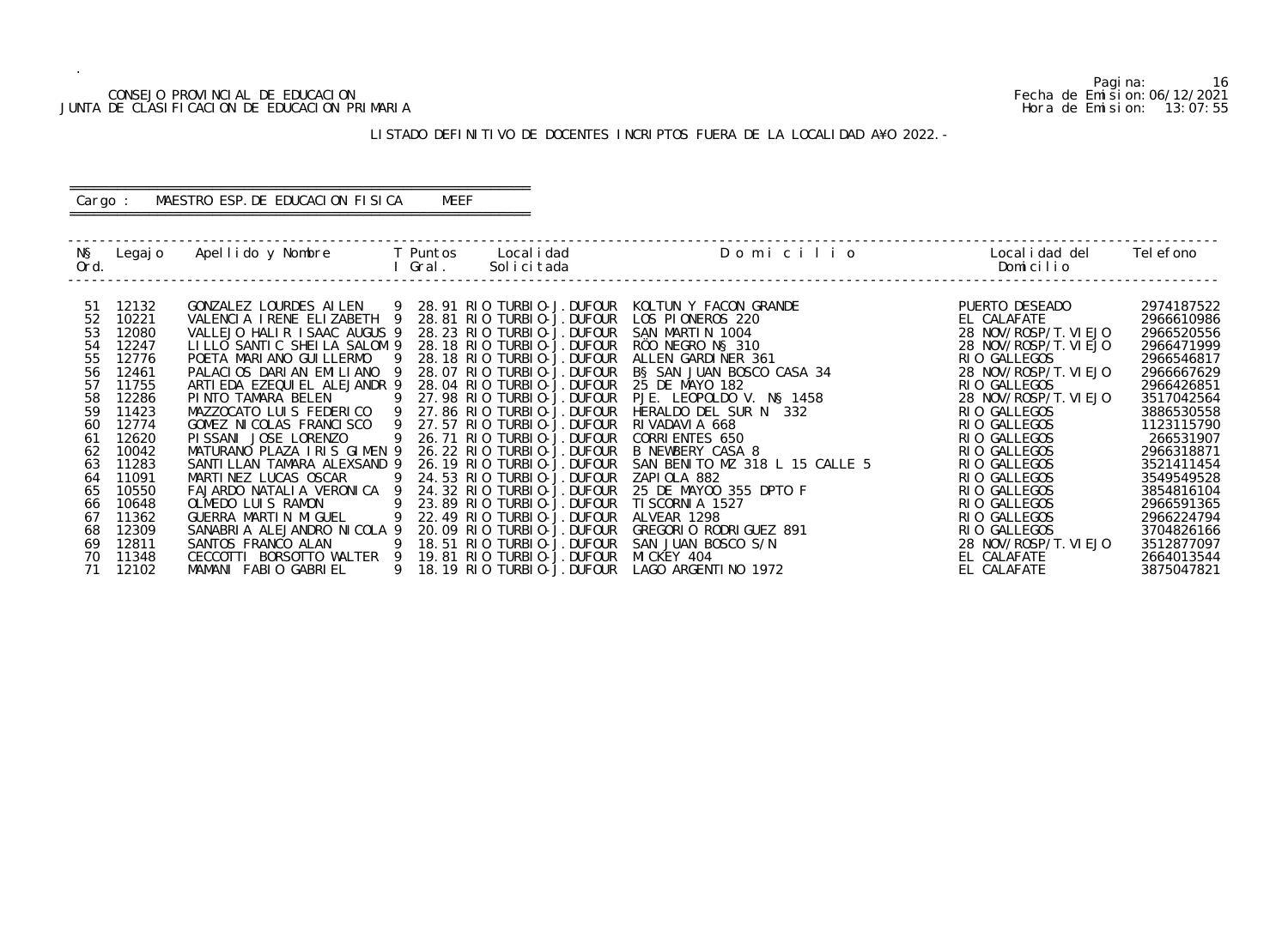# CONSEJO PROVINCIAL DE EDUCACION Fecha de Emision:06/12/2021<br>DE CLASIFICACION DE EDUCACION PRIMARIA FECHA DE SISTEMA DE CLASIFICACION DE EDUCACION PRIMARIA JUNTA DE CLASIFICACION DE EDUCACION PRIMARIA

.

Pagina: 16

| O   | Localidad del<br>Domicilio                                                                                                                                                                                                                                                                                                                                                                                                                                                                                   | Tel efono                                                                                                                                                                                                                                                                                         |
|-----|--------------------------------------------------------------------------------------------------------------------------------------------------------------------------------------------------------------------------------------------------------------------------------------------------------------------------------------------------------------------------------------------------------------------------------------------------------------------------------------------------------------|---------------------------------------------------------------------------------------------------------------------------------------------------------------------------------------------------------------------------------------------------------------------------------------------------|
| E 5 | PUERTO DESEADO<br>CALAFATE<br>EL.<br>NOV/ROSP/T. VI EJO<br>28<br>NOV/ROSP/T. VI EJO<br>28.<br>RIO GALLEGOS<br>28 NOV/ROSP/T. VI EJO<br>RIO GALLEGOS<br>28 NOV/ROSP/T. VI EJO<br><b>GALLEGOS</b><br>RI 0<br><b>GALLEGOS</b><br>RI 0<br><b>GALLEGOS</b><br>RI O<br><b>GALLEGOS</b><br>RI 0<br>RI 0<br><b>GALLEGOS</b><br>RI 0<br>GALLEGOS<br>GALLEGOS<br>RI 0<br>RI 0<br><b>GALLEGOS</b><br>GALLEGOS<br>RI<br><u>ΙΟ</u><br><b>GALLEGOS</b><br>RI 0<br>NOV/ROSP/T. VI EJO<br>28.<br>CALAFATE<br>FL.<br>CALAFATE | 2974187522<br>2966610986<br>2966520556<br>2966471999<br>2966546817<br>2966667629<br>2966426851<br>3517042564<br>3886530558<br>1123115790<br>266531907<br>2966318871<br>3521411454<br>3549549528<br>3854816104<br>2966591365<br>2966224794<br>3704826166<br>3512877097<br>2664013544<br>3875047821 |

#### LISTADO DEFINITIVO DE DOCENTES INCRIPTOS FUERA DE LA LOCALIDAD A¥O 2022.-

 ------------------------------------------------------------------------------------------------------------------------------------------------- N§ Legajo Apellido y Nombre T Puntos Localidad D o m i c i l i o Localidad del Telefono Ord. I Grant Communication of the Domicilian Domicilian Domicilian Domicilian Domicilian Domicilian Domicilian ------------------------------------------------------------------------------------------------------------------------------------------------- 51 12132 GONZALEZ LOURDES AILEN 9 28.91 RIO TURBIO-J.DUFOUR KOLTUN Y FACON GRANDE<br>52 10221 VALENCIA IRENE ELIZABETH 9 28.81 RIO TURBIO-J.DUFOUR LOS PIONEROS 220 52 10221 VALENCIA IRENE ELIZABETH 9 28.81 RIO TURBIO-J.DUFOUR LOS PIONEROS 220 EL CALAFATE 2966610986 53 12080 VALLEJO HALIR ISAAC AUGUS 9 28.23 RIO TURBIO-J.DUFOUR SAN MARTIN 1004 28 NOV/ROSP/T.VIEJO 2966520556 54 12247 LILLO SANTIC SHEILA SALOM 9 28.18 RIO TURBIO-J.DUFOUR RÖO NEGRO N§ 310<br>55 12776 POETA MARIANO GUILLERMO 9 28.18 RIO TURBIO-J.DUFOUR ALLEN GARDINER 3 55 12776 POETA MARIANO GUILLERMO 9 28.18 RIO TURBIO-J.DUFOUR ALLEN GARDINER 361<br>56 12461 PALACIOS DARIAN EMILIANO 9 28.07 RIO TURBIO-J.DUFOUR B§SAN JUAN BOSCO CASA 34 56 12461 PALACIOS DARIAN EMILIANO 9 28.07 RIO TURBIO-J.DUFOUR B§ SAN JUAN BOS<br>57 11755 ARTIEDA EZEQUIEL ALEJANDR 9 28.04 RIO TURBIO-J.DUFOUR 25 DE MAYO 182 57 11755 ARTIEDA EZEQUIEL ALEJANDR 9 28.04 RIO TURBIO-J.DUFOUR 25 DE MAYO 182<br>58 12286 PINTO TAMARA BELEN 9 27.98 RIO TURBIO-J.DUFOUR PJE. LEOPOLDO V. N§ 1458 58 12286 PINTO TAMARA BELEN 9 27.98 RIO TURBIO-J.DUFOUR PJE. LEOPOLDO V. N§ 1458 28 NOV/ROSP/T.VIEJO 3517042564 59 11423 MAZZOCATO LUIS FEDERICO 9 27.86 RIO TURBIO-J.DUFOUR HERALDO DEL SUR N 332 RIO GALLEGOS 3886530558 S 60 12774 GOMEZ NICOLAS FRANCISCO 9 27.57 RIO TURBIO-J.DUFOUR RIVADAVIA 668 RIO GALLEGOS RIO GALLEGOS 1123115790 61 12620 PISSANI JOSE LORENZO 9 26.71 RIO TURBIO-J.DUFOUR CORRIENTES 650 RIO GALLEGOS 266531907 62 10042 MATURANO PLAZA IRIS GIMEN 9 26.22 RIO TURBIO-J.DUFOUR B NEWBERY CASA 8<br>63 11283 SANTILLAN TAMARA ALEXSAND 9 26.19 RIO TURBIO-J.DUFOUR SAN BENITO MZ 318 L 15 CALLI SANTILLAN TAMARA ALEXSAND 9 26.19 RIO TURBIO-J. DUFOUR SAN BENITO I<br>MARTINEZ LUCAS OSCAR 9 24.53 RIO TURBIO-J. DUFOUR ZAPIOLA 882 64 11091 MARTINEZ LUCAS OSCAR 9 24.53 RIO TURBIO-J.DUFOUR ZAPIOLA 882<br>65 10550 FAJARDO NATALIA VERONICA 9 24.32 RIO TURBIO-J.DUFOUR 25 DE MAYOO 355 DPTO F 65 11071 MANTINEZ EUCAS OSCAN<br>65 10550 FAJARDO NATALIA VERONICA 9 24.32 RIO TURBIO-J. DUFOUR<br>66 10648 OLMEDO LUIS RAMON 9 23.89 RIO TURBIO-J. DUFOUR 66 10648 OLMEDO LUIS RAMON 9 23.89 RIO TURBIO-J.DUFOUR TISCORNIA 1527 RIO GALLEGOS 2966591365 67 11362 GUERRA MARTIN MIGUEL 9 22.49 RIO TURBIO-J.DUFOUR ALVEAR 1298 RIO GALLEGOS RIO GALLEGOS 2966224794 68 12309 SANABRIA ALEJANDRO NICOLA 9 20.09 RIO TURBIO-J.DUFOUR GREGORIO RODRIGUEZ 891<br>69 12811 SANTOS FRANCO ALAN 9 18.51 RIO TURBIO-J.DUFOUR SAN JUAN BOSCO S/N SANTOS FRANCO ALAN 9 18.51 RIO TURBIO-J. DUFOUR SAN JUAN BOSCO S/N 70 11348 CECCOTTI BORSOTTO WALTER 9 19.81 RIO TURBIO-J.DUFOUR MICKEY 404<br>71 12102 MAMANI FABIO GABRIEL 9 18.19 RIO TURBIO-J.DUFOUR LAGO ARGEN MAMANI FABIO GABRIEL 9 18.19 RIO TURBIO-J. DUFOUR LAGO ARGENTINO 1972

#### ========================================================== Cargo : MAESTRO ESP. DE EDUCACION FISICA MEEF ==========================================================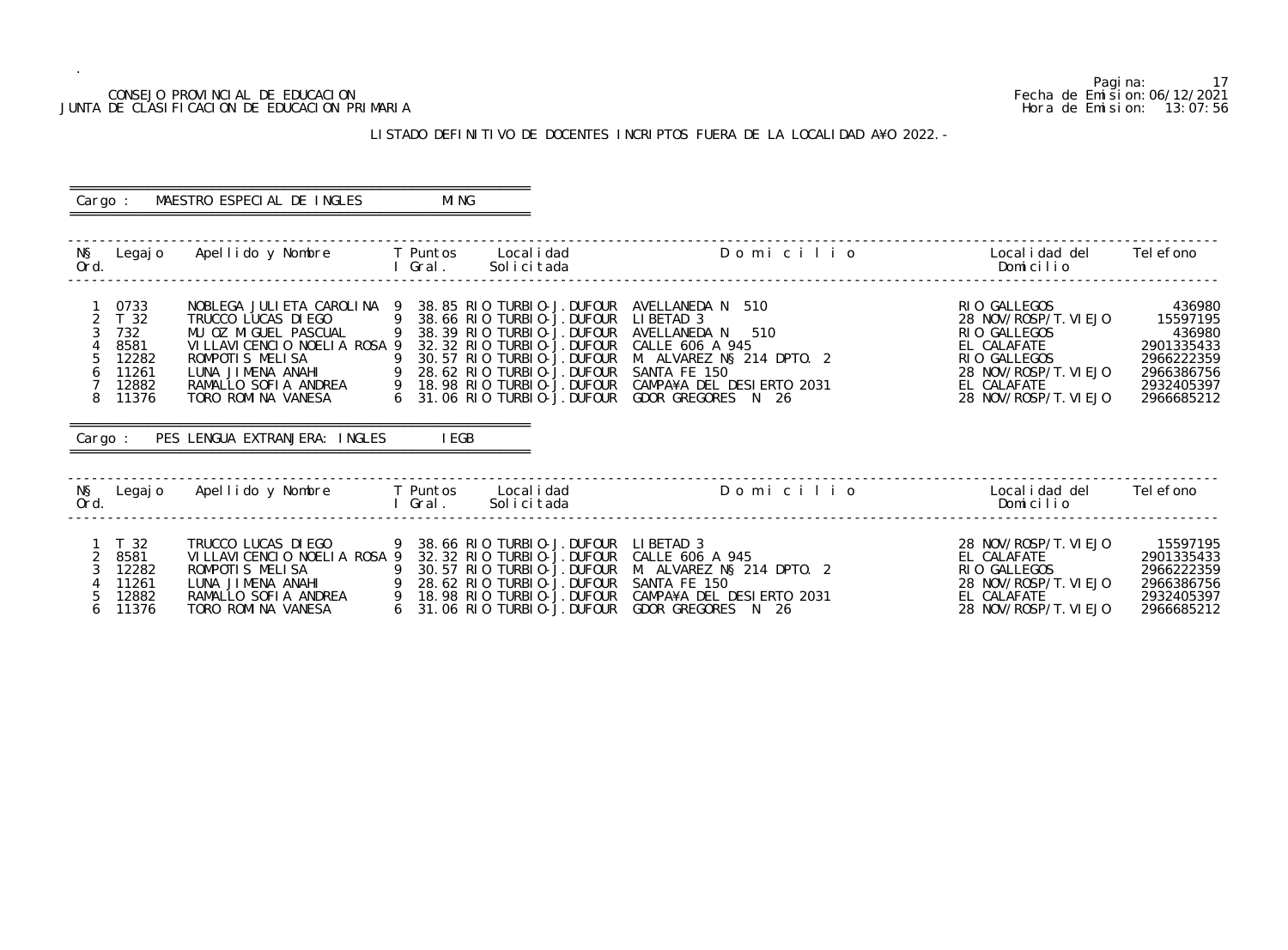## CONSEJO PROVINCIAL DE EDUCACION Fecha de Emision:06/12/2021 JUNTA DE CLASIFICACION DE EDUCACION PRIMARIA Hora de Emision: 13:07:56

# LISTADO DEFINITIVO DE DOCENTES INCRIPTOS FUERA DE LA LOCALIDAD A¥O 2022.-

| Cargo :                                    |                                                                            | MAESTRO ESPECIAL DE INGLES                                                                                                                                                                                            | MI NG             |                                                                                                                          |                                                                                                                         |                                                                                                                                                       |                                                                                                    |
|--------------------------------------------|----------------------------------------------------------------------------|-----------------------------------------------------------------------------------------------------------------------------------------------------------------------------------------------------------------------|-------------------|--------------------------------------------------------------------------------------------------------------------------|-------------------------------------------------------------------------------------------------------------------------|-------------------------------------------------------------------------------------------------------------------------------------------------------|----------------------------------------------------------------------------------------------------|
| NŞ<br>Ord.                                 | Legaj o                                                                    | Apellido y Nombre T Puntos Localidad                                                                                                                                                                                  | l Gral.           | Solicitada                                                                                                               | Domicilio                                                                                                               | Local i dad del<br>Domicilio                                                                                                                          | Tel efono                                                                                          |
| $\overline{2}$<br>6<br>$\overline{7}$<br>8 | 0733<br>T 32<br>732<br>8581<br>12282<br>11261<br>12882<br>11376<br>Cargo : | NOBLEGA JULIETA CAROLINA 9 38.85 RIO TURBIO-J. DUFOUR<br>TRUCCO LUCAS DI EGO<br>MU OZ MI GUEL PASCUAL 9 38.39 RIO TURBIO-J. DUFOUR<br>VILLAVICENCIO NOELIA ROSA 9<br>ROMPOTIS MELISA<br>PES LENGUA EXTRANJERA: INGLES | - 9<br><b>EGB</b> | 9 38.66 RIO TURBIO-J. DUFOUR<br>32.32 RIO TURBIO-J. DUFOUR<br>30.57 RIO TURBIO-J. DUFOUR                                 | AVELLANEDA N 510<br>LIBETAD <sub>3</sub><br>AVELLANEDA N 510<br>CALLE 606 A 945<br>M. ALVAREZ N§ 214 DPTO. 2            | RIO GALLEGOS<br>28 NOV/ROSP/T. VI EJO<br>RIO GALLEGOS<br>EL CALAFATE<br>RIO GALLEGOS<br>28 NOV/ROSP/T. VI EJO<br>EL CALAFATE<br>28 NOV/ROSP/T. VI EJO | 436980<br>15597195<br>436980<br>2901335433<br>2966222359<br>2966386756<br>2932405397<br>2966685212 |
| NŞ<br>Ord.                                 |                                                                            | Legajo Apellido y Nombre     T Puntos                                                                                                                                                                                 | l Gral.           | Local i dad<br>Solicitada                                                                                                | Domicilio                                                                                                               | Local i dad del<br>Domicilio                                                                                                                          | Tel efono                                                                                          |
| 6                                          | T 32<br>8581<br>12282<br>11261<br>12882<br>11376                           | TRUCCO LUCAS DI EGO<br>VILLAVICENCIO NOELIA ROSA 9<br>ROMPOTIS MELISA<br>LUNA JIMENA ANAHI<br>TORO ROMINA VANESA                                                                                                      |                   | 9 38.66 RIO TURBIO-J.DUFOUR<br>32.32 RIO TURBIO-J.DUFOUR<br>9 30.57 RIO TURBIO-J. DUFOUR<br>6 31.06 RIO TURBIO-J. DUFOUR | LIBETAD <sub>3</sub><br>CALLE 606 A 945<br>M. ALVAREZ N§ 214 DPTO. 2<br>CAMPA¥A DEL DESIERTO 2031<br>GDOR GREGORES N 26 | 28 NOV/ROSP/T. VI EJO<br>EL CALAFATE<br>RIO GALLEGOS<br>28 NOV/ROSP/T. VI EJO<br>EL CALAFATE<br>28 NOV/ROSP/T. VI EJO                                 | 15597195<br>2901335433<br>2966222359<br>2966386756<br>2932405397<br>2966685212                     |

Pagina: 17<br>Fecha de Emision: 06/12/2021<br>Hora de Emision: 13:07:56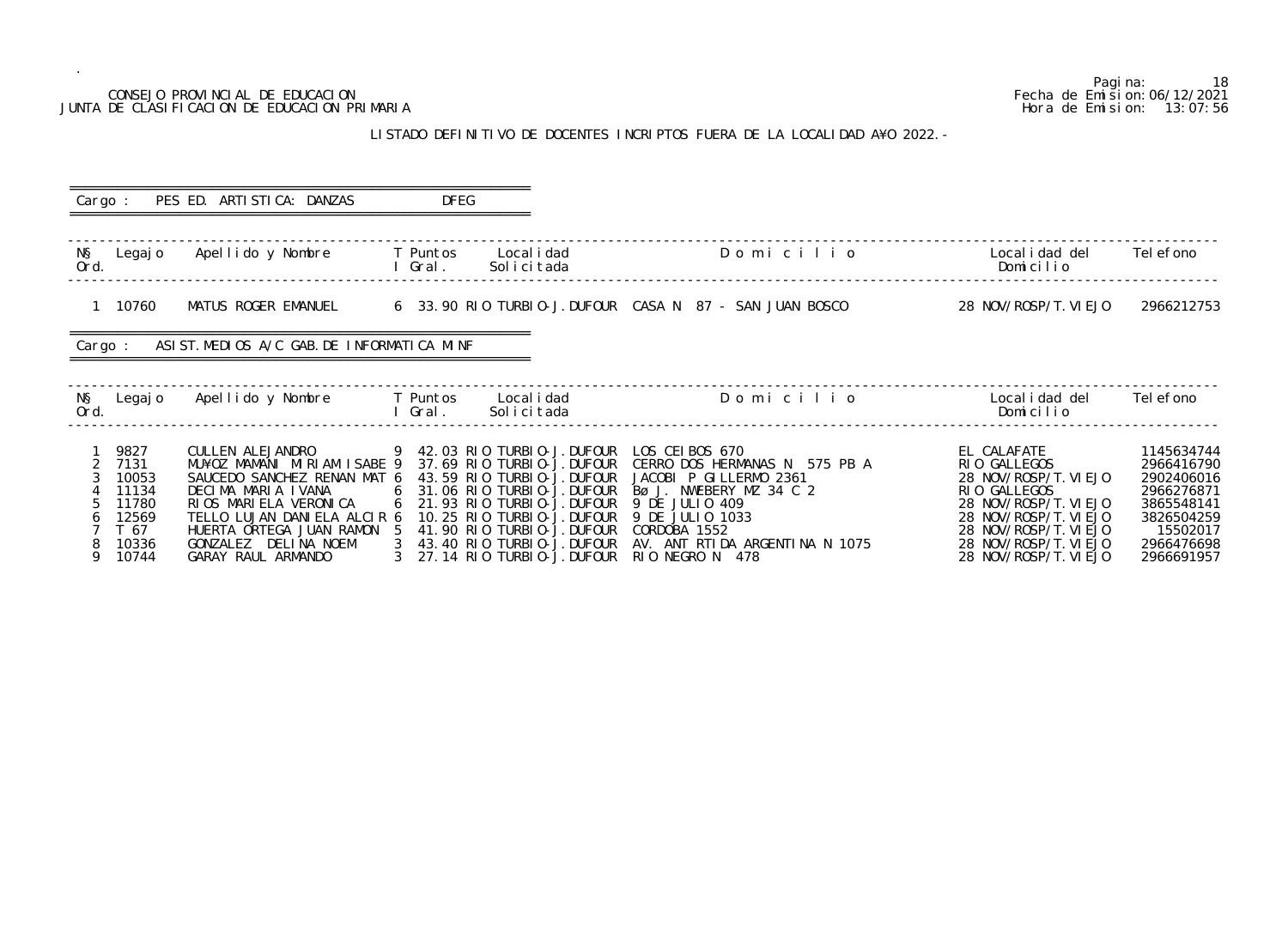# CONSEJO PROVINCIAL DE EDUCACION JUNTA DE CLASIFICACION DE EDUCACION PRIMARIA

.

# LISTADO DEFINITIVO DE DOCENTES INCRIPTOS FUERA DE LA LOCALIDA

| CONSEJO PROVINCIAL DE EDUCACION<br>JUNTA DE CLASIFICACION DE EDUCACION PRIMARIA |                                                                                                                                                                                                                           |                                    |                                                                                                                                                                                                                                                                                               |                                                                                                                                      |                                                                                                                                                                          | Pagi na:<br>18<br>Fecha de Emi si on: 06/12/2021<br>Hora de Emision: 13:07:56                              |
|---------------------------------------------------------------------------------|---------------------------------------------------------------------------------------------------------------------------------------------------------------------------------------------------------------------------|------------------------------------|-----------------------------------------------------------------------------------------------------------------------------------------------------------------------------------------------------------------------------------------------------------------------------------------------|--------------------------------------------------------------------------------------------------------------------------------------|--------------------------------------------------------------------------------------------------------------------------------------------------------------------------|------------------------------------------------------------------------------------------------------------|
|                                                                                 |                                                                                                                                                                                                                           |                                    |                                                                                                                                                                                                                                                                                               | LISTADO DEFINITIVO DE DOCENTES INCRIPTOS FUERA DE LA LOCALIDAD A¥O 2022. -                                                           |                                                                                                                                                                          |                                                                                                            |
| Cargo :                                                                         | PES ED. ARTISTICA: DANZAS                                                                                                                                                                                                 | <b>DFEG</b>                        |                                                                                                                                                                                                                                                                                               |                                                                                                                                      |                                                                                                                                                                          |                                                                                                            |
| NŞ<br>Legaj o<br>Ord.                                                           | Apellido y Nombre                                                                                                                                                                                                         | I Gral.                            | T Puntos Localidad<br>Solicitada                                                                                                                                                                                                                                                              | Domicilio                                                                                                                            | Local i dad del<br>Domicilio                                                                                                                                             | Tel efono                                                                                                  |
| 10760                                                                           | MATUS ROGER EMANUEL                                                                                                                                                                                                       |                                    |                                                                                                                                                                                                                                                                                               |                                                                                                                                      | 28 NOV/ROSP/T. VI EJO                                                                                                                                                    | 2966212753                                                                                                 |
| Cargo :                                                                         | ASIST. MEDIOS A/C GAB. DE INFORMATICA MINF                                                                                                                                                                                |                                    |                                                                                                                                                                                                                                                                                               |                                                                                                                                      |                                                                                                                                                                          |                                                                                                            |
| Ord.                                                                            | N§ Legajo Apellido y Nombre                                                                                                                                                                                               | <b>Example T</b> Puntos<br>I Gral. | Local i dad<br>Solicitada                                                                                                                                                                                                                                                                     | Domicilio                                                                                                                            | Local i dad del<br>Domicilio                                                                                                                                             | Tel efono                                                                                                  |
| 9827<br>7131<br>10053<br>11134<br>11780<br>12569<br>T 67<br>10336<br>8          | <b>CULLEN ALEJANDRO</b><br>MU¥OZ MAMANI MIRIAM ISABE 9<br>SAUCEDO SANCHEZ RENAN MAT 6<br>DECIMA MARIA IVANA<br>RIOS MARIELA VERONICA<br>TELLO LUJAN DANIELA ALCIR 6<br>HUERTA ORTEGA JUAN RAMON 5<br>GONZALEZ DELINA NOEM |                                    | 9 42.03 RIO TURBIO-J. DUFOUR LOS CEIBOS 670<br>37.69 RIO TURBIO-J.DUFOUR<br>43.59 RIO TURBIO-J. DUFOUR<br>6 31.06 RIO TURBIO-J. DUFOUR<br>6 21.93 RIO TURBIO-J. DUFOUR 9 DE JULIO 409<br>10.25 RIO TURBIO-J. DUFOUR 9 DE JULIO 1033<br>41.90 RIO TURBIO-J.DUFOUR<br>43.40 RIO TURBIO-J.DUFOUR | CERRO DOS HERMANAS N 575 PB A<br>JACOBI P GILLERMO 2361<br>Bø J. NWEBERY MZ 34 C 2<br>CORDOBA 1552<br>AV. ANT RTIDA ARGENTINA N 1075 | EL CALAFATE<br>RIO GALLEGOS<br>28 NOV/ROSP/T. VI EJO<br>RIO GALLEGOS<br>28 NOV/ROSP/T. VI EJO<br>28 NOV/ROSP/T. VI EJO<br>28 NOV/ROSP/T. VI EJO<br>28 NOV/ROSP/T. VI EJO | 1145634744<br>2966416790<br>2902406016<br>2966276871<br>3865548141<br>3826504259<br>15502017<br>2966476698 |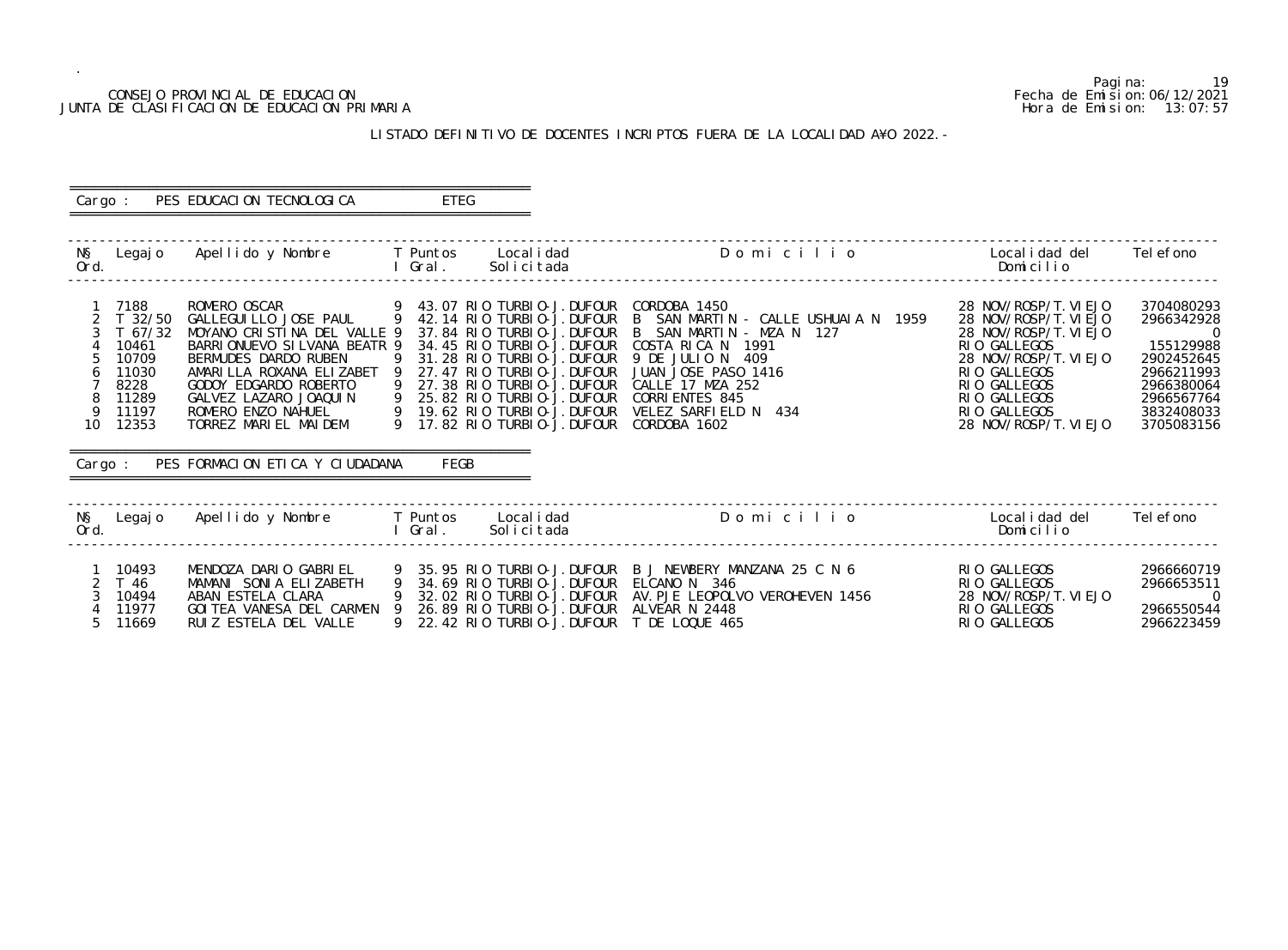## CONSEJO PROVINCIAL DE EDUCACION Fecha de Emision:06/12/2021 JUNTA DE CLASIFICACION DE EDUCACION PRIMARIA Hora de Emision: 13:07:57

# LISTADO DEFINITIVO DE DOCENTES INCRIPTOS FUERA DE LA LOCALIDAD A¥O 2022.-

| Cargo :                                          |                                                                                                         | PES EDUCACION TECNOLOGICA                                                                                                                                                                                                                                                                                                                                                                                                                           | ETEG                                                                     |                                                          |                                                                                                                                                                                                                                          |                                                                                                                                                                                                           |                                                                                                                                             |
|--------------------------------------------------|---------------------------------------------------------------------------------------------------------|-----------------------------------------------------------------------------------------------------------------------------------------------------------------------------------------------------------------------------------------------------------------------------------------------------------------------------------------------------------------------------------------------------------------------------------------------------|--------------------------------------------------------------------------|----------------------------------------------------------|------------------------------------------------------------------------------------------------------------------------------------------------------------------------------------------------------------------------------------------|-----------------------------------------------------------------------------------------------------------------------------------------------------------------------------------------------------------|---------------------------------------------------------------------------------------------------------------------------------------------|
| NŞ<br>Ord.                                       |                                                                                                         | <b>Example 20</b> Service Contract Contract Contract Contract Contract Contract Contract Contract Contract Contract Contract Contract Contract Contract Contract Contract Contract Contract Contract Contract Contract Contract Con                                                                                                                                                                                                                 |                                                                          | Solicitada                                               | Legajo Apellido y Nombre T Puntos Localidad     Domicilio                                                                                                                                                                                | Localidad del<br>Domicilio                                                                                                                                                                                | Tel efono                                                                                                                                   |
| $\overline{2}$<br>6<br>8<br>9<br>10 <sup>°</sup> | 7188<br>T 32/50<br>$T_{67/32}$<br>10461<br>10709<br>11030<br>8228<br>11289<br>11197<br>12353<br>Cargo : | MOYANO CRISTINA DEL VALLE 9 37.84 RIO TURBIO-J. DUFOUR<br>BARRIONUEVO SILVANA BEATR 9<br>BERMUDES DARDO RUBEN<br>AMARILLA ROXANA ELIZABET 9 27.47 RIO TURBIO-J. DUFOUR<br>GODOY EDGARDO ROBERTO<br>GALVEZ LAZARO JOAQUIN 9 25.82 RIO TURBIO-J. DUFOUR<br>ROMERO ENZO NAHUEL 9 19.62 RIO TURBIO-J. DUFOUR<br>TORREZ MARIEL MAIDEM 9 17.82 RIO TURBIO-J. DUFOUR<br>TORREZ MARIEL MAIDEM 9 17.82 RIO TURBIO-J. DUFO<br>PES FORMACION ETICA Y CIUDADANA | 9<br>FEGB                                                                | 34.45 RIO TURBIO-J. DUFOUR<br>31.28 RIO TURBIO-J. DUFOUR | CORDOBA 1450<br>B SAN MARTIN - CALLE USHUAIA N 1959<br>B SAN MARTIN - MZA N 127<br>COSTA RICA N<br>1991<br>9 DE JULIO N 409<br>JUAN JOSE PASO 1416<br>CALLE 17 MZA 252<br><b>CORRI ENTES 845</b><br>VELEZ SARFIELD N 434<br>CORDOBA 1602 | 28 NOV/ROSP/T. VI EJO<br>28 NOV/ROSP/T. VI EJO<br>28 NOV/ROSP/T. VI EJO<br>RIO GALLEGOS<br>28 NOV/ROSP/T. VI EJO<br>RIO GALLEGOS<br>RIO GALLEGOS<br>RIO GALLEGOS<br>RIO GALLEGOS<br>28 NOV/ROSP/T. VI EJO | 3704080293<br>2966342928<br>$\overline{0}$<br>155129988<br>2902452645<br>2966211993<br>2966380064<br>2966567764<br>3832408033<br>3705083156 |
| Ord.                                             |                                                                                                         | N§ Legajo Apellido y Nombre T Puntos Localidad                                                                                                                                                                                                                                                                                                                                                                                                      | I Gral.                                                                  | Solicitada                                               | Domicilio                                                                                                                                                                                                                                | Local i dad del<br>Domicilio                                                                                                                                                                              | Tel efono                                                                                                                                   |
| $\overline{2}$<br>3<br>5                         | 10493<br>T 46<br>10494<br>11977<br>11669                                                                | MENDOZA DARIO GABRIEL<br>MAMANI SONIA ELIZABETH<br>ABAN ESTELA CLARA<br>GOITEA VANESA DEL CARMEN 9 26.89 RIO TURBIO-J. DUFOUR ALVEAR N 2448<br>RUIZ ESTELA DEL VALLE                                                                                                                                                                                                                                                                                | 9 34.69 RIO TURBIO-J.DUFOUR ELCANO N 346<br>9 22.42 RIO TURBIO-J. DUFOUR |                                                          | 9 35.95 RIO TURBIO-J.DUFOUR B J NEWBERY MANZANA 25 C N 6<br>9 32.02 RIO TURBIO-J.DUFOUR AV. PJE LEOPOLVO VEROHEVEN 1456<br>T DE LOQUE 465                                                                                                | RIO GALLEGOS<br>RIO GALLEGOS<br>28 NOV/ROSP/T. VI EJO<br>RIO GALLEGOS<br>RIO GALLEGOS                                                                                                                     | 2966660719<br>2966653511<br>$\circ$<br>2966550544<br>2966223459                                                                             |

Pagina: 19<br>Fecha de Emision: 06/12/2021<br>Hora de Emision: 13: 07: 57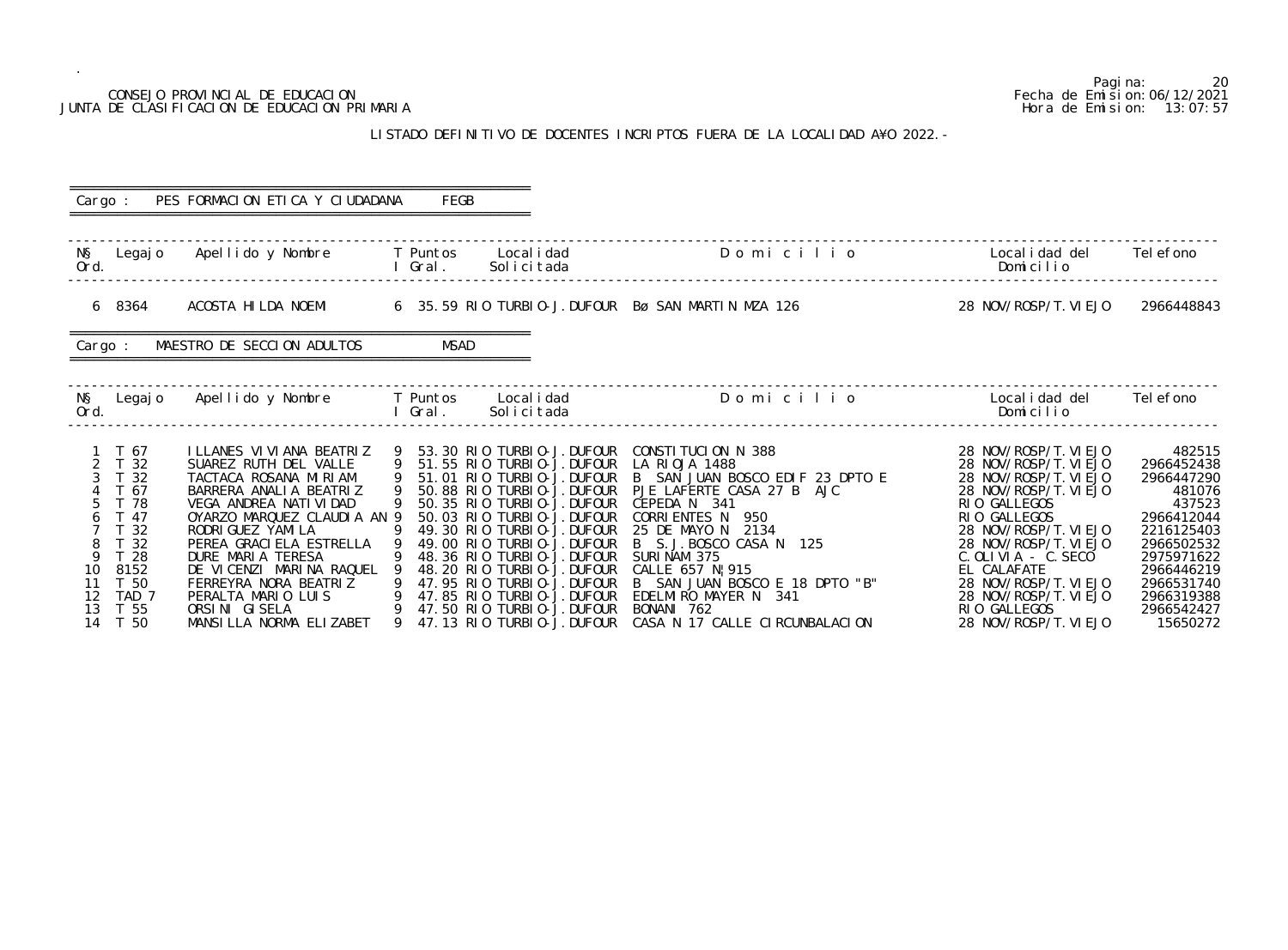# CONSEJO PROVINCIAL DE EDUCACION JUNTA DE CLASIFICACION DE EDUCACION PRIMARIA

.

# LISTADO DEFINITIVO DE DOCENTES INCRIPTOS FUERA DE LA LOCALIDA

| CONSEJO PROVINCIAL DE EDUCACION<br>JUNTA DE CLASIFICACION DE EDUCACION PRIMARIA<br>LISTADO DEFINITIVO DE DOCENTES INCRIPTOS FUERA DE LA LOCALIDAD A¥O 2022. - |                                                                                                                                                                                                                                                                                                                                     |                             |                                                                                                                                                                                                                                                                   |                                                                                                                                                                                                                                                                                                                                                                                                                                                                                                                             | Pagi na:<br>Fecha de Emi si on: 06/12/2021<br>Hora de Emision: 13:07:57                                                                                                                                                                                                                                                 |                                                                                                                                                                                    |
|---------------------------------------------------------------------------------------------------------------------------------------------------------------|-------------------------------------------------------------------------------------------------------------------------------------------------------------------------------------------------------------------------------------------------------------------------------------------------------------------------------------|-----------------------------|-------------------------------------------------------------------------------------------------------------------------------------------------------------------------------------------------------------------------------------------------------------------|-----------------------------------------------------------------------------------------------------------------------------------------------------------------------------------------------------------------------------------------------------------------------------------------------------------------------------------------------------------------------------------------------------------------------------------------------------------------------------------------------------------------------------|-------------------------------------------------------------------------------------------------------------------------------------------------------------------------------------------------------------------------------------------------------------------------------------------------------------------------|------------------------------------------------------------------------------------------------------------------------------------------------------------------------------------|
| Cargo :                                                                                                                                                       | PES FORMACION ETICA Y CIUDADANA                                                                                                                                                                                                                                                                                                     | FEGB                        |                                                                                                                                                                                                                                                                   |                                                                                                                                                                                                                                                                                                                                                                                                                                                                                                                             |                                                                                                                                                                                                                                                                                                                         |                                                                                                                                                                                    |
| N§ Legajo<br>Ord.                                                                                                                                             | Apellido y Nombre                                                                                                                                                                                                                                                                                                                   | T Puntos Localidad<br>Gral. | Solicitada                                                                                                                                                                                                                                                        | Domicilio                                                                                                                                                                                                                                                                                                                                                                                                                                                                                                                   | Local i dad del<br>Domicilio                                                                                                                                                                                                                                                                                            | Tel efono                                                                                                                                                                          |
| 6 8364                                                                                                                                                        | ACOSTA HILDA NOEMI                                                                                                                                                                                                                                                                                                                  |                             |                                                                                                                                                                                                                                                                   | 6 35.59 RIO TURBIO-J.DUFOUR BøSAN MARTIN MZA 126                                                                                                                                                                                                                                                                                                                                                                                                                                                                            | 28 NOV/ROSP/T. VI EJO                                                                                                                                                                                                                                                                                                   | 2966448843                                                                                                                                                                         |
| Cargo :                                                                                                                                                       | MAESTRO DE SECCION ADULTOS                                                                                                                                                                                                                                                                                                          | <b>MSAD</b>                 |                                                                                                                                                                                                                                                                   |                                                                                                                                                                                                                                                                                                                                                                                                                                                                                                                             |                                                                                                                                                                                                                                                                                                                         |                                                                                                                                                                                    |
| NŞ<br>Ord.                                                                                                                                                    | Legajo Apellido y Nombre                                                                                                                                                                                                                                                                                                            | T Puntos<br>Gral.           | Local i dad<br>Solicitada                                                                                                                                                                                                                                         | Domicilio                                                                                                                                                                                                                                                                                                                                                                                                                                                                                                                   | Local i dad del<br>Domicilio                                                                                                                                                                                                                                                                                            | Tel efono                                                                                                                                                                          |
| T 67<br>2 T 32<br>T 32<br>T 67<br>T 78<br>T 47<br>T <sub>32</sub><br>32<br>8<br>9<br>T 28<br>8152<br>10<br>T 50<br>11<br>12<br>TAD 7<br>T 55<br>13<br>14 T 50 | I LLANES VI VI ANA BEATRIZ<br>SUAREZ RUTH DEL VALLE<br>TACTACA ROSANA MIRIAM<br>BARRERA ANALIA BEATRIZ<br>VEGA ANDREA NATI VI DAD<br>OYARZO MARQUEZ CLAUDIA AN 9<br>RODRI GUEZ YAMI LA<br>PEREA GRACI ELA ESTRELLA<br>DURE MARIA TERESA<br>DE VICENZI MARINA RAQUEL<br>FERREYRA NORA BEATRIZ<br>PERALTA MARIO LUIS<br>ORSINI GISELA | 9<br>9                      | 9 51.55 RIO TURBIO-J.DUFOUR LA RIOJA 1488<br>9 51.01 RIO TURBIO-J.DUFOUR B SAN JUAN BO<br>50.35 RIO TURBIO-J.DUFOUR CEPEDA N 341<br>48.36 RIO TURBIO-J. DUFOUR SURINAM 375<br>48.20 RIO TURBIO-J. DUFOUR CALLE 657 N: 915<br>47.50 RIO TURBIO-J.DUFOUR BONANI 762 | 9 53.30 RIO TURBIO-J.DUFOUR CONSTITUCION N 388<br>9 51.01 RIO TURBIO-J. DUFOUR B SAN JUAN BOSCO EDIF 23 DPTO E<br>50.88 RIO TURBIO-J.DUFOUR PJE LAFERTE CASA 27 B AJC<br>50.03 RIO TURBIO-J.DUFOUR CORRIENTES N 950<br>49.30 RIO TURBIO-J.DUFOUR 25 DE MAYO N 2134<br>49.00 RIO TURBIO-J.DUFOUR B S.J.BOSCO CASA N 125<br>47.95 RIO TURBIO-J. DUFOUR B SAN JUAN BOSCO E 18 DPTO "B"<br>47.85 RIO TURBIO-J.DUFOUR EDELMIRO MAYER N 341<br>MANSILLA NORMA ELIZABET 9 47.13 RIO TURBIO-J.DUFOUR CASA N 17 CALLE CIRCUNBALACION | 28 NOV/ROSP/T. VI EJO<br>28 NOV/ROSP/T. VI EJO<br>28 NOV/ROSP/T. VI EJO<br>28 NOV/ROSP/T. VI EJO<br>RIO GALLEGOS<br>RIO GALLEGOS<br>28 NOV/ROSP/T. VI EJO<br>28 NOV/ROSP/T. VI EJO<br>$C.$ OLIVIA - $C.$ SECO<br>EL CALAFATE<br>28 NOV/ROSP/T. VI EJO<br>28 NOV/ROSP/T. VI EJO<br>RIO GALLEGOS<br>28 NOV/ROSP/T. VI EJO | 482515<br>2966452438<br>2966447290<br>481076<br>437523<br>2966412044<br>2216125403<br>2966502532<br>2975971622<br>2966446219<br>2966531740<br>2966319388<br>2966542427<br>15650272 |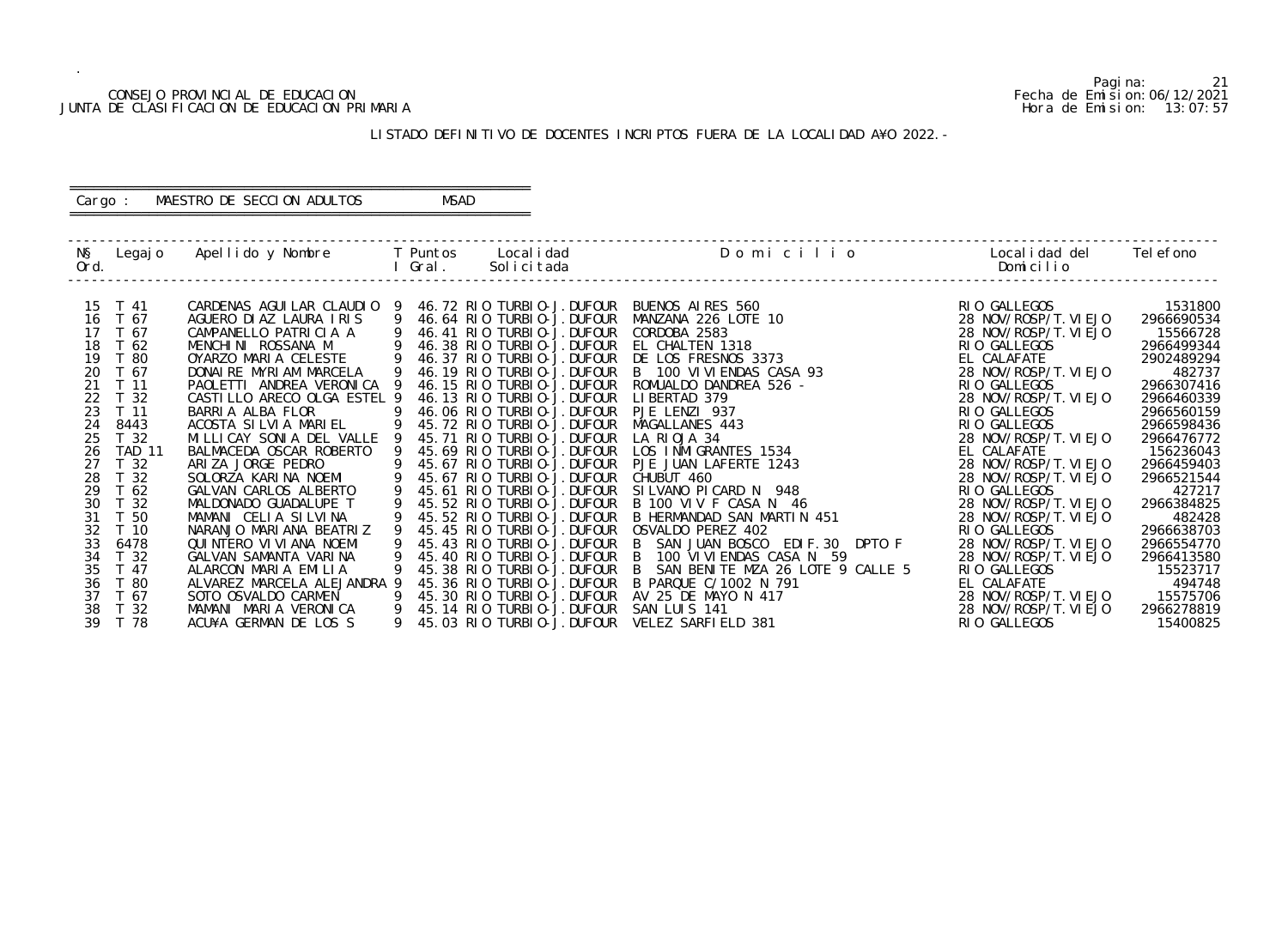# CONSEJO PROVINCIAL DE EDUCACION Fecha de Emision:06/12/2021<br>DE CLASIFICACION DE EDUCACION PRIMARIA FECHA DE SIDERE EMISION: 13:07:57 JUNTA DE CLASIFICACION DE EDUCACION PRIMARIA

.

Pagina: 21

| Ō                  | Localidad del Telefono<br>Domicilio   |                        |
|--------------------|---------------------------------------|------------------------|
|                    |                                       |                        |
|                    | RIO GALLEGOS<br>28 NOV/ROSP/T. VI EJO | 1531800<br>2966690534  |
|                    | 28 NOV/ROSP/T. VI EJO                 |                        |
|                    | RIO GALLEGOS                          | 15566728<br>2966499344 |
|                    | EL CALAFATE                           | 2902489294             |
|                    | 28 NOV/ROSP/T. VI EJO                 | 482737                 |
|                    | RIO GALLEGOS                          | 2966307416             |
|                    | 28 NOV/ROSP/T. VI EJO                 | 2966460339             |
|                    | <b>GALLEGOS</b><br>RI 0               | 2966560159             |
|                    | RIO GALLEGOS                          | 2966598436             |
|                    | 28 NOV/ROSP/T. VI EJO                 | 2966476772             |
|                    | <b>EL CALAFATE</b>                    | 156236043              |
|                    | 28 NOV/ROSP/T. VIEJO                  | 2966459403             |
|                    | 28 NOV/ROSP/T. VI EJO                 | 2966521544             |
|                    | RIO GALLEGOS                          | 427217                 |
|                    | 28 NOV/ROSP/T. VIEJO                  | 2966384825             |
|                    | 28<br>NOV/ROSP/T. VI EJO              | 482428                 |
|                    | RIO GALLEGOS                          | 2966638703             |
| DPTO F             | NOV/ROSP/T. VI EJO<br>28              | 2966554770             |
|                    | 28 NOV/ROSP/T. VIEJO                  | 2966413580             |
| CALLE <sub>5</sub> | GALLEGOS<br>RI 0                      | 15523717               |
|                    | EL CALAFATE                           | 494748                 |
|                    | NOV/ROSP/T. VI EJO<br>28              | 15575706               |
|                    | 28 NOV/ROSP/T. VI EJO                 | 2966278819             |
|                    | RIO GALLEGOS                          | 15400825               |

#### LISTADO DEFINITIVO DE DOCENTES INCRIPTOS FUERA DE LA LOCALIDAD A¥O 2022.-

 ------------------------------------------------------------------------------------------------------------------------------------------------- N§ Legajo Apellido y Nombre T Puntos Localidad D o m i c i l i o Localidad del Telefono Ord. I Grant Communication of the Domicilian Domicilian Domicilian Domicilian Domicilian Domicilian Domicilian ------------------------------------------------------------------------------------------------------------------------------------------------- 15 T 41 CARDENAS AGUILAR CLAUDIO 9 46.72 RIO TURBIO-J.DUFOUR BUENOS AIRES 560<br>16 T 67 AGUERO DIAZ LAURA IRIS 9 46.64 RIO TURBIO-J.DUFOUR MANZANA 226 LOTE 16 T 67 AGUERO DIAZ LAURA IRIS 9 46.64 RIO TURBIO-J.DUFOUR MANZANA 226 LOTE 10<br>17 T 67 CAMPANELLO PATRICIA A 9 46.41 RIO TURBIO-J.DUFOUR CORDOBA 2583 17 T 67 CAMPANELLO PATRICIA A 9 46.41 RIO TURBIO-J.DUFOUR CORDOBA 2583<br>18 T 62 MENCHINI ROSSANA M 9 46.38 RIO TURBIO-J.DUFOUR EL CHALTEN 13 18 T 62 MENCHINI ROSSANA M 9 46.38 RIO TURBIO-J.DUFOUR EL CHALTEN 1318 RIO GALLEGOS 2966499344 19 T 80 OYARZO MARIA CELESTE 9 46.37 RIO TURBIO-J.DUFOUR DE LOS FRESNOS 3373 EL CALAFATE 2902489294 20 T 67 DONAIRE MYRIAM MARCELA 9 46.19 RIO TURBIO-J.DUFOUR B 100 VIVIENDAS CASA 93 28 NOV/ROSP/T.VIEJO 482737 21 T 11 PAOLETTI ANDREA VERONICA 9 46.15 RIO TURBIO-J. DUFOUR ROMUALDO DANDREA 526 -<br>22 T 32 CASTILLO ARECO OLGA ESTEL 9 46.13 RIO TURBIO-J. DUFOUR LIBERTAD 379 22 T 32 CASTILLO ARECO OLGA ESTEL 9 46.13 RIO TURBIO-J. DUFOUR LIBERTAD 379<br>23 T 11 BARRIA ALBA FLOR 9 46.06 RIO TURBIO-J. DUFOUR PJE LENZI 937 23 T 11 BARRIA ALBA FLOR 9 46.06 RIO TURBIO-J. DUFOUR<br>24 8443 ACOSTA SILVIA MARIEL 9 45.72 RIO TURBIO-J. DUFOUR 24 8443 ACOSTA SILVIA MARIEL 9 45.72 RIO TURBIO-J.DUFOUR MAGALLANES 443<br>25 T 32 MILLICAY SONIA DEL VALLE 9 45.71 RIO TURBIO-J.DUFOUR LA RIOJA 34 25 T 32 MILLICAY SONIA DEL VALLE 9 45.71 RIO TURBIO-J.DUFOUR LA RIOJA 34<br>26 TAD 11 BALMACEDA OSCAR ROBERTO 9 45.69 RIO TURBIO-J.DUFOUR LOS INMIGRANTES 1534 26 TAD 11 BALMACEDA OSCAR ROBERTO 9 45.69 RIO TURBIO-J.DUFOUR LOS INMIGRANTES 1534<br>27 T 32 ARIZA JORGE PEDRO 9 45.67 RIO TURBIO-J.DUFOUR PJE JUAN LAFERTE 1243 27 T 32 ARIZA JORGE PEDRO 9 45.67 RIO TURBIO-J.DUFOUR PJE JUAN L.<br>28 T 32 SOLORZA KARINA NOEMI 9 45.67 RIO TURBIO-J.DUFOUR CHUBUT 460<br>29 T 62 GALVAN CARLOS ALBERTO 9 45.61 RIO TURBIO-J.DUFOUR SILVANO PI( 1 32 SOLORZA KARINA NOEMI 9 45.67 RIO TURBIO-J.DUFOUR CHUBUT 460<br>1 62 GALVAN CARLOS ALBERTO 9 45.61 RIO TURBIO-J.DUFOUR SILVANO PICARD N 948 29 T 62 GALVAN CARLOS ALBERTO 9 45.61 RIO TURBIO-J.DUFOUR SILVANO PICARD N 948<br>30 T 32 MALDONADO GUADALUPE T 9 45.52 RIO TURBIO-J.DUFOUR B 100 VIV F CASA N 46 30 T 32 MALDONADO GUADALUPE T 9 45.52 RIO TURBIO-J.DUFOUR B 100 VIV F CASA N 46<br>31 T 50 MAMANI CELIA SILVINA 9 45.52 RIO TURBIO-J.DUFOUR B HERMANDAD SAN MARTIN 451 31 T 50 MAMANI CELIA SILVINA 9 45.52 RIO TURBIO-J.DUFOUR<br>32 T 10 NARANJO MARIANA BEATRIZ 9 45.45 RIO TURBIO-J.DUFOUR 32 T 10 NARANJO MARIANA BEATRIZ 9 45.45 RIO TURBIO-J.DUFOUR OSVALDO PEREZ 402<br>33 6478 QUINTERO VIVIANA NOEMI 9 45.43 RIO TURBIO-J.DUFOUR B SAN JUAN BOSCO EDIF.30 33 6478 QUINTERO VIVIANA NOEMI 9 45.43 RIO TURBIO-J.DUFOUR B SAN JUAN BOSCO EDIF.30<br>34 T 32 GALVAN SAMANTA VARINA 9 45.40 RIO TURBIO-J.DUFOUR B 100 VIVIENDAS CASA N 59 34 T 32 GALVAN SAMANTA VARINA 9 45.40 RIO TURBIO-J.DUFOUR<br>35 T 47 ALARCON MARIA EMILIA 9 45.38 RIO TURBIO-J.DUFOUR 35 T 47 ALARCON MARIA EMILIA 9 45.38 RIO TURBIO-J. DUFOUR B SAN BENITE MZA 26 LOTE 9<br>36 T 80 ALVAREZ MARCELA ALEJANDRA 9 45.36 RIO TURBIO-J. DUFOUR B PARQUE C/1002 N 791 36 T 80 ALVAREZ MARCELA ALEJANDRA 9 45.36 RIO TURBIO-J.DUFOUR B PARQUE C/1002 N 791<br>37 T 67 SOTO OSVALDO CARMEN 9 45.30 RIO TURBIO-J.DUFOUR AV 25 DE MAYO N 417 37 T 67 SOTO OSVALDO CARMEN 9 45.30 RIO TURBIO-J.DUFOUR AV 25 DE MAYO N 417<br>38 T 32 MAMANI MARIA VERONICA 9 45.14 RIO TURBIO-J.DUFOUR SAN LUIS 141 38 T 32 MAMANI MARIA VERONICA 9 45.14 RIO TURBIO-J.DUFOUR SAN LUIS 141<br>39 T 78 ACU¥A GERMAN DE LOS S 9 45.03 RIO TURBIO-J.DUFOUR VELEZ SARFIE 39 45.03 RIO TURBIO-J.DUFOUR VELEZ SARFIELD 381

#### ========================================================== Cargo : MAESTRO DE SECCION ADULTOS MSAD ==========================================================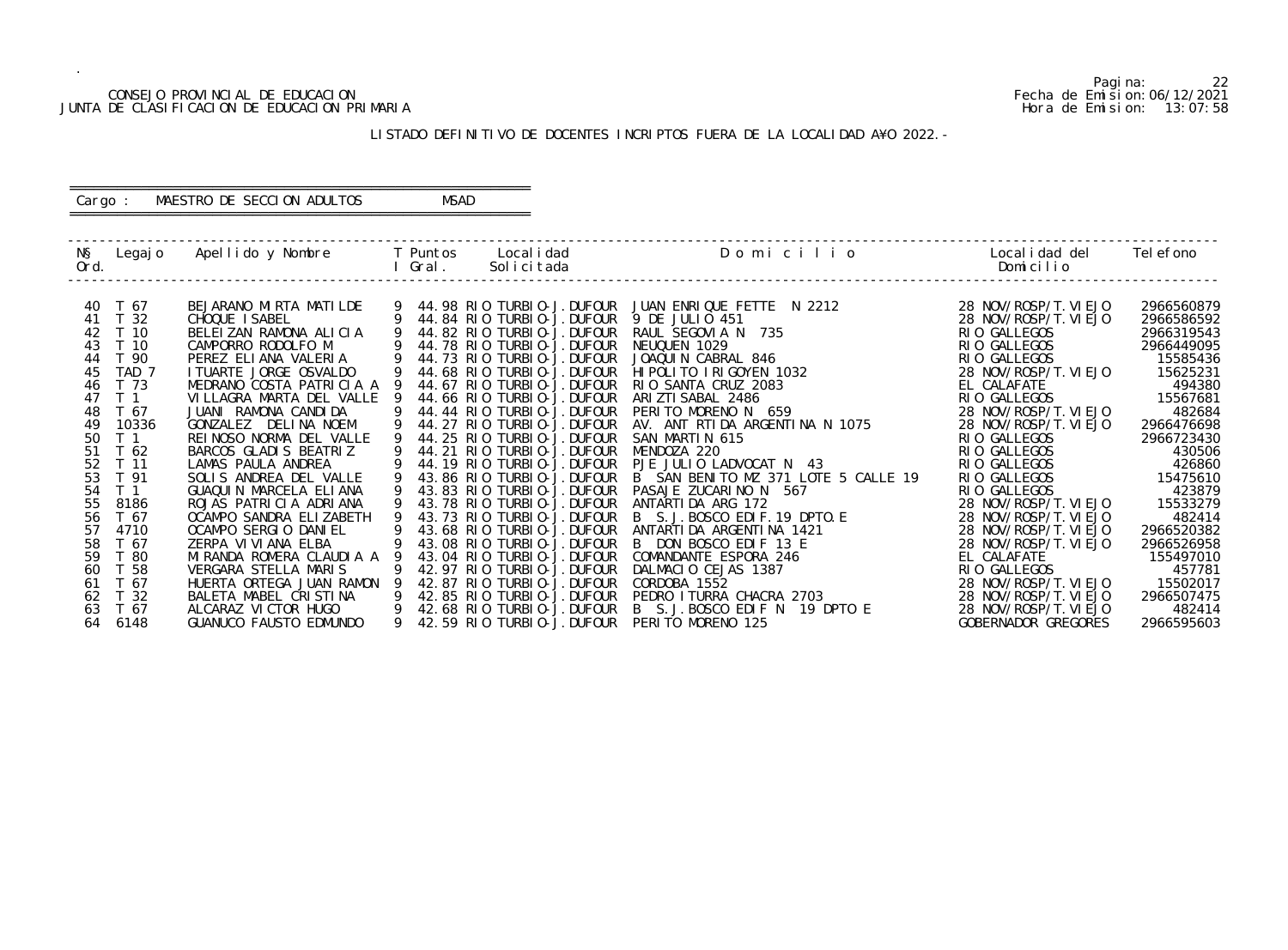# CONSEJO PROVINCIAL DE EDUCACION (CONSEJO PROVINCIAL DE EDUCACION FECHA DE EDUCACION FECHA DE EDUCACION PRIMARI<br>DE CLASIFICACION DE EDUCACION PRIMARIA (CONSESSEDENTES) (FECHA DE Emision: 13:07:58 JUNTA DE CLASIFICACION DE EDUCACION PRIMARIA

.

Pagina: 22

| O        | Localidad del<br>Domicilio                     | Tel efono          |
|----------|------------------------------------------------|--------------------|
|          | 28 NOV/ROSP/T. VI EJO                          | 2966560879         |
|          | NOV/ROSP/T. VI EJO<br>28                       | 2966586592         |
|          | <b>GALLEGOS</b><br>RI 0.                       | 2966319543         |
|          | <b>GALLEGOS</b><br>RI 0                        | 2966449095         |
|          | RIO GALLEGOS                                   | 15585436           |
|          | NOV/ROSP/T. VI EJO<br>FI.                      | 15625231           |
|          | CALAFATE<br>RIO GALLEGOS                       | 494380<br>15567681 |
|          | 28 NOV/ROSP/T. VI EJO                          | 482684             |
| 075      | 28 NOV/ROSP/T. VI EJO                          | 2966476698         |
|          | <b>GALLEGOS</b><br>RI 0                        | 2966723430         |
|          | <b>GALLEGOS</b><br>RI 0                        | 430506             |
|          | <b>GALLEGOS</b><br>RI 0                        | 426860             |
| CALLE 19 | RI 0<br><b>GALLEGOS</b>                        | 15475610           |
|          | <b>GALLEGOS</b><br>RI 0                        | 423879             |
|          | 28 NOV/ROSP/T. VI EJO<br>28 NOV/ROSP/T. VI EJO | 15533279<br>482414 |
|          | 28 NOV/ROSP/T. VI EJO                          | 2966520382         |
|          | NOV/ROSP/T. VI EJO<br>28                       | 2966526958         |
|          | EL.<br>CALAFATE                                | 155497010          |
|          | RIO GALLEGOS                                   | 457781             |
|          | 28 NOV/ROSP/T. VIEJO                           | 15502017           |
|          | 28<br>NOV/ROSP/T. VI EJO                       | 2966507475         |
| E<br>O   | 28 NOV/ROSP/T. VI EJO                          | 482414             |
|          | GOBERNADOR GREGORES                            | 2966595603         |

#### LISTADO DEFINITIVO DE DOCENTES INCRIPTOS FUERA DE LA LOCALIDAD A¥O 2022.-

 ------------------------------------------------------------------------------------------------------------------------------------------------- N§ Legajo Apellido y Nombre T Puntos Localidad D o m i c i l i o Localidad del Telefono Ord. I Grant Communication of the Dominical Dominical Dominical Dominical Dominical Dominical Dominical Dominical Dominical Dominical Dominical Dominical Dominical Dominical Dominical Dominical Dominical Dominical Dominica ------------------------------------------------------------------------------------------------------------------------------------------------- 40 T 67 BEJARANO MIRTA MATILDE 9 44.98 RIO TURBIO-J.DUFOUR JUAN ENRIQUE FETTE N 2212<br>41 T 32 CHOQUE ISABEL 9 44.84 RIO TURBIO-J.DUFOUR 9 DE JULIO 451 41 T 32 CHOQUE ISABEL 9 44.84 RIO TURBIO-J.DUFOUR 9 DE JULIO 451<br>42 T 10 BELEIZAN RAMONA ALICIA 9 44.82 RIO TURBIO-J.DUFOUR RAUL SEGOVIA N 42 T 10 BELEIZAN RAMONA ALICIA 9 44.82 RIO TURBIO-J.DUFOUR RAUL SEGOVIA N 735<br>43 T 10 CAMPORRO RODOLFO M 9 44.78 RIO TURBIO-J.DUFOUR NEUQUEN 1029 43 T 10 CAMPORRO RODOLFO M 9 44.78 RIO TURBIO-J.DUFOUR NEUQUEN 1029 RIO GALLEGOS RIO GALLEGOS 2966449095 44 T 90 PEREZ ELIANA VALERIA 9 44.73 RIO TURBIO-J.DUFOUR JOAQUIN CABRAL 846 RIO GALLEGOS 15585436 45 TAD 7 ITUARTE JORGE OSVALDO 9 44.68 RIO TURBIO-J.DUFOUR HIPOLITO IRIGOYEN 1032<br>46 T 73 MEDRANO COSTA PATRICIA A 9 44.67 RIO TURBIO-J.DUFOUR RIO SANTA CRUZ 2083 46 T 73 MEDRANO COSTA PATRICIA A 9 44.67 RIO TURBIO-J.DUFOUR RIO SANTA CRUZ 20<br>47 T 1 VILLAGRA MARTA DEL VALLE 9 44.66 RIO TURBIO-J.DUFOUR ARIZTISABAL 2486 47 T 1 VILLAGRA MARTA DEL VALLE 9 44.66 RIO TURBIO-J.DUFOUR ARIZTISABAL 2486<br>48 T 67 JUANI RAMONA CANDIDA 9 44.44 RIO TURBIO-J.DUFOUR PERITO MORENO N 659<br>49 10336 GONZALEZ DELINA NOEM 9 44.27 RIO TURBIO-J.DUFOUR AV. ANT RT 48 T 67 JUANI RAMONA CANDIDA 9 44.44 RIO TURBIO-J.DUFOUR<br>49 10336 GONZALEZ DELINA NOEM 9 44.27 RIO TURBIO-J.DUFOUR 49 10336 GONZALEZ DELINA NOEM 9 44.27 RIO TURBIO-J.DUFOUR AV. ANT RTIDA ARGENTINA N 1<br>50 T 1 REINOSO NORMA DEL VALLE 9 44.25 RIO TURBIO-J.DUFOUR SAN MARTIN 615 50 T 1 REINOSO NORMA DEL VALLE 9 44.25 RIO TURBIO-J. DUFOUR SAN MARTIN 6<br>51 T 62 BARCOS GLADIS BEATRIZ 9 44.21 RIO TURBIO-J. DUFOUR MENDOZA 220 51 T 62 BARCOS GLADIS BEATRIZ 9 44.21 RIO TURBIO-J.DUFOUR MENDOZA 220<br>52 T 11 LAMAS PAULA ANDREA 9 44.19 RIO TURBIO-J.DUFOUR PJE JULIO LADVOCAT N 43 52 T 11 LAMAS PAULA ANDREA 9 44.19 RIO TURBIO-J.DUFOUR PJE JULIO LADVOCAT N 43<br>53 T 91 SOLIS ANDREA DEL VALLE 9 43.86 RIO TURBIO-J.DUFOUR B SAN BENITO MZ 371 LOTE 5 53 T 91 SOLIS ANDREA DEL VALLE 9 43.86 RIO TURBIO-J.DUFOUR B SAN BENITO MZ 371 LOTE 5 CALLE 19 43.83 RIO TURBIO-J.DUFOUR PASAJE ZUCARINO N 567 54 T 1 GUAQUIN MARCELA ELIANA 9 43.83 RIO TURBIO-J. DUFOUR<br>55 8186 ROJAS PATRICIA ADRIANA 9 43.78 RIO TURBIO-J. DUFOUR 55 8186 ROJAS PATRICIA ADRIANA 9 43.78 RIO TURBIO-J.DUFOUR ANTARTIDA ARG 172<br>56 T 67 OCAMPO SANDRA ELIZABETH 9 43.73 RIO TURBIO-J.DUFOUR B S.J.BOSCO EDIF.19 DPTO.E 56 T 67 OCAMPO SANDRA ELIZABETH 9 43.73 RIO TURBIO-J.DUFOUR B S.J.BOSCO EDIF.19 DPTO.E 28 NOV/ROSP/T.VIEJO 482414 57 4710 OCAMPO SERGIO DANIEL 9 43.68 RIO TURBIO-J.DUFOUR ANTARTIDA ARGENTINA 1421 28 NOV/ROSP/T.VIEJO 2966520382 58 T 67 ZERPA VIVIANA ELBA 9 43.08 RIO TURBIO-J.DUFOUR B DON BOSCO EDIF 13 E<br>59 T 80 MIRANDA ROMERA CLAUDIA A 9 43.04 RIO TURBIO-J.DUFOUR COMANDANTE ESPORA 246 59 T 80 MIRANDA ROMERA CLAUDIA A 9 43.04 RIO TURBIO-J.DUFOUR COMANDANTE ESPORA 246 EL CALAFATE 155497010 60 T 58 VERGARA STELLA MARIS 9 42.97 RIO TURBIO-J.DUFOUR DALMACIO CEJAS 1387 RIO GALLEGOS 457781 61 T 67 HUERTA ORTEGA JUAN RAMON 9 42.87 RIO TURBIO-J.DUFOUR CORDOBA 1552<br>62 T 32 BALETA MABEL CRISTINA 9 42.85 RIO TURBIO-J.DUFOUR PEDRO ITURRA 62 T 32 BALETA MABEL CRISTINA 9 42.85 RIO TURBIO-J.DUFOUR PEDRO ITURRA CHACRA 2703<br>63 T 67 ALCARAZ VICTOR HUGO 9 42.68 RIO TURBIO-J.DUFOUR B S.J.BOSCO EDIF N 191 63 T 67 ALCARAZ VICTOR HUGO 9 42.68 RIO TURBIO-J.DUFOUR B S.J.BOSCO EDIF N 19 DPT<br>64 6148 GUANUCO FAUSTO EDMUNDO 9 42.59 RIO TURBIO-J.DUFOUR PERITO MORENO 125 642.59 RIO TURBIO-J.DUFOUR PERITO MORENO 125

#### ========================================================== Cargo : MAESTRO DE SECCION ADULTOS MSAD ==========================================================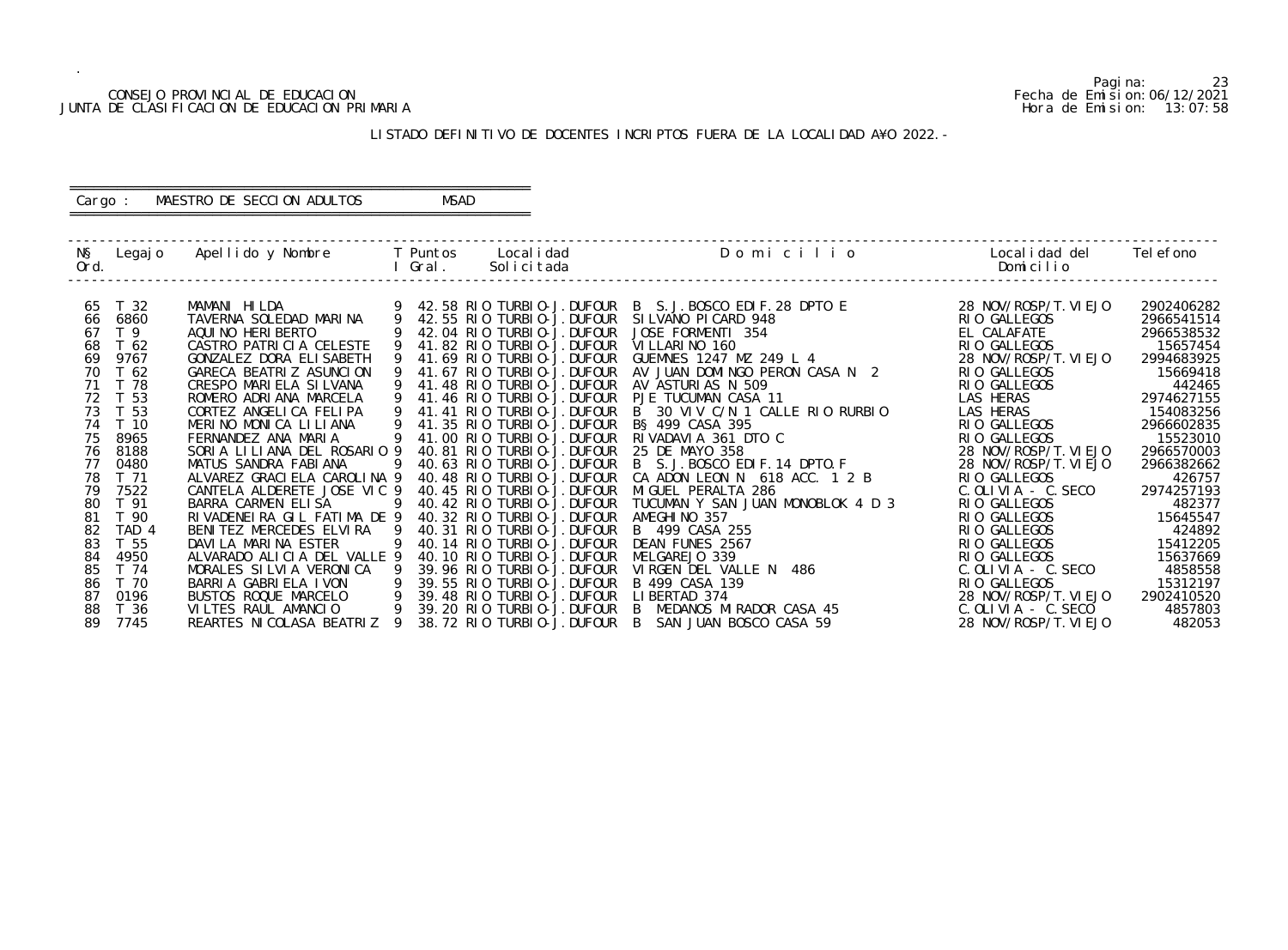# CONSEJO PROVINCIAL DE EDUCACION (CONSEJO PROVINCIAL DE EDUCACION FECHA DE EDUCACION FECHA DE EDUCACION PRIMARI<br>DE CLASIFICACION DE EDUCACION PRIMARIA (CONSESSEDENTES) (FECHA DE Emision: 13:07:58 JUNTA DE CLASIFICACION DE EDUCACION PRIMARIA

.

Pagina: 23

| ი                   | Local i dad del<br>Domicilio               | Tel efono            |
|---------------------|--------------------------------------------|----------------------|
|                     |                                            |                      |
|                     | 28 NOV/ROSP/T. VI EJO                      | 2902406282           |
|                     | RIO GALLEGOS                               | 2966541514           |
|                     | EL CALAFATE                                | 2966538532           |
|                     | RIO GALLEGOS                               | 15657454             |
|                     | 28 NOV/ROSP/T. VI EJO                      | 2994683925           |
| $\overline{2}$<br>N | <b>GALLEGOS</b><br>RI 0                    | 15669418             |
|                     | GALLEGOS<br>RI 0                           | 442465               |
|                     | LAS<br><b>HERAS</b>                        | 2974627155           |
| URBI 0              | HERAS<br>LAS.                              | 154083256            |
|                     | <b>GALLEGOS</b><br>RI 0<br><b>GALLEGOS</b> | 2966602835           |
|                     | RI 0                                       | 15523010             |
|                     | 28 NOV/ROSP/T. VIEJO                       | 2966570003           |
| 2                   | 28 NOV/ROSP/T. VI EJO<br>RIO GALLEGOS      | 2966382662<br>426757 |
| B                   | - C. SECO<br>C. OLI VI A                   | 2974257193           |
| 3<br>4 D            | GALLEGOS<br>RI 0.                          | 482377               |
|                     | <b>GALLEGOS</b><br>RI<br>$\Omega$          | 15645547             |
|                     | RI 0<br>GALLEGOS                           | 424892               |
|                     | <b>GALLEGOS</b><br>RI 0                    | 15412205             |
|                     | RI 0<br>GALLEGOS                           | 15637669             |
|                     | C. SECO<br>C. OLI VI A                     | 4858558              |
|                     | RIO GALLEGOS                               | 15312197             |
|                     | 28 NOV/ROSP/T. VI EJO                      | 2902410520           |
|                     | $C.$ OLIVIA - $C.$ SECO                    | 4857803              |
|                     | 28 NOV/ROSP/T. VI EJO                      | 482053               |
|                     |                                            |                      |

#### LISTADO DEFINITIVO DE DOCENTES INCRIPTOS FUERA DE LA LOCALIDAD A¥O 2022.-

 ------------------------------------------------------------------------------------------------------------------------------------------------- N§ Legajo Apellido y Nombre T Puntos Localidad Domicilion Ord. I Gral. Solicitada Domicilio ------------------------------------------------------------------------------------------------------------------------------------------------- 65 T 32 MAMANI HILDA 9 42.58 RIO TURBIO-J.DUFOUR B S.J.BOSCO EDIF.28 DPTO E<br>66 6860 TAVERNA SOLEDAD MARINA 9 42.55 RIO TURBIO-J.DUFOUR SILVANO PICARD 948 66 6860 TAVERNA SOLEDAD MARINA 9 42.55 RIO TURBIO-J.DUFOUR SILVANO PICARD 948<br>67 T 9 AQUINO HERIBERTO 9 42.04 RIO TURBIO-J.DUFOUR JOSE FORMENTI 354 67 T 9 AQUINO HERIBERTO 9 42.04 RIO TURBIO-J.DUFOUR JOSE FORMENTI 354 EL CALAFATE 2966538532 68 T 62 CASTRO PATRICIA CELESTE 9 41.82 RIO TURBIO-J. DUFOUR VILLARINO 160<br>69 9767 GONZALEZ DORA ELISABETH 9 41.69 RIO TURBIO-J. DUFOUR GUEMNES 1247 I 69 9767 GONZALEZ DORA ELISABETH 9 41.69 RIO TURBIO-J.DUFOUR GUEMNES 1247 MZ 249 L 4<br>70 T 62 GARECA BEATRIZ ASUNCION 9 41.67 RIO TURBIO-J.DUFOUR AV JUAN DOMINGO PERON C. 70 T 62 GARECA BEATRIZ ASUNCION 9 41.67 RIO TURBIO-J.DUFOUR AV JUAN DOMINGO PERON CASA<br>71 T 78 CRESPO MARIELA SILVANA 9 41.48 RIO TURBIO-J.DUFOUR AV ASTURIAS N 509 71 T 78 CRESPO MARIELA SILVANA 9 41.48 RIO TURBIO-J.DUFOUR AV ASTURIAS N 509 RIO GALLEGOS RIO GALLEGOS 442465 72 T 53 ROMERO ADRIANA MARCELA 9 41.46 RIO TURBIO-J.DUFOUR PJE TUCUMAN CASA 11 LAS HERAS 2974627155 73 T 53 CORTEZ ANGELICA FELIPA 9 41.41 RIO TURBIO-J.DUFOUR B 30 VIV C/N 1 CALLE RIO RURBIO LAS HERAS 154083256 74 T 10 MERINO MONICA LILIANA 9 41.35 RIO TURBIO-J.DUFOUR B§ 499 CASA 395 RIO GALLEGOS 2966602835 75 8965 FERNANDEZANA MARIA 941.00 RIO TURBIO-J.DUFOUR RIVADAVIA 361 DTO C RIO GALLEGOS 15523010 76 8188 SORIA LILIANA DEL ROSARIO 9 40.81 RIO TURBIO-J.DUFOUR 25 DE MAYO 358<br>77 0480 MATUS SANDRA FABIANA 9 40.63 RIO TURBIO-J.DUFOUR B S.J.BOSCO EI 77 0480 MATUS SANDRA FABIANA 9 40.63 RIO TURBIO-J.DUFOUR B S.J.BOSCO EDIF.14 DPTO.F<br>78 T 71 ALVAREZ GRACIELA CAROLINA 9 40.48 RIO TURBIO-J.DUFOUR CA ADON LEON N 618 ACC. 1 2 78 T 71 ALVAREZ GRACIELA CAROLINA 9 40.48 RIO TURBIO-J.DUFOUR CA ADON LEON N 618 ACC. 1<br>79 7522 CANTELA ALDERETE JOSE VIC 9 40.45 RIO TURBIO-J.DUFOUR MIGUEL PERALTA 286 79 7522 CANTELA ALDERETE JOSE VIC 9 40.45 RIO TURBIO-J. DUFOUR MIGUEL PERALTA 286<br>19 7522 CANTELA ALDERETE JOSE VIC 9 40.42 RIO TURBIO-J. DUFOUR TUCUMAN Y SAN JUAN 80 T 91 BARRA CARMEN ELISA 9 40.42 RIO TURBIO-J.DUFOUR TUCUMAN Y SAN JUAN MONOBLOK<br>81 T 90 RIVADENEIRA GIL FATIMA DE 9 40.32 RIO TURBIO-J.DUFOUR AMEGHINO 357 81 T 90 RIVADENEIRA GIL FATIMA DE 9 40.32 RIO TURBIO-J.DUFOUR AMEGHINO 357<br>82 TAD 4 BENITEZ MERCEDES ELVIRA 9 40.31 RIO TURBIO-J.DUFOUR B 499 CASA 255 82 TAD 4 BENITEZ MERCEDES ELVIRA 9 40.31 RIO TURBIO-J. DUFOUR<br>83 T 55 DAVILA MARINA ESTER 9 40.14 RIO TURBIO-J. DUFOUR 83 T 55 DAVILA MARINA ESTER 9 40.14 RIO TURBIO-J.DUFOUR DEAN FUNES 2567 RIO GALLEGOS 15412205 84 4950 ALVARADO ALICIA DEL VALLE 9 40.10 RIO TURBIO-J. DUFOUR MELGAREJO 339<br>85 T 74 MORALES SILVIA VERONICA 9 39.96 RIO TURBIO-J. DUFOUR VIRGEN DEL VAI 85 T 74 MORALES SILVIA VERONICA 9 39.96 RIO TURBIO-J.DUFOUR VIRGEN DEL VALLE N 486 C.OLIVIA - C.SECO 4858558 86 T 70 BARRIA GABRIELA IVON 9 39.55 RIO TURBIO-J.DUFOUR B 499 CASA 139 RIO GALLEGOS RIO GALLEGOS 15312197 87 0196 BUSTOS ROQUE MARCELO 9 39.48 RIO TURBIO-J.DUFOUR LIBERTAD 374 28 NOV/ROSP/T.VIEJO 2902410520 88 T 36 VILTES RAUL AMANCIO 9 39.20 RIO TURBIO-J.DUFOUR B MEDANOS MIRADOR CASA 45 C.OLIVIA - C.SECO 4857803 89 7745 REARTES NICOLASA BEATRIZ 9 38.72 RIO TURBIO-J. DUFOUR B SAN JUAN BOSCO CASA 59

#### ========================================================== Cargo : MAESTRO DE SECCION ADULTOS MSAD ==========================================================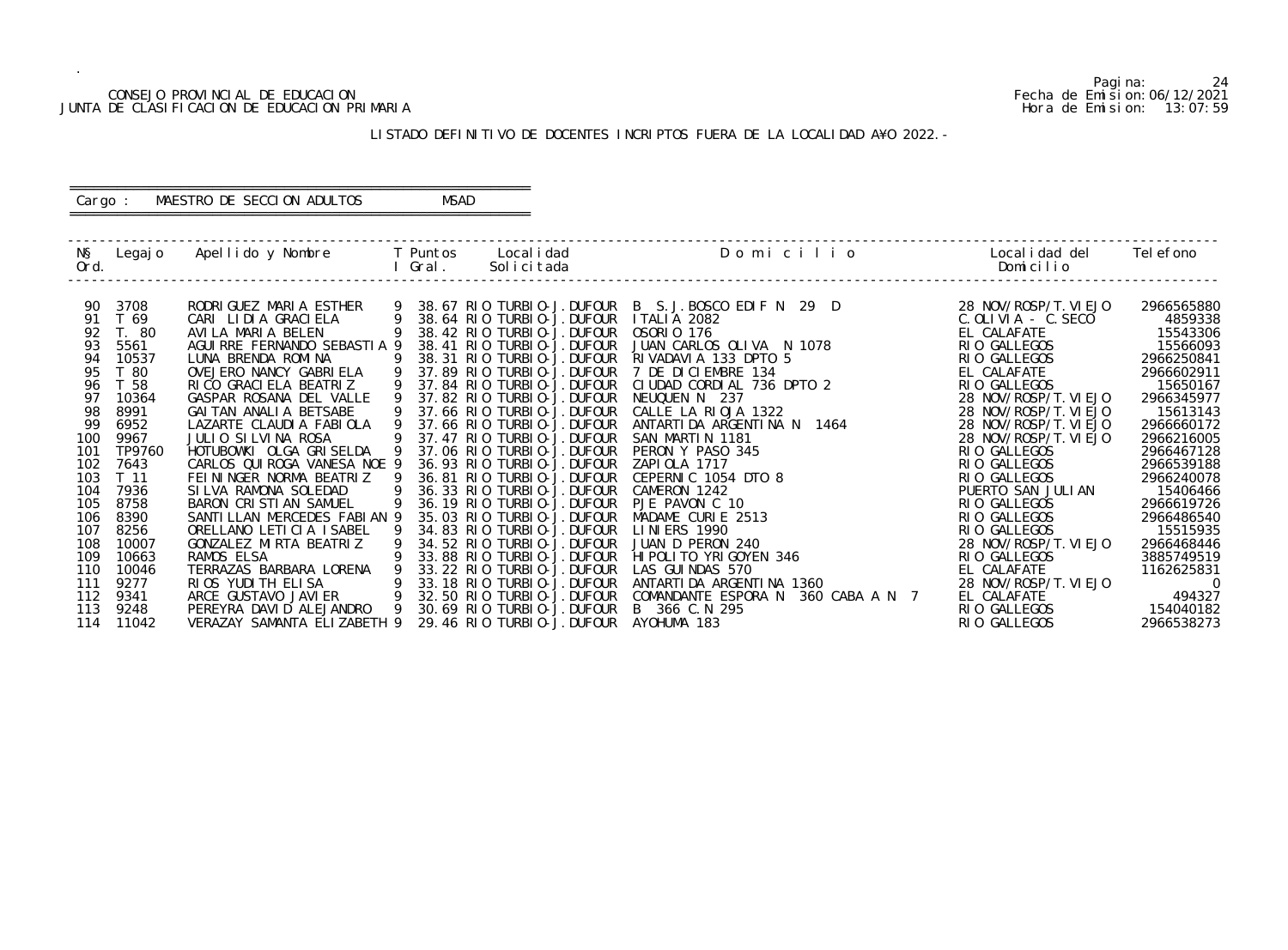# CONSEJO PROVINCIAL DE EDUCACION (CONSEJO PROVINCIAL DE EDUCACION FECHA DE EDUCACION FECHA DE EDUCACION PRIMARIA<br>DE CLASIFICACION DE EDUCACION PRIMARIA (CONSESSEDENTES) (FECHA DE Emision: 13:07:59 JUNTA DE CLASIFICACION DE EDUCACION PRIMARIA

.

Pagina: 24

| Localidad del Telefono                                                                                                                                                                                                                                                                                                                                                       |                                                                                                                                                                                                                               |
|------------------------------------------------------------------------------------------------------------------------------------------------------------------------------------------------------------------------------------------------------------------------------------------------------------------------------------------------------------------------------|-------------------------------------------------------------------------------------------------------------------------------------------------------------------------------------------------------------------------------|
| Domicilio                                                                                                                                                                                                                                                                                                                                                                    |                                                                                                                                                                                                                               |
| 28 NOV/ROSP/T. VI EJO<br>$C.$ OLIVIA - $C.$ SECO<br>EL CALAFATE<br>RIO GALLEGOS<br>RI 0<br><b>GALLEGOS</b><br>EL CALAFATE<br>RIO GALLEGOS<br>28 NOV/ROSP/T. VI EJO<br>28 NOV/ROSP/T. VI EJO<br>28 NOV/ROSP/T. VI EJO<br>NOV/ROSP/T. VI EJO<br>28<br>RIO GALLEGOS<br><b>GALLEGOS</b><br>RI 0<br>GALLEGOS<br>RI 0<br>PUERTO SAN JULIAN<br>GALLEGOS<br>RI 0<br>GALLEGOS<br>RI 0 | 2966565880<br>4859338<br>15543306<br>15566093<br>2966250841<br>2966602911<br>15650167<br>2966345977<br>15613143<br>2966660172<br>2966216005<br>2966467128<br>2966539188<br>2966240078<br>15406466<br>2966619726<br>2966486540 |
| 28 NOV/ROSP/T. VI EJO<br>RIO GALLEGOS<br>CALAFATE<br>NOV/ROSP/T. VI EJO<br>28<br>CALAFATE<br><b>GALLEGOS</b><br>RI O                                                                                                                                                                                                                                                         | 15515935<br>2966468446<br>3885749519<br>1162625831<br>0<br>494327<br>154040182                                                                                                                                                |
|                                                                                                                                                                                                                                                                                                                                                                              | RIO GALLEGOS<br><b>GALLEGOS</b><br>RI 0                                                                                                                                                                                       |

#### LISTADO DEFINITIVO DE DOCENTES INCRIPTOS FUERA DE LA LOCALIDAD A¥O 2022.-

 ------------------------------------------------------------------------------------------------------------------------------------------------- N§ Legajo Apellido y Nombre T Puntos Localidad Domicili<br>Ord. I Gral. Solicitada Ord. I Gral. Solicitada Domicilio ------------------------------------------------------------------------------------------------------------------------------------------------- 90 3708 RODRIGUEZ MARIA ESTHER 9 38.67 RIO TURBIO-J.DUFOUR B S.J.BOSCO EDIF N 29 D<br>91 T 69 CARI LIDIA GRACIELA 9 38.64 RIO TURBIO-J.DUFOUR ITALIA 2082 91 T 69 CARI LIDIA GRACIELA 9 38.64 RIO TURBIO-J.DUFOUR ITALIA 2082 C.OLIVIA - C.SECO 4859338 92 T. 80 AVILA MARIA BELEN 9 38.42 RIO TURBIO-J.DUFOUR OSORIO 176 EL CALAFATE 15543306 93 5561 AGUIRRE FERNANDO SEBASTIA 9 38.41 RIO TURBIO-J.DUFOUR JUAN CARLOS OLIVA N 1078<br>94 10537 LUNA BRENDA ROMINA 9 38.31 RIO TURBIO-J.DUFOUR RIVADAVIA 133 DPTO 5 94 10537 LUNA BRENDA ROMINA 9 38.31 RIO TURBIO-J.DUFOUR RIVADAVIA 133 DPTO 5 RIO GALLEGOS 2966250841 95 T 80 OVEJERO NANCY GABRIELA 9 37.89 RIO TURBIO-J.DUFOUR 7 DE DICIEMBRE 134 EL CALAFATE 2966602911 96 T 58 RICO GRACIELA BEATRIZ 9 37.84 RIO TURBIO-J.DUFOUR CIUDAD CORDIAL 736 DPTO 2 RIO GALLEGOS 15650167 97 10364 GASPAR ROSANA DEL VALLE 9 37.82 RIO TURBIO-J.DUFOUR NEUQUEN N 237 28 NOV/ROSP/T.VIEJO 2966345977 98 8991 GAITAN ANALIA BETSABE 9 37.66 RIO TURBIO-J.DUFOUR CALLE LA RIOJA 1322 28 NOV/ROSP/T.VIEJO 15613143 99 6952 LAZARTE CLAUDIA FABIOLA 9 37.66 RIO TURBIO-J.DUFOUR ANTARTIDA ARGENTINA N 1464 28 NOV/ROSP/T.VIEJO 2966660172 100 9967 JULIO SILVINA ROSA 9 37.47 RIO TURBIO-J.DUFOUR SAN MARTIN 1181 28 NOV/ROSP/T.VIEJO 2966216005 101 TP9760 HOTUBOWKI OLGA GRISELDA 9 37.06 RIO TURBIO-J.DUFOUR PERON Y PASO 345 RIO GALLEGOS 2966467128 102 7643 CARLOS QUIROGA VANESA NOE 9 36.93 RIO TURBIO-J.DUFOUR ZAPIOLA 1717<br>103 T 11 FEININGER NORMA BEATRIZ 9 36.81 RIO TURBIO-J.DUFOUR CEPERNIC 1054 DTO 8 103 T 11 FEININGER NORMA BEATRIZ 9 36.81 RIO TURBIO-J.DUFOUR CEPERNIC 1054 DTO 8 RIO GALLEGOS RIO GALLEGOS 2966240078 104 7936 SILVA RAMONA SOLEDAD 9 36.33 RIO TURBIO-J.DUFOUR CAMERON 1242 PUERTO SAN JULIAN 15406466 105 8758 BARON CRISTIAN SAMUEL 9 36.19 RIO TURBIO-J.DUFOUR PJE PAVON C 10 RIO GALLEGOS RIO GALLEGOS 2966619726 106 8390 SANTILLAN MERCEDES FABIAN 9 35.03 RIO TURBIO-J.DUFOUR MADAME CURIE 2513 RIO GALLEGOS RIO GALLEGOS 2966486540 107 8256 ORELLANO LETICIA ISABEL 9 34.83 RIO TURBIO-J.DUFOUR LINIERS 1990 RIO GALLEGOS RIO GALLEGOS 15515935 108 10007 GONZALEZ MIRTA BEATRIZ 9 34.52 RIO TURBIO-J.DUFOUR JUAN D PERON 240 28 NOV/ROSP/T.VIEJO 2966468446 109 10663 RAMOS ELSA 9 33.88 RIO TURBIO-J.DUFOUR HIPOLITO YRIGOYEN 346 RIO GALLEGOS 3885749519 110 10046 TERRAZAS BARBARA LORENA 9 33.22 RIO TURBIO-J.DUFOUR LAS GUINDAS 570 EL CALAFATE 1162625831 111 9277 RIOS YUDITH ELISA 9 33.18 RIO TURBIO-J.DUFOUR ANTARTIDA ARGENTINA 1360 28 NOV/ROSP/T.VIEJO 0 112 9341 ARCE GUSTAVO JAVIER 9 32.50 RIO TURBIO-J.DUFOUR COMANDANTE ESPORA N 360 CABA A N 7 EL CALAFATE 494327 113 9248 PEREYRA DAVID ALEJANDRO 9 30.69 RIO TURBIO-J.DUFOUR B 366 C.N 295 RIO GALLEGOS 154040182 114 11042 VERAZAY SAMANTA ELIZABETH 9 29.46 RIO TURBIO-J. DUFOUR AYOHUMA 183

#### ========================================================== Cargo : MAESTRO DE SECCION ADULTOS ==========================================================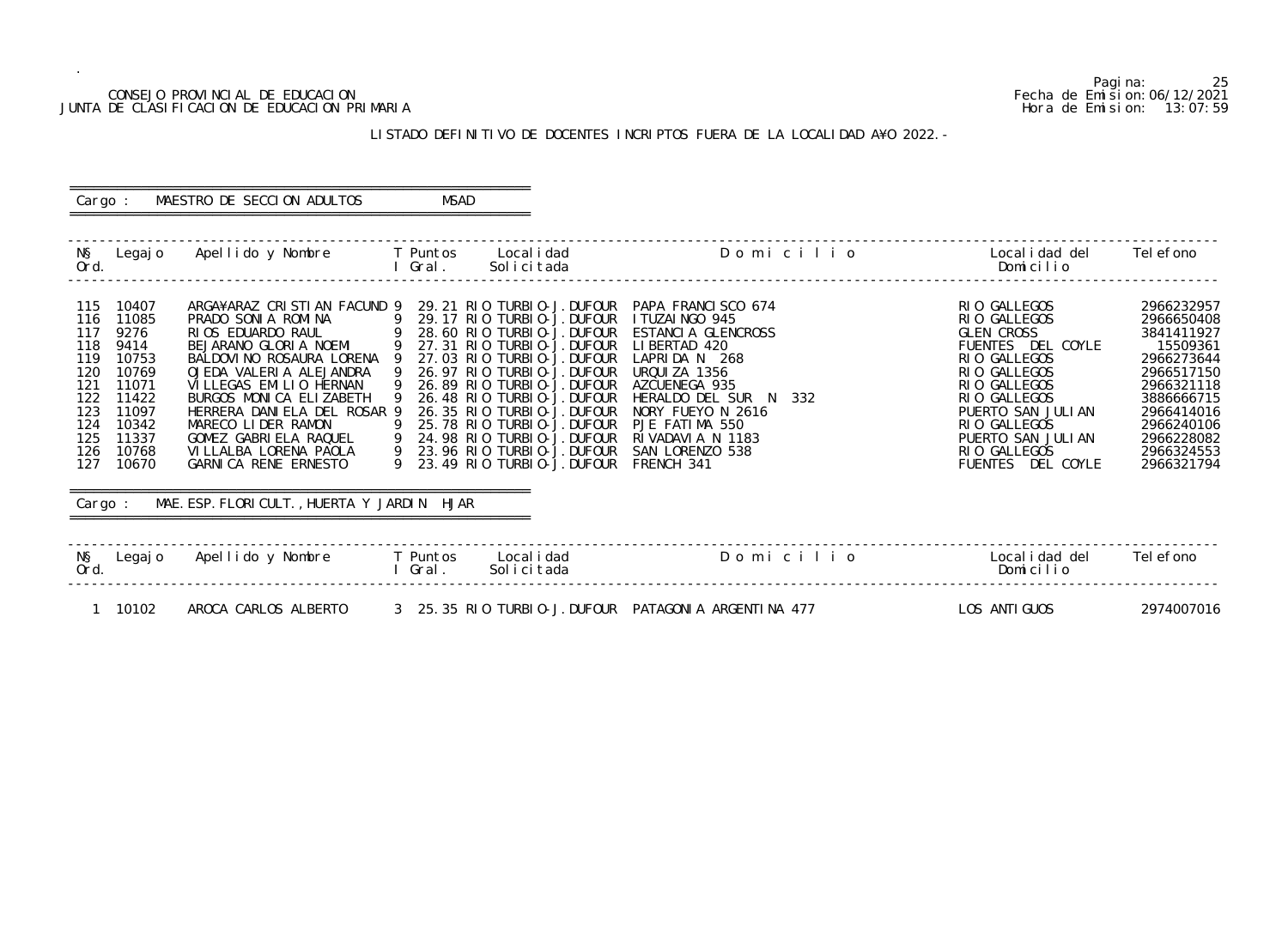# CONSEJO PROVINCIAL DE EDUCACION Fecha de Emision:06/12/2021<br>DE CLASIFICACION DE EDUCACION PRIMARIA FUNDAMENTE DE CLASIFICACION DE EDUCACION PRIMARIA FUNDAMENTE DE SON ES JUNTA DE CLASIFICACION DE EDUCACION PRIMARIA

.

## LISTADO DEFINITIVO DE DOCENTES INCRIPTOS FUERA DE LA LOCALIDAD A¥O 2022.-

#### ========================================================== Cargo : MAESTRO DE SECCION ADULTOS MSAD ==========================================================

 ------------------------------------------------------------------------------------------------------------------------------------------------- N§ Legajo Apellido y Nombre T Puntos Localidad D o m i c i l i o Localidad del Telefono Ord. I Grant Communication of the Domicilian Domicilian Domicilian Domicilian Domicilian Domicilian Domicilian ------------------------------------------------------------------------------------------------------------------------------------------------- 115 10407 ARGA¥ARAZ CRISTIAN FACUND 9 29.21 RIO TURBIO-J. DUFOUR PAPA FRANCISCO 674 116 11085 PRADO SONIA ROMINA 9 29.17 RIO TURBIO-J.DUFOUR ITUZAINGO 945 RIO GALLEGOS 2966650408 117 9276 RIOS EDUARDO RAUL 9 28.60 RIO TURBIO-J.DUFOUR ESTANCIA GLENCROSS GLEN CROSS 3841411927 118 9414 BEJARANO GLORIA NOEMI 9 27.31 RIO TURBIO-J.DUFOUR LIBERTAD 420 FUENTES DEL COYLE 15509361 119 10753 BALDOVINO ROSAURA LORENA 9 27.03 RIO TURBIO-J.DUFOUR LAPRIDA N 268<br>120 10769 OJEDA VALERIA ALEJANDRA 9 26.97 RIO TURBIO-J.DUFOUR URQUIZA 1356 120 10769 OJEDA VALERIA ALEJANDRA 926.97 RIO TURBIO-J.DUFOUR URQUIZA 1356 RIO GALLEGOS RIO GALLEGOS 2966517150 121 11071 VILLEGAS EMILIO HERNAN 9 26.89 RIO TURBIO-J.DUFOUR AZCUENEGA 935 RIO GALLEGOS RIO GALLEGOS 2966321118 122 11422 BURGOS MONICA ELIZABETH 9 26.48 RIO TURBIO-J.DUFOUR HERALDO DEL SUR N 332 RIO GALLEGOS 38866666715 123 11097 HERRERA DANIELA DEL ROSAR 9 26.35 RIO TURBIO-J.DUFOUR NORY FUEYO N 2616 PUERTO SAN JULIAN 2966414016 124 10342 MARECO LIDER RAMON 9 25.78 RIO TURBIO-J.DUFOUR PJE FATIMA 550 RIO GALLEGOS 2966240106 125 11337 GOMEZ GABRIELA RAQUEL 9 24.98 RIO TURBIO-J.DUFOUR RIVADAVIA N 1183 PUERTO SAN JULIAN 2966228082 126 10768 VILLALBA LORENA PAOLA 9 23.96 RIO TURBIO-J.DUFOUR SAN LORENZO 538 RIO GALLEGOS 2966324553 127 10670 GARNICA RENE ERNESTO 9 23.49 RIO TURBIO-J.DUFOUR FRENCH 341 FUENTES DEL COYLE 2966321794 ========================================================== Cargo : MAE. ESP. FLORICULT., HUERTA Y JARDIN HJAR ========================================================== ------------------------------------------------------------------------------------------------------------------------------------------------- N§ Legajo Apellido y Nombre T Puntos Localidad D o m i c i l i o Localidad del Telefono Ord. I Gral. Solicitada Domicilio ------------------------------------------------------------------------------------------------------------------------------------------------- 1 10102 AROCA CARLOS ALBERTO 3 25.35 RIO TURBIO-J.DUFOUR PATAGONIA ARGENTINA 477 LOS ANTIGUOS 2974007016

25<br>Fecha de Emision: 06/12/2021

| O | Local i dad del<br>Domicilio                                                                                                                                                                                                                                     | Tel efono                                                                                                                                                                        |
|---|------------------------------------------------------------------------------------------------------------------------------------------------------------------------------------------------------------------------------------------------------------------|----------------------------------------------------------------------------------------------------------------------------------------------------------------------------------|
|   | GALLEGOS<br>RI 0<br>RIO GALLEGOS<br><b>GLEN CROSS</b><br>FUENTES DEL COYLE<br>GALLEGOS<br>RI 0<br><b>GALLEGOS</b><br>RI 0<br>GALLEGOS<br>RI 0<br>GALLEGOS<br>RI 0<br>PUERTO SAN JULIAN<br>RIO GALLEGOS<br>PUERTO SAN JULIAN<br>RIO GALLEGOS<br>FUENTES DEL COYLE | 2966232957<br>2966650408<br>3841411927<br>15509361<br>2966273644<br>2966517150<br>2966321118<br>3886666715<br>2966414016<br>2966240106<br>2966228082<br>2966324553<br>2966321794 |
| O | Local i dad del<br>Dombol                                                                                                                                                                                                                                        | Tel efono                                                                                                                                                                        |